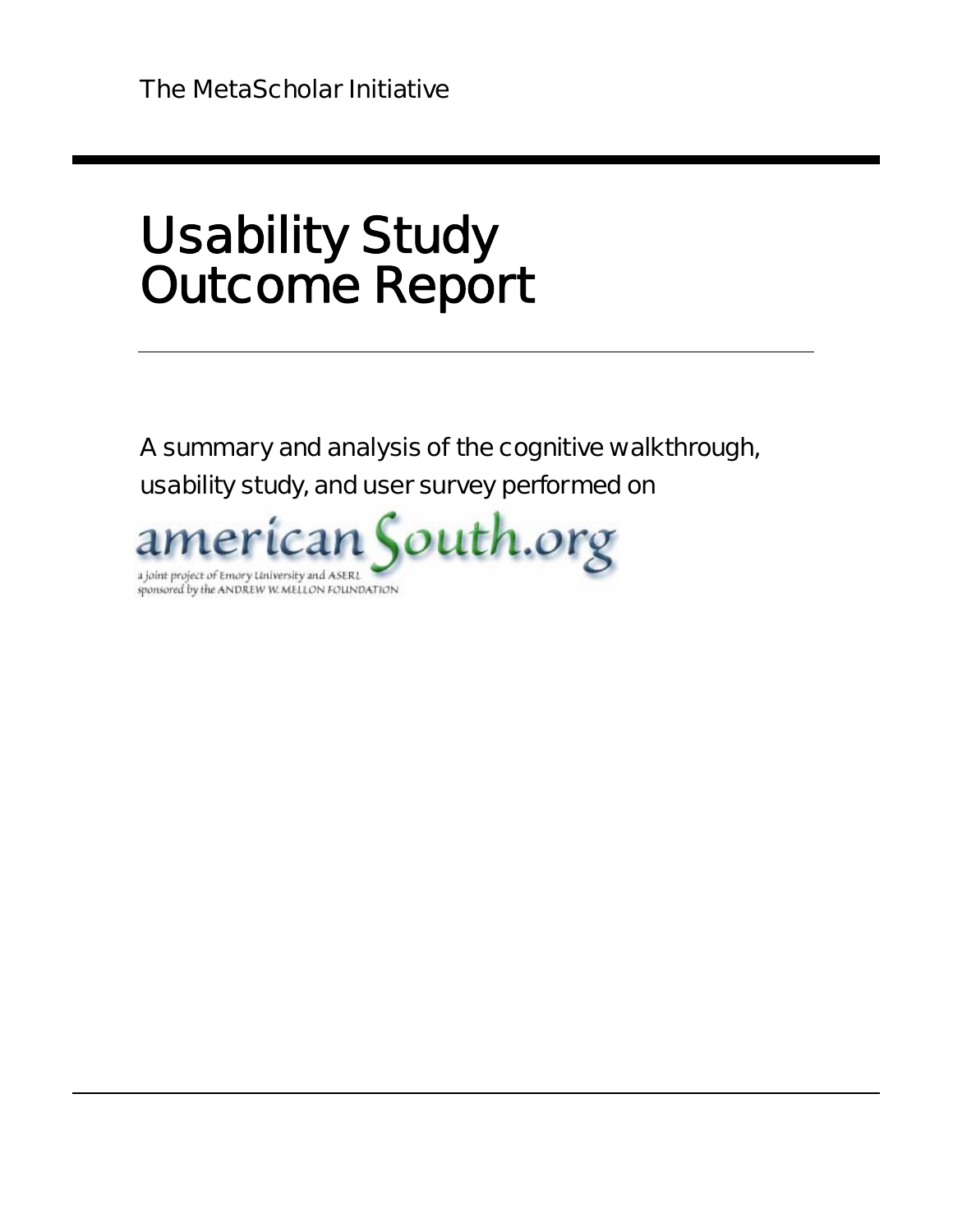# Usability Study Outcome Report

A summary and analysis of the cognitive walkthrough, usability study, and user survey performed on

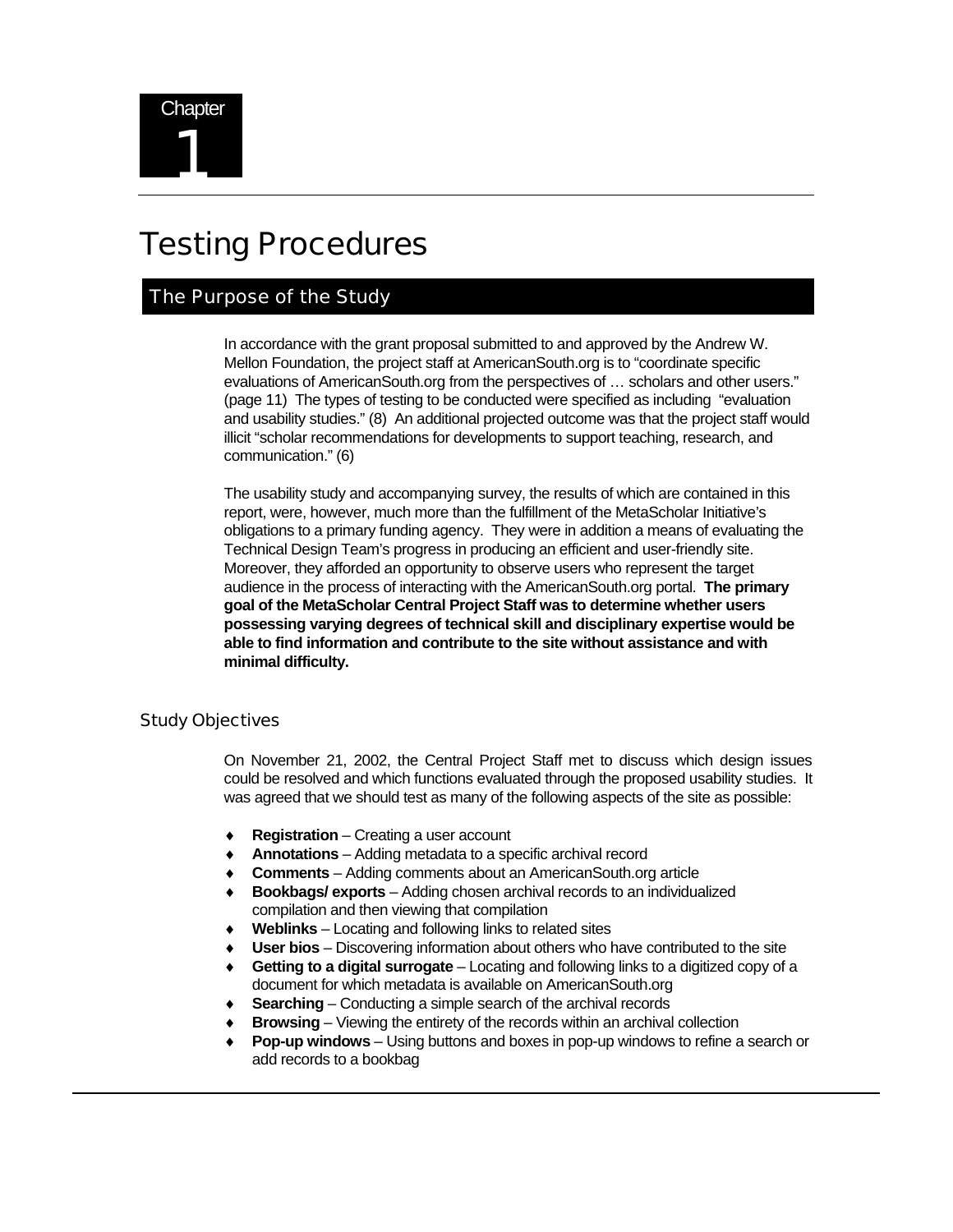# Testing Procedures

### The Purpose of the Study

In accordance with the grant proposal submitted to and approved by the Andrew W. Mellon Foundation, the project staff at AmericanSouth.org is to "coordinate specific evaluations of AmericanSouth.org from the perspectives of … scholars and other users." (page 11) The types of testing to be conducted were specified as including "evaluation and usability studies." (8) An additional projected outcome was that the project staff would illicit "scholar recommendations for developments to support teaching, research, and communication." (6)

The usability study and accompanying survey, the results of which are contained in this report, were, however, much more than the fulfillment of the MetaScholar Initiative's obligations to a primary funding agency. They were in addition a means of evaluating the Technical Design Team's progress in producing an efficient and user-friendly site. Moreover, they afforded an opportunity to observe users who represent the target audience in the process of interacting with the AmericanSouth.org portal. **The primary goal of the MetaScholar Central Project Staff was to determine whether users possessing varying degrees of technical skill and disciplinary expertise would be able to find information and contribute to the site without assistance and with minimal difficulty.** 

### Study Objectives

On November 21, 2002, the Central Project Staff met to discuss which design issues could be resolved and which functions evaluated through the proposed usability studies. It was agreed that we should test as many of the following aspects of the site as possible:

- ♦ **Registration** Creating a user account
- Annotations Adding metadata to a specific archival record
- ♦ **Comments** Adding comments about an AmericanSouth.org article
- **Bookbags/ exports** Adding chosen archival records to an individualized compilation and then viewing that compilation
- **Weblinks** Locating and following links to related sites
- **User bios** Discovering information about others who have contributed to the site
- **Getting to a digital surrogate** Locating and following links to a digitized copy of a document for which metadata is available on AmericanSouth.org
- **Searching** Conducting a simple search of the archival records
- **Browsing** Viewing the entirety of the records within an archival collection
- **Pop-up windows** Using buttons and boxes in pop-up windows to refine a search or add records to a bookbag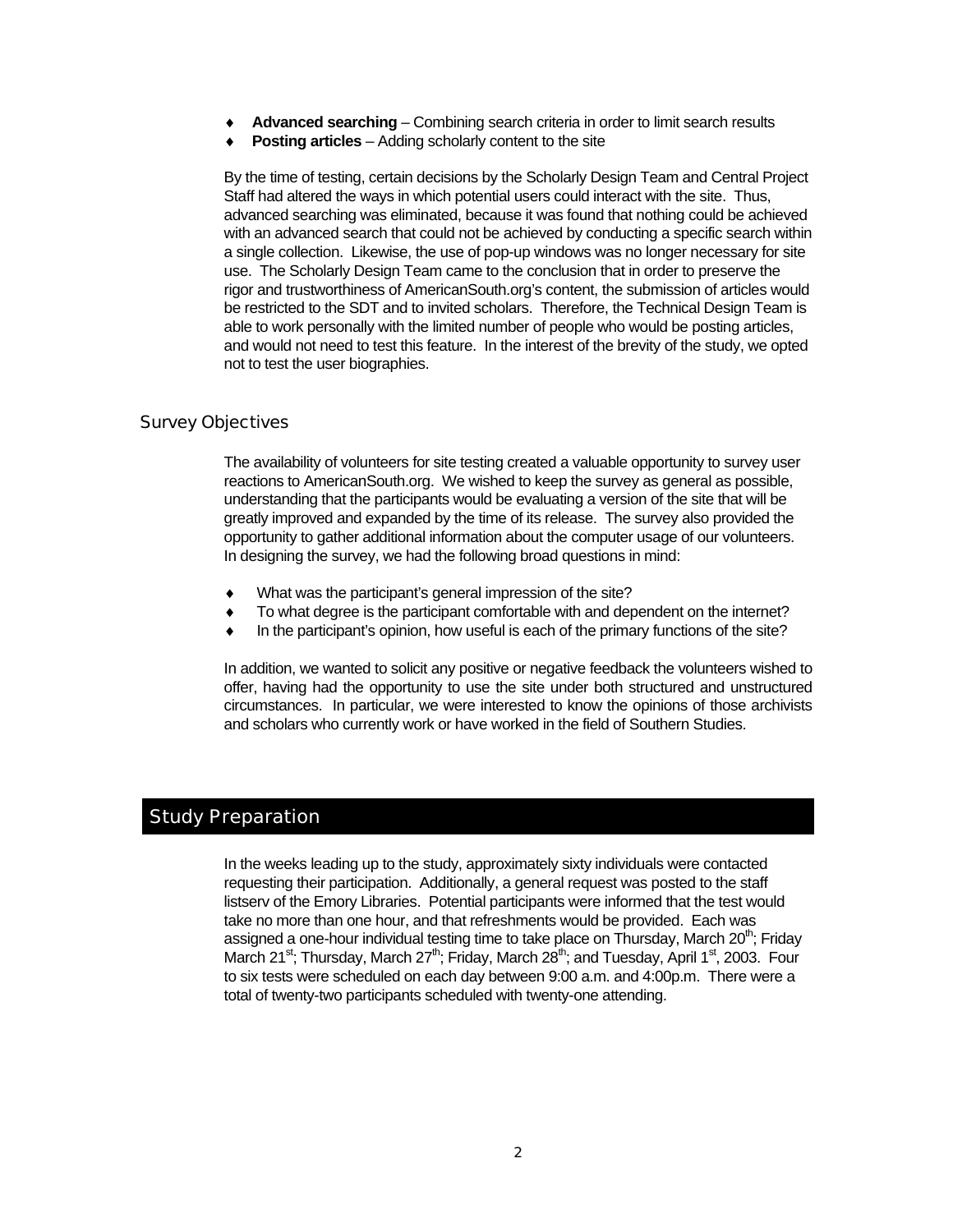- Advanced searching Combining search criteria in order to limit search results
- **Posting articles** Adding scholarly content to the site

By the time of testing, certain decisions by the Scholarly Design Team and Central Project Staff had altered the ways in which potential users could interact with the site. Thus, advanced searching was eliminated, because it was found that nothing could be achieved with an advanced search that could not be achieved by conducting a specific search within a single collection. Likewise, the use of pop-up windows was no longer necessary for site use. The Scholarly Design Team came to the conclusion that in order to preserve the rigor and trustworthiness of AmericanSouth.org's content, the submission of articles would be restricted to the SDT and to invited scholars. Therefore, the Technical Design Team is able to work personally with the limited number of people who would be posting articles, and would not need to test this feature. In the interest of the brevity of the study, we opted not to test the user biographies.

### Survey Objectives

The availability of volunteers for site testing created a valuable opportunity to survey user reactions to AmericanSouth.org. We wished to keep the survey as general as possible, understanding that the participants would be evaluating a version of the site that will be greatly improved and expanded by the time of its release. The survey also provided the opportunity to gather additional information about the computer usage of our volunteers. In designing the survey, we had the following broad questions in mind:

- What was the participant's general impression of the site?
- To what degree is the participant comfortable with and dependent on the internet?
- In the participant's opinion, how useful is each of the primary functions of the site?

In addition, we wanted to solicit any positive or negative feedback the volunteers wished to offer, having had the opportunity to use the site under both structured and unstructured circumstances. In particular, we were interested to know the opinions of those archivists and scholars who currently work or have worked in the field of Southern Studies.

### Study Preparation

In the weeks leading up to the study, approximately sixty individuals were contacted requesting their participation. Additionally, a general request was posted to the staff listserv of the Emory Libraries. Potential participants were informed that the test would take no more than one hour, and that refreshments would be provided. Each was assigned a one-hour individual testing time to take place on Thursday, March  $20<sup>th</sup>$ ; Friday March 21<sup>st</sup>; Thursday, March 27<sup>th</sup>; Friday, March 28<sup>th</sup>; and Tuesday, April 1<sup>st</sup>, 2003. Four to six tests were scheduled on each day between 9:00 a.m. and 4:00p.m. There were a total of twenty-two participants scheduled with twenty-one attending.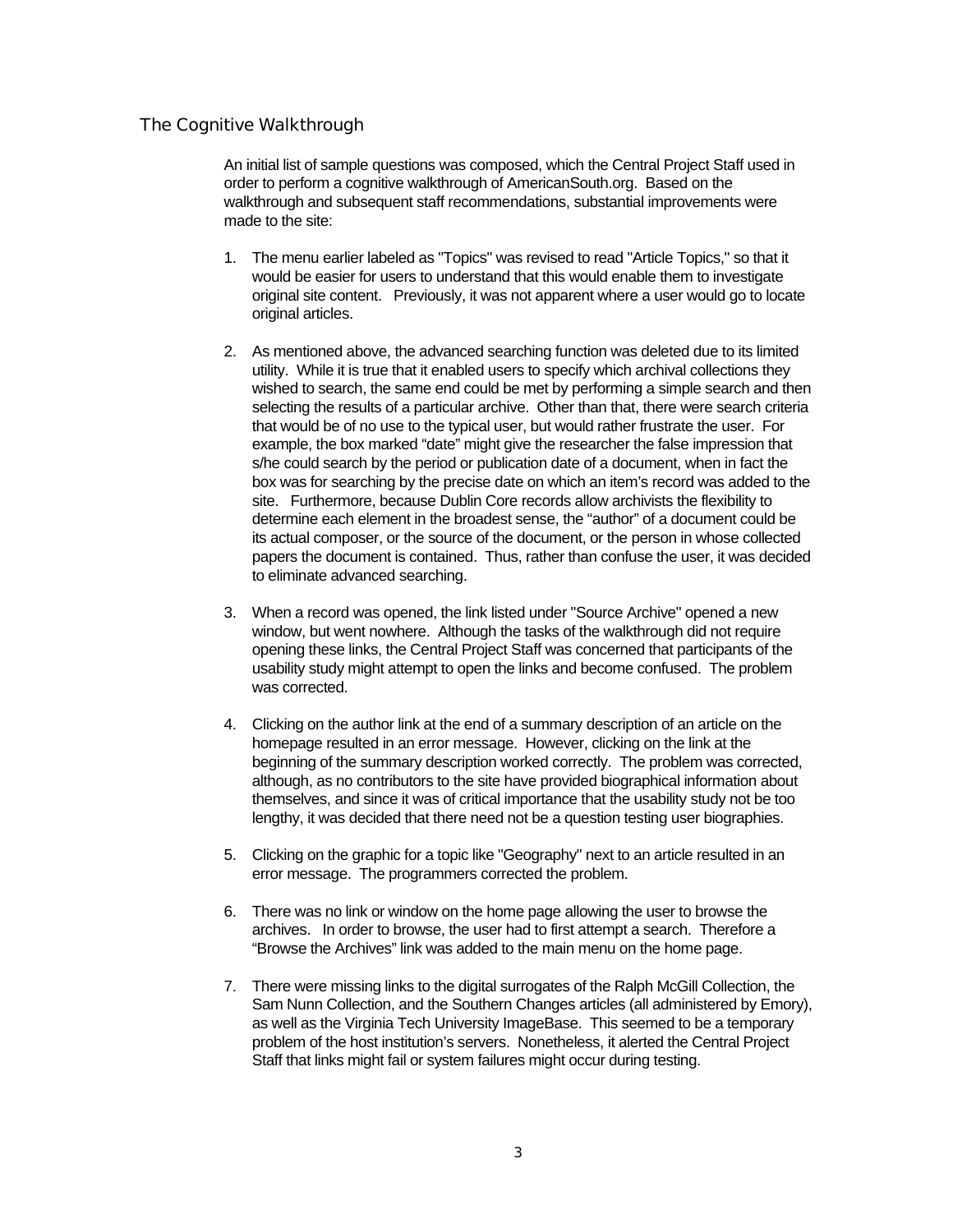### The Cognitive Walkthrough

An initial list of sample questions was composed, which the Central Project Staff used in order to perform a cognitive walkthrough of AmericanSouth.org. Based on the walkthrough and subsequent staff recommendations, substantial improvements were made to the site:

- 1. The menu earlier labeled as "Topics" was revised to read "Article Topics," so that it would be easier for users to understand that this would enable them to investigate original site content. Previously, it was not apparent where a user would go to locate original articles.
- 2. As mentioned above, the advanced searching function was deleted due to its limited utility. While it is true that it enabled users to specify which archival collections they wished to search, the same end could be met by performing a simple search and then selecting the results of a particular archive. Other than that, there were search criteria that would be of no use to the typical user, but would rather frustrate the user. For example, the box marked "date" might give the researcher the false impression that s/he could search by the period or publication date of a document, when in fact the box was for searching by the precise date on which an item's record was added to the site. Furthermore, because Dublin Core records allow archivists the flexibility to determine each element in the broadest sense, the "author" of a document could be its actual composer, or the source of the document, or the person in whose collected papers the document is contained. Thus, rather than confuse the user, it was decided to eliminate advanced searching.
- 3. When a record was opened, the link listed under "Source Archive" opened a new window, but went nowhere. Although the tasks of the walkthrough did not require opening these links, the Central Project Staff was concerned that participants of the usability study might attempt to open the links and become confused. The problem was corrected.
- 4. Clicking on the author link at the end of a summary description of an article on the homepage resulted in an error message. However, clicking on the link at the beginning of the summary description worked correctly. The problem was corrected, although, as no contributors to the site have provided biographical information about themselves, and since it was of critical importance that the usability study not be too lengthy, it was decided that there need not be a question testing user biographies.
- 5. Clicking on the graphic for a topic like "Geography" next to an article resulted in an error message. The programmers corrected the problem.
- 6. There was no link or window on the home page allowing the user to browse the archives. In order to browse, the user had to first attempt a search. Therefore a "Browse the Archives" link was added to the main menu on the home page.
- 7. There were missing links to the digital surrogates of the Ralph McGill Collection, the Sam Nunn Collection, and the Southern Changes articles (all administered by Emory), as well as the Virginia Tech University ImageBase. This seemed to be a temporary problem of the host institution's servers. Nonetheless, it alerted the Central Project Staff that links might fail or system failures might occur during testing.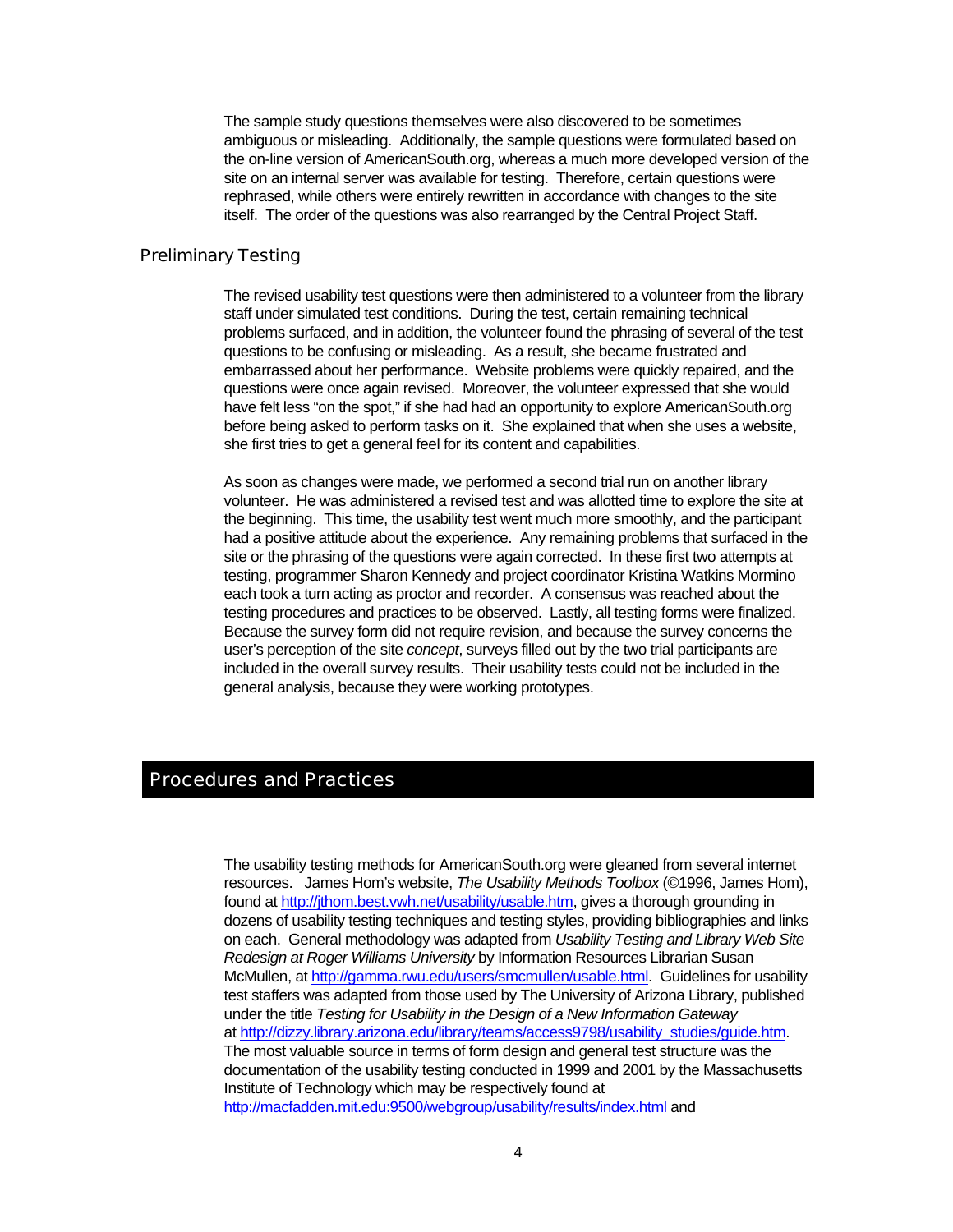The sample study questions themselves were also discovered to be sometimes ambiguous or misleading. Additionally, the sample questions were formulated based on the on-line version of AmericanSouth.org, whereas a much more developed version of the site on an internal server was available for testing. Therefore, certain questions were rephrased, while others were entirely rewritten in accordance with changes to the site itself. The order of the questions was also rearranged by the Central Project Staff.

### Preliminary Testing

The revised usability test questions were then administered to a volunteer from the library staff under simulated test conditions. During the test, certain remaining technical problems surfaced, and in addition, the volunteer found the phrasing of several of the test questions to be confusing or misleading. As a result, she became frustrated and embarrassed about her performance. Website problems were quickly repaired, and the questions were once again revised. Moreover, the volunteer expressed that she would have felt less "on the spot," if she had had an opportunity to explore AmericanSouth.org before being asked to perform tasks on it. She explained that when she uses a website, she first tries to get a general feel for its content and capabilities.

As soon as changes were made, we performed a second trial run on another library volunteer. He was administered a revised test and was allotted time to explore the site at the beginning. This time, the usability test went much more smoothly, and the participant had a positive attitude about the experience. Any remaining problems that surfaced in the site or the phrasing of the questions were again corrected. In these first two attempts at testing, programmer Sharon Kennedy and project coordinator Kristina Watkins Mormino each took a turn acting as proctor and recorder. A consensus was reached about the testing procedures and practices to be observed. Lastly, all testing forms were finalized. Because the survey form did not require revision, and because the survey concerns the user's perception of the site *concept*, surveys filled out by the two trial participants are included in the overall survey results. Their usability tests could not be included in the general analysis, because they were working prototypes.

### Procedures and Practices

The usability testing methods for AmericanSouth.org were gleaned from several internet resources. James Hom's website, *The Usability Methods Toolbox* (©1996, James Hom), found at http://jthom.best.vwh.net/usability/usable.htm, gives a thorough grounding in dozens of usability testing techniques and testing styles, providing bibliographies and links on each. General methodology was adapted from *Usability Testing and Library Web Site Redesign at Roger Williams University* by Information Resources Librarian Susan McMullen, at http://gamma.rwu.edu/users/smcmullen/usable.html. Guidelines for usability test staffers was adapted from those used by The University of Arizona Library, published under the title *Testing for Usability in the Design of a New Information Gateway*  at http://dizzy.library.arizona.edu/library/teams/access9798/usability\_studies/guide.htm. The most valuable source in terms of form design and general test structure was the documentation of the usability testing conducted in 1999 and 2001 by the Massachusetts Institute of Technology which may be respectively found at http://macfadden.mit.edu:9500/webgroup/usability/results/index.html and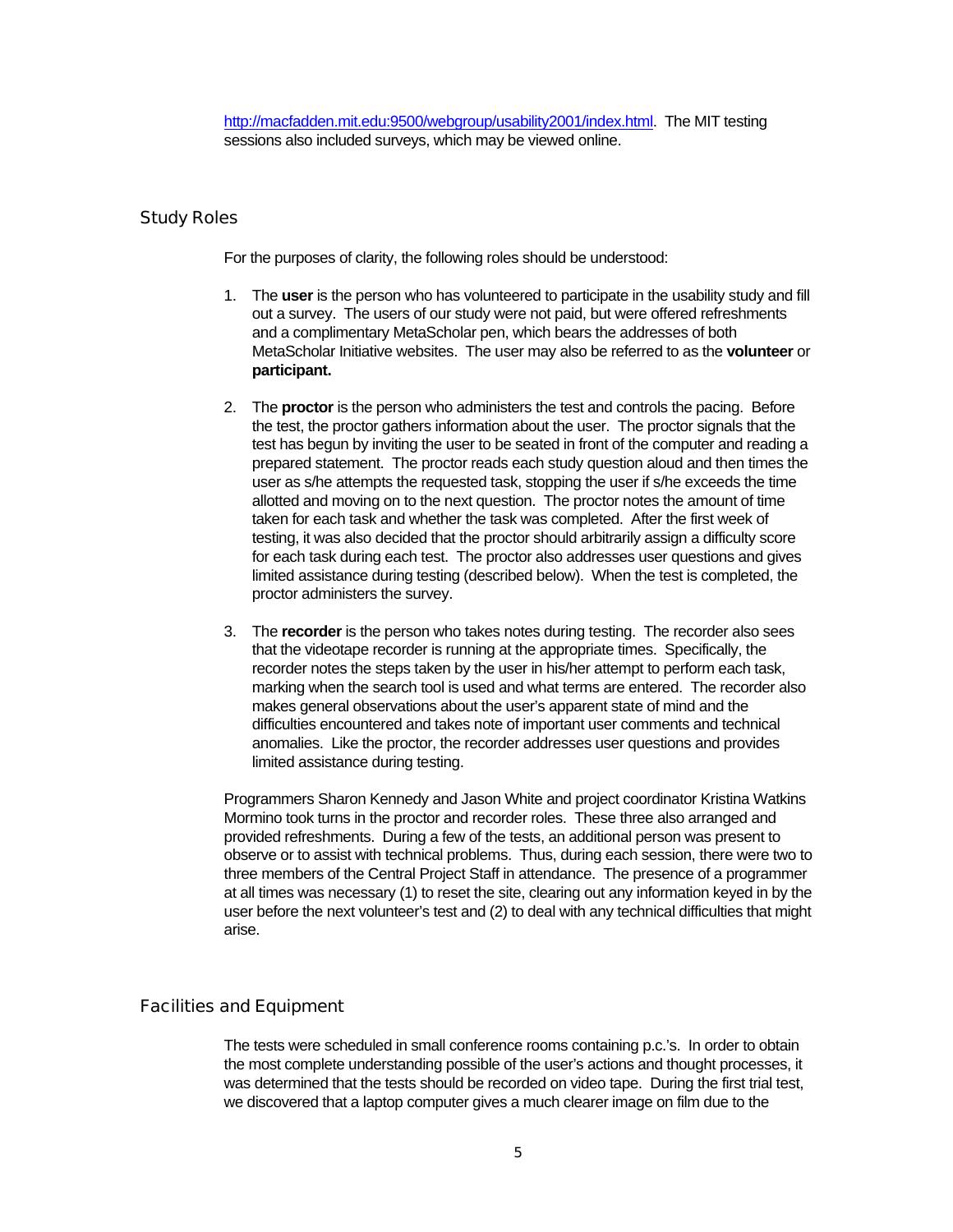### Study Roles

For the purposes of clarity, the following roles should be understood:

- 1. The **user** is the person who has volunteered to participate in the usability study and fill out a survey. The users of our study were not paid, but were offered refreshments and a complimentary MetaScholar pen, which bears the addresses of both MetaScholar Initiative websites. The user may also be referred to as the **volunteer** or **participant.**
- 2. The **proctor** is the person who administers the test and controls the pacing. Before the test, the proctor gathers information about the user. The proctor signals that the test has begun by inviting the user to be seated in front of the computer and reading a prepared statement. The proctor reads each study question aloud and then times the user as s/he attempts the requested task, stopping the user if s/he exceeds the time allotted and moving on to the next question. The proctor notes the amount of time taken for each task and whether the task was completed. After the first week of testing, it was also decided that the proctor should arbitrarily assign a difficulty score for each task during each test. The proctor also addresses user questions and gives limited assistance during testing (described below). When the test is completed, the proctor administers the survey.
- 3. The **recorder** is the person who takes notes during testing. The recorder also sees that the videotape recorder is running at the appropriate times. Specifically, the recorder notes the steps taken by the user in his/her attempt to perform each task, marking when the search tool is used and what terms are entered. The recorder also makes general observations about the user's apparent state of mind and the difficulties encountered and takes note of important user comments and technical anomalies. Like the proctor, the recorder addresses user questions and provides limited assistance during testing.

Programmers Sharon Kennedy and Jason White and project coordinator Kristina Watkins Mormino took turns in the proctor and recorder roles. These three also arranged and provided refreshments. During a few of the tests, an additional person was present to observe or to assist with technical problems. Thus, during each session, there were two to three members of the Central Project Staff in attendance. The presence of a programmer at all times was necessary (1) to reset the site, clearing out any information keyed in by the user before the next volunteer's test and (2) to deal with any technical difficulties that might arise.

### Facilities and Equipment

The tests were scheduled in small conference rooms containing p.c.'s. In order to obtain the most complete understanding possible of the user's actions and thought processes, it was determined that the tests should be recorded on video tape. During the first trial test, we discovered that a laptop computer gives a much clearer image on film due to the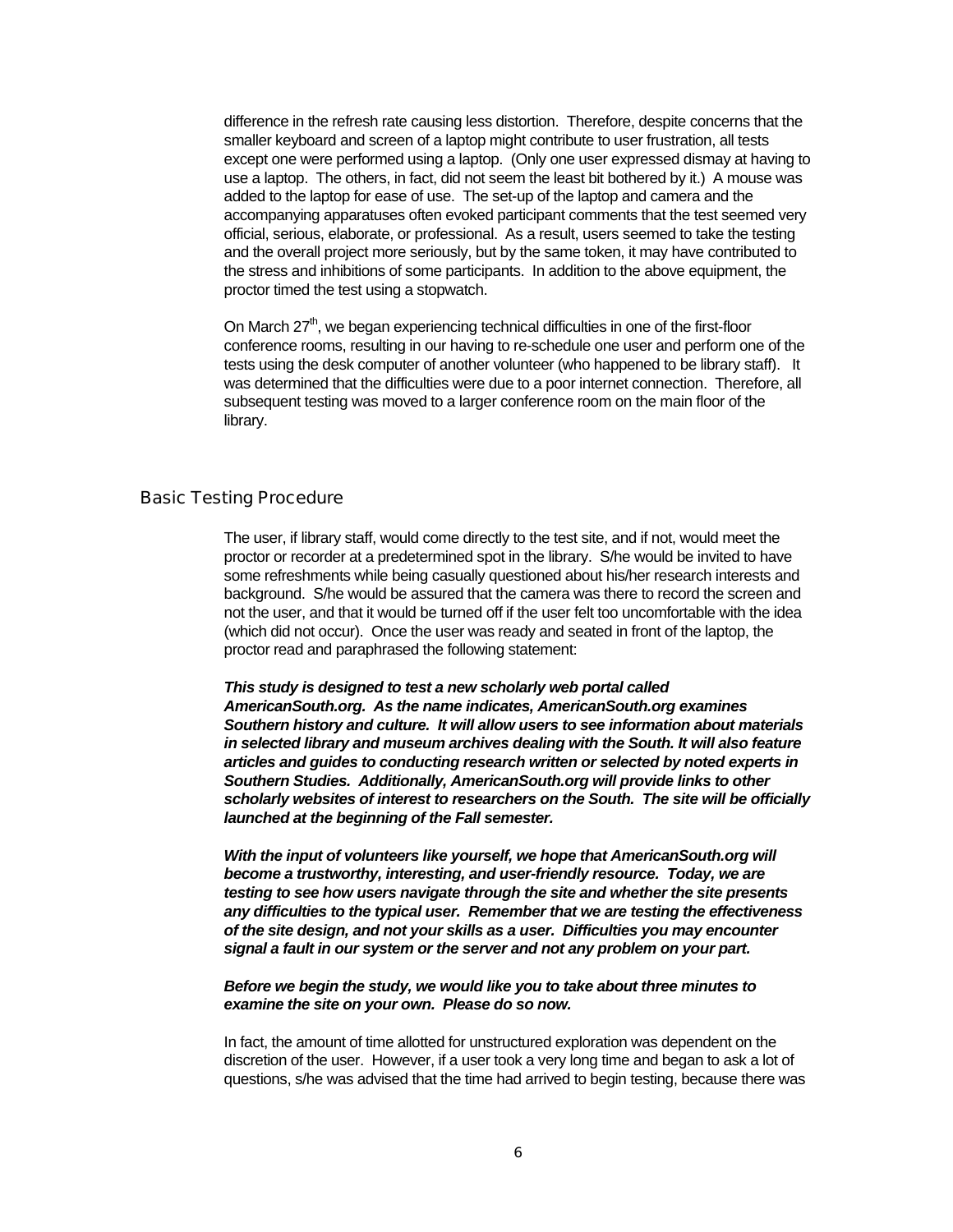difference in the refresh rate causing less distortion. Therefore, despite concerns that the smaller keyboard and screen of a laptop might contribute to user frustration, all tests except one were performed using a laptop. (Only one user expressed dismay at having to use a laptop. The others, in fact, did not seem the least bit bothered by it.) A mouse was added to the laptop for ease of use. The set-up of the laptop and camera and the accompanying apparatuses often evoked participant comments that the test seemed very official, serious, elaborate, or professional. As a result, users seemed to take the testing and the overall project more seriously, but by the same token, it may have contributed to the stress and inhibitions of some participants. In addition to the above equipment, the proctor timed the test using a stopwatch.

On March  $27<sup>th</sup>$ , we began experiencing technical difficulties in one of the first-floor conference rooms, resulting in our having to re-schedule one user and perform one of the tests using the desk computer of another volunteer (who happened to be library staff). It was determined that the difficulties were due to a poor internet connection. Therefore, all subsequent testing was moved to a larger conference room on the main floor of the library.

#### Basic Testing Procedure

The user, if library staff, would come directly to the test site, and if not, would meet the proctor or recorder at a predetermined spot in the library. S/he would be invited to have some refreshments while being casually questioned about his/her research interests and background. S/he would be assured that the camera was there to record the screen and not the user, and that it would be turned off if the user felt too uncomfortable with the idea (which did not occur). Once the user was ready and seated in front of the laptop, the proctor read and paraphrased the following statement:

*This study is designed to test a new scholarly web portal called AmericanSouth.org. As the name indicates, AmericanSouth.org examines Southern history and culture. It will allow users to see information about materials in selected library and museum archives dealing with the South. It will also feature articles and guides to conducting research written or selected by noted experts in Southern Studies. Additionally, AmericanSouth.org will provide links to other scholarly websites of interest to researchers on the South. The site will be officially launched at the beginning of the Fall semester.* 

*With the input of volunteers like yourself, we hope that AmericanSouth.org will become a trustworthy, interesting, and user-friendly resource. Today, we are testing to see how users navigate through the site and whether the site presents any difficulties to the typical user. Remember that we are testing the effectiveness of the site design, and not your skills as a user. Difficulties you may encounter signal a fault in our system or the server and not any problem on your part.* 

#### *Before we begin the study, we would like you to take about three minutes to examine the site on your own. Please do so now.*

In fact, the amount of time allotted for unstructured exploration was dependent on the discretion of the user. However, if a user took a very long time and began to ask a lot of questions, s/he was advised that the time had arrived to begin testing, because there was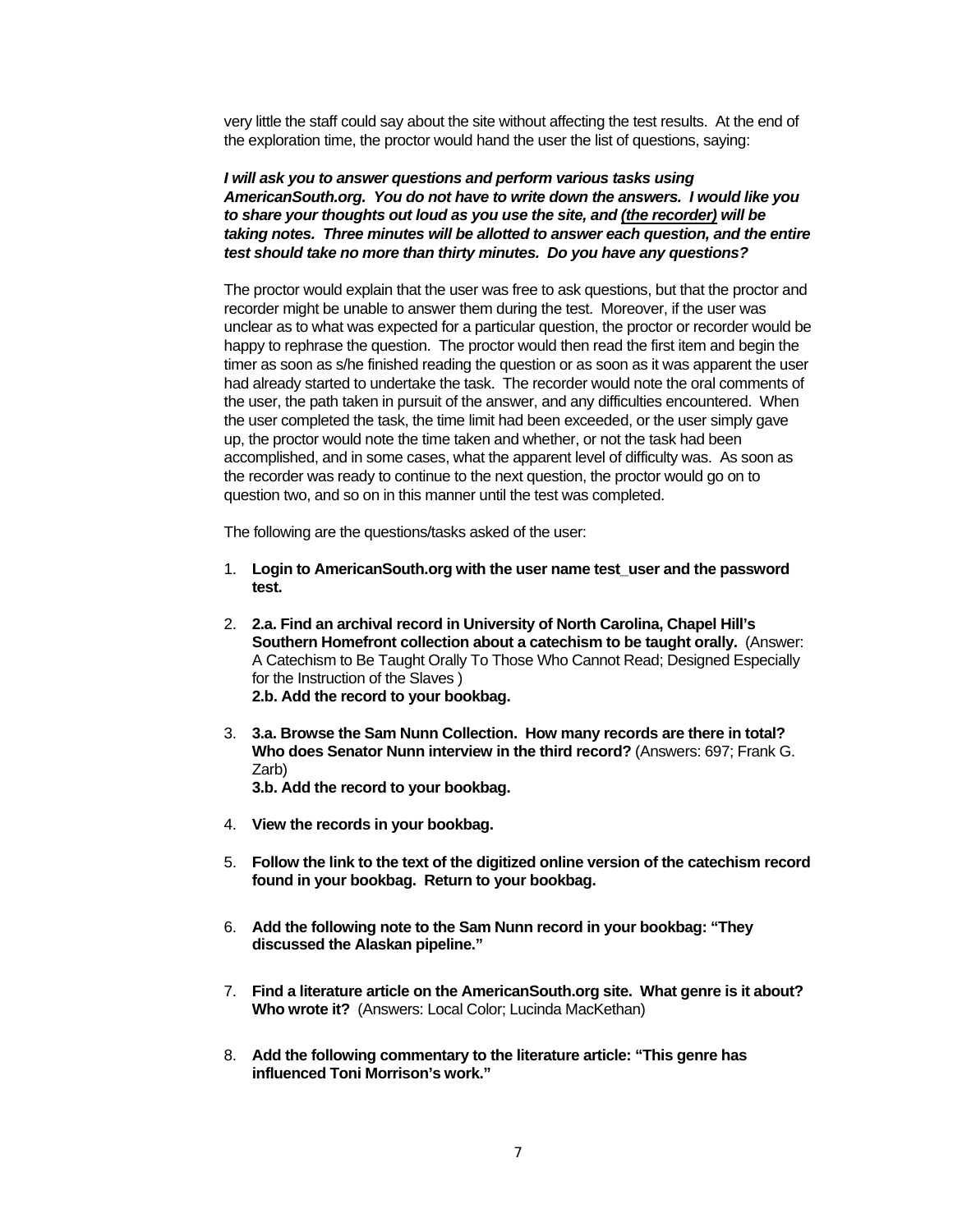very little the staff could say about the site without affecting the test results. At the end of the exploration time, the proctor would hand the user the list of questions, saying:

### *I will ask you to answer questions and perform various tasks using AmericanSouth.org. You do not have to write down the answers. I would like you to share your thoughts out loud as you use the site, and (the recorder) will be taking notes. Three minutes will be allotted to answer each question, and the entire test should take no more than thirty minutes. Do you have any questions?*

The proctor would explain that the user was free to ask questions, but that the proctor and recorder might be unable to answer them during the test. Moreover, if the user was unclear as to what was expected for a particular question, the proctor or recorder would be happy to rephrase the question. The proctor would then read the first item and begin the timer as soon as s/he finished reading the question or as soon as it was apparent the user had already started to undertake the task. The recorder would note the oral comments of the user, the path taken in pursuit of the answer, and any difficulties encountered. When the user completed the task, the time limit had been exceeded, or the user simply gave up, the proctor would note the time taken and whether, or not the task had been accomplished, and in some cases, what the apparent level of difficulty was. As soon as the recorder was ready to continue to the next question, the proctor would go on to question two, and so on in this manner until the test was completed.

The following are the questions/tasks asked of the user:

- 1. **Login to AmericanSouth.org with the user name test\_user and the password test.**
- 2. **2.a. Find an archival record in University of North Carolina, Chapel Hill's Southern Homefront collection about a catechism to be taught orally.** (Answer: A Catechism to Be Taught Orally To Those Who Cannot Read; Designed Especially for the Instruction of the Slaves )  **2.b. Add the record to your bookbag.**
- 3. **3.a. Browse the Sam Nunn Collection. How many records are there in total? Who does Senator Nunn interview in the third record?** (Answers: 697; Frank G. Zarb)  **3.b. Add the record to your bookbag.**
- 4. **View the records in your bookbag.**
- 5. **Follow the link to the text of the digitized online version of the catechism record found in your bookbag. Return to your bookbag.**
- 6. **Add the following note to the Sam Nunn record in your bookbag: "They discussed the Alaskan pipeline."**
- 7. **Find a literature article on the AmericanSouth.org site. What genre is it about? Who wrote it?** (Answers: Local Color; Lucinda MacKethan)
- 8. **Add the following commentary to the literature article: "This genre has influenced Toni Morrison's work."**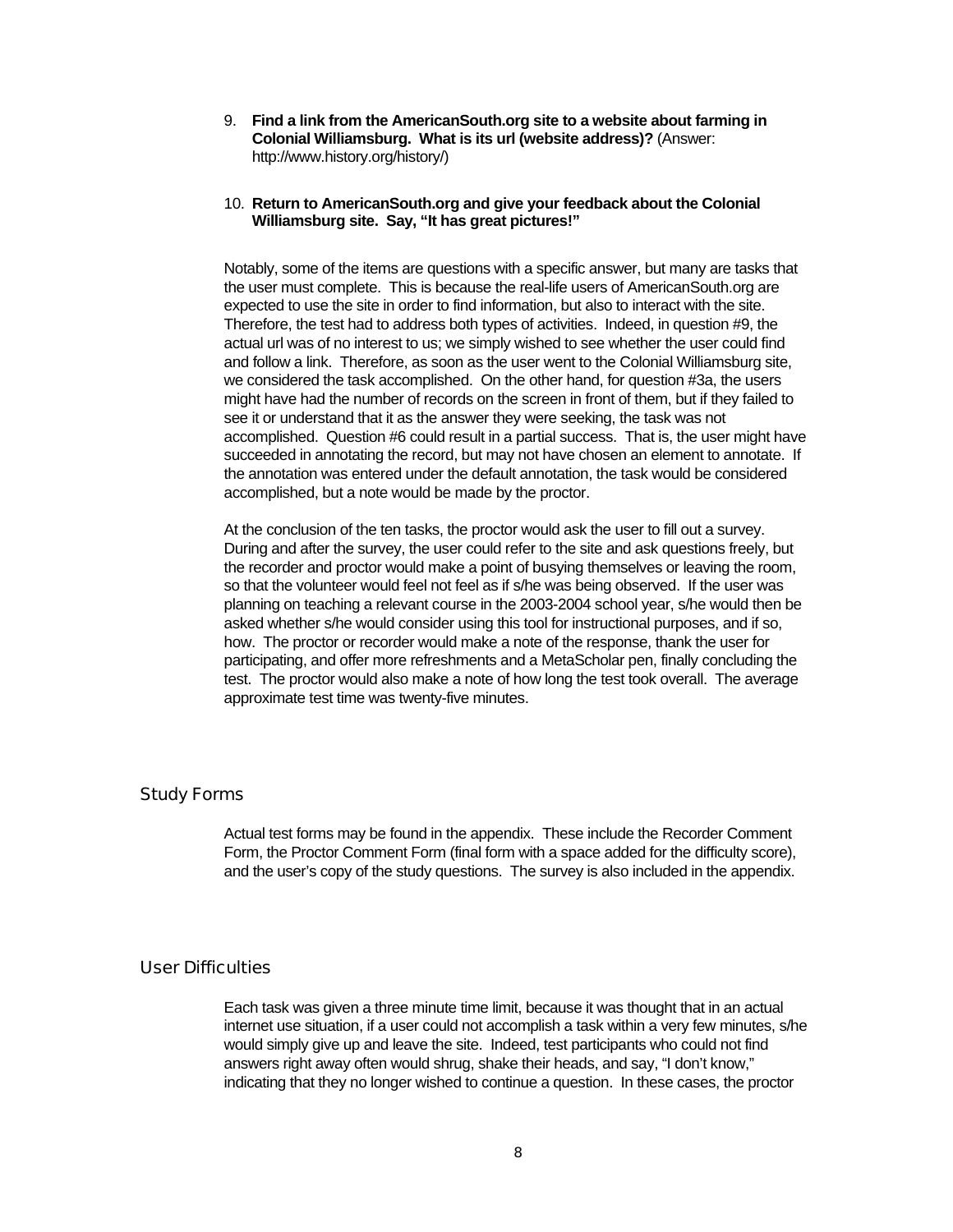9. **Find a link from the AmericanSouth.org site to a website about farming in Colonial Williamsburg. What is its url (website address)?** (Answer: http://www.history.org/history/)

#### 10. **Return to AmericanSouth.org and give your feedback about the Colonial Williamsburg site. Say, "It has great pictures!"**

Notably, some of the items are questions with a specific answer, but many are tasks that the user must complete. This is because the real-life users of AmericanSouth.org are expected to use the site in order to find information, but also to interact with the site. Therefore, the test had to address both types of activities. Indeed, in question #9, the actual url was of no interest to us; we simply wished to see whether the user could find and follow a link. Therefore, as soon as the user went to the Colonial Williamsburg site, we considered the task accomplished. On the other hand, for question #3a, the users might have had the number of records on the screen in front of them, but if they failed to see it or understand that it as the answer they were seeking, the task was not accomplished. Question #6 could result in a partial success. That is, the user might have succeeded in annotating the record, but may not have chosen an element to annotate. If the annotation was entered under the default annotation, the task would be considered accomplished, but a note would be made by the proctor.

At the conclusion of the ten tasks, the proctor would ask the user to fill out a survey. During and after the survey, the user could refer to the site and ask questions freely, but the recorder and proctor would make a point of busying themselves or leaving the room, so that the volunteer would feel not feel as if s/he was being observed. If the user was planning on teaching a relevant course in the 2003-2004 school year, s/he would then be asked whether s/he would consider using this tool for instructional purposes, and if so, how. The proctor or recorder would make a note of the response, thank the user for participating, and offer more refreshments and a MetaScholar pen, finally concluding the test. The proctor would also make a note of how long the test took overall. The average approximate test time was twenty-five minutes.

### Study Forms

Actual test forms may be found in the appendix. These include the Recorder Comment Form, the Proctor Comment Form (final form with a space added for the difficulty score), and the user's copy of the study questions. The survey is also included in the appendix.

### User Difficulties

Each task was given a three minute time limit, because it was thought that in an actual internet use situation, if a user could not accomplish a task within a very few minutes, s/he would simply give up and leave the site. Indeed, test participants who could not find answers right away often would shrug, shake their heads, and say, "I don't know," indicating that they no longer wished to continue a question. In these cases, the proctor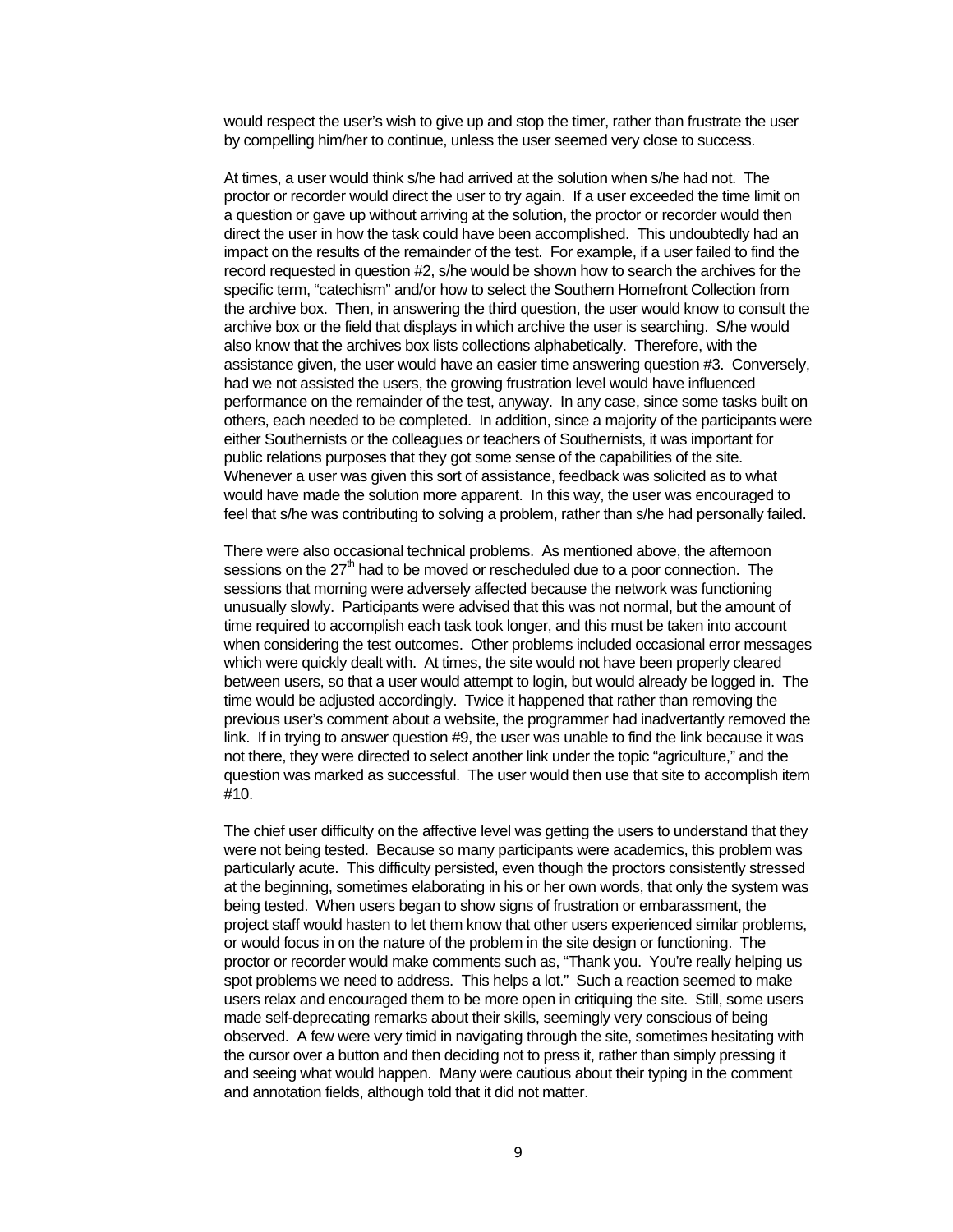would respect the user's wish to give up and stop the timer, rather than frustrate the user by compelling him/her to continue, unless the user seemed very close to success.

At times, a user would think s/he had arrived at the solution when s/he had not. The proctor or recorder would direct the user to try again. If a user exceeded the time limit on a question or gave up without arriving at the solution, the proctor or recorder would then direct the user in how the task could have been accomplished. This undoubtedly had an impact on the results of the remainder of the test. For example, if a user failed to find the record requested in question #2, s/he would be shown how to search the archives for the specific term, "catechism" and/or how to select the Southern Homefront Collection from the archive box. Then, in answering the third question, the user would know to consult the archive box or the field that displays in which archive the user is searching. S/he would also know that the archives box lists collections alphabetically. Therefore, with the assistance given, the user would have an easier time answering question #3. Conversely, had we not assisted the users, the growing frustration level would have influenced performance on the remainder of the test, anyway. In any case, since some tasks built on others, each needed to be completed. In addition, since a majority of the participants were either Southernists or the colleagues or teachers of Southernists, it was important for public relations purposes that they got some sense of the capabilities of the site. Whenever a user was given this sort of assistance, feedback was solicited as to what would have made the solution more apparent. In this way, the user was encouraged to feel that s/he was contributing to solving a problem, rather than s/he had personally failed.

There were also occasional technical problems. As mentioned above, the afternoon sessions on the  $27<sup>th</sup>$  had to be moved or rescheduled due to a poor connection. The sessions that morning were adversely affected because the network was functioning unusually slowly. Participants were advised that this was not normal, but the amount of time required to accomplish each task took longer, and this must be taken into account when considering the test outcomes. Other problems included occasional error messages which were quickly dealt with. At times, the site would not have been properly cleared between users, so that a user would attempt to login, but would already be logged in. The time would be adjusted accordingly. Twice it happened that rather than removing the previous user's comment about a website, the programmer had inadvertantly removed the link. If in trying to answer question #9, the user was unable to find the link because it was not there, they were directed to select another link under the topic "agriculture," and the question was marked as successful. The user would then use that site to accomplish item #10.

The chief user difficulty on the affective level was getting the users to understand that they were not being tested. Because so many participants were academics, this problem was particularly acute. This difficulty persisted, even though the proctors consistently stressed at the beginning, sometimes elaborating in his or her own words, that only the system was being tested. When users began to show signs of frustration or embarassment, the project staff would hasten to let them know that other users experienced similar problems, or would focus in on the nature of the problem in the site design or functioning. The proctor or recorder would make comments such as, "Thank you. You're really helping us spot problems we need to address. This helps a lot." Such a reaction seemed to make users relax and encouraged them to be more open in critiquing the site. Still, some users made self-deprecating remarks about their skills, seemingly very conscious of being observed. A few were very timid in navigating through the site, sometimes hesitating with the cursor over a button and then deciding not to press it, rather than simply pressing it and seeing what would happen. Many were cautious about their typing in the comment and annotation fields, although told that it did not matter.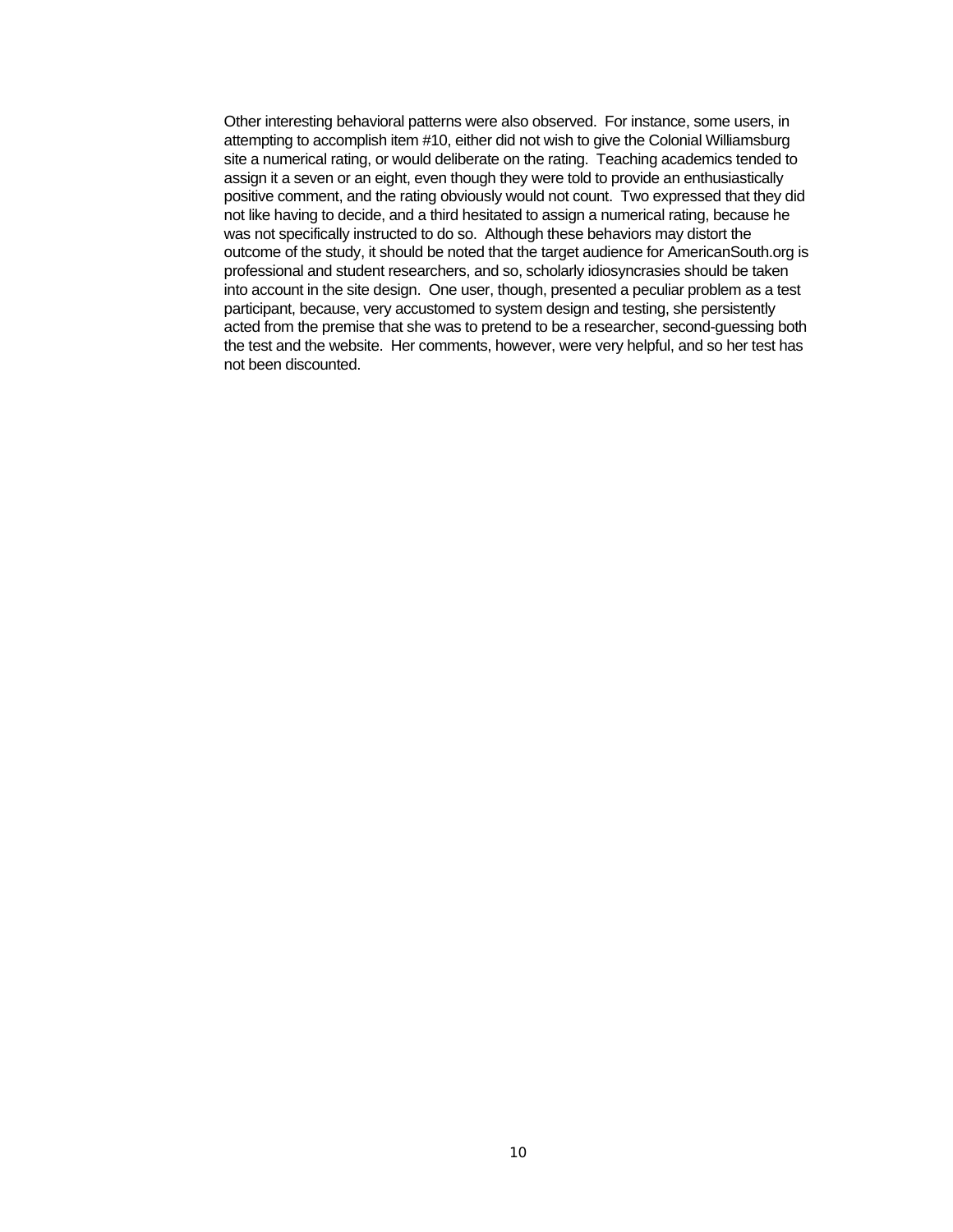Other interesting behavioral patterns were also observed. For instance, some users, in attempting to accomplish item #10, either did not wish to give the Colonial Williamsburg site a numerical rating, or would deliberate on the rating. Teaching academics tended to assign it a seven or an eight, even though they were told to provide an enthusiastically positive comment, and the rating obviously would not count. Two expressed that they did not like having to decide, and a third hesitated to assign a numerical rating, because he was not specifically instructed to do so. Although these behaviors may distort the outcome of the study, it should be noted that the target audience for AmericanSouth.org is professional and student researchers, and so, scholarly idiosyncrasies should be taken into account in the site design. One user, though, presented a peculiar problem as a test participant, because, very accustomed to system design and testing, she persistently acted from the premise that she was to pretend to be a researcher, second-guessing both the test and the website. Her comments, however, were very helpful, and so her test has not been discounted.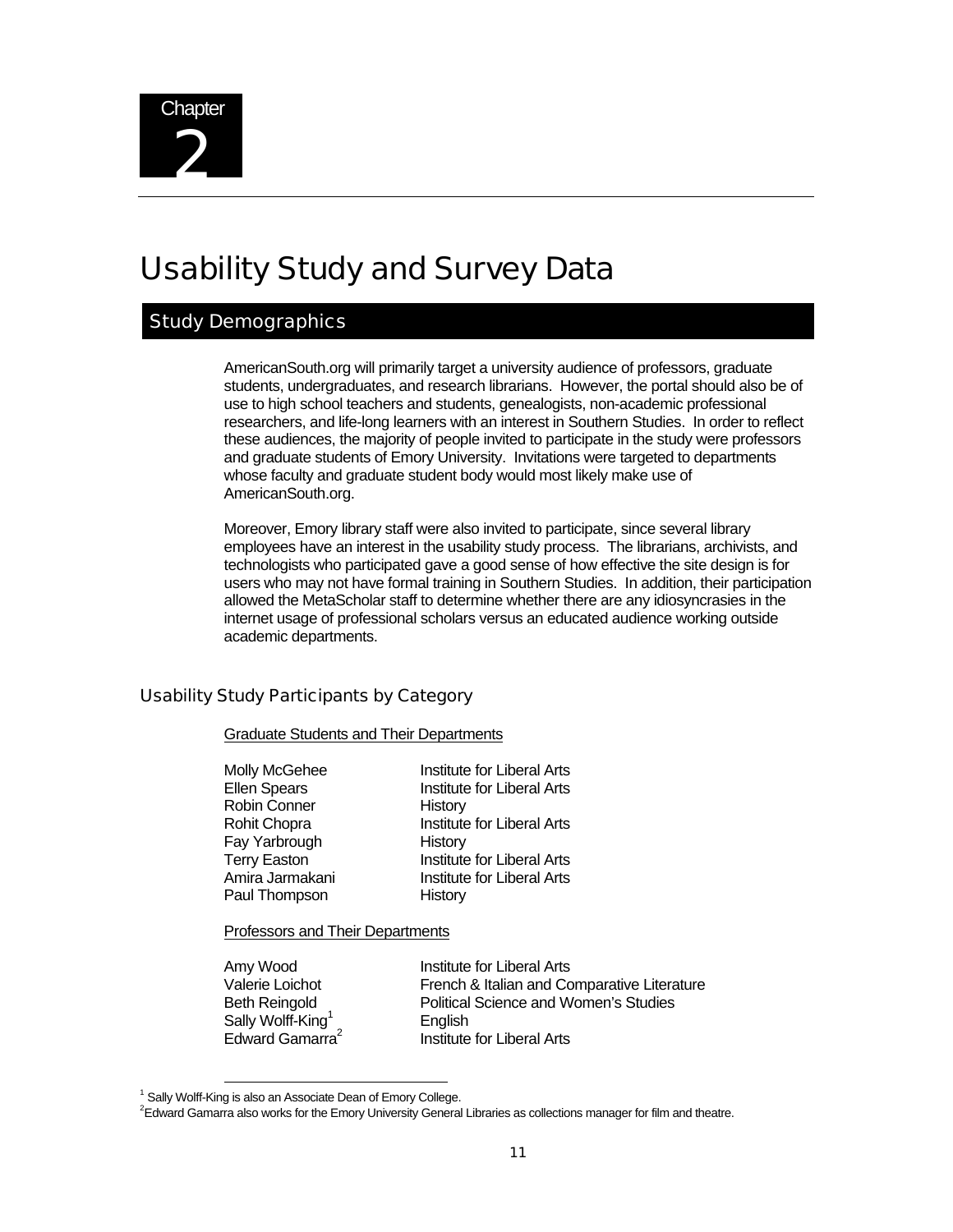

# Usability Study and Survey Data

### Study Demographics

AmericanSouth.org will primarily target a university audience of professors, graduate students, undergraduates, and research librarians. However, the portal should also be of use to high school teachers and students, genealogists, non-academic professional researchers, and life-long learners with an interest in Southern Studies. In order to reflect these audiences, the majority of people invited to participate in the study were professors and graduate students of Emory University. Invitations were targeted to departments whose faculty and graduate student body would most likely make use of AmericanSouth.org.

Moreover, Emory library staff were also invited to participate, since several library employees have an interest in the usability study process. The librarians, archivists, and technologists who participated gave a good sense of how effective the site design is for users who may not have formal training in Southern Studies. In addition, their participation allowed the MetaScholar staff to determine whether there are any idiosyncrasies in the internet usage of professional scholars versus an educated audience working outside academic departments.

### Usability Study Participants by Category

#### Graduate Students and Their Departments

| Molly McGehee       | <b>Institute for Liberal Arts</b> |
|---------------------|-----------------------------------|
| <b>Ellen Spears</b> | Institute for Liberal Arts        |
| <b>Robin Conner</b> | History                           |
| Rohit Chopra        | Institute for Liberal Arts        |
| Fay Yarbrough       | History                           |
| <b>Terry Easton</b> | <b>Institute for Liberal Arts</b> |
| Amira Jarmakani     | Institute for Liberal Arts        |
| Paul Thompson       | History                           |
|                     |                                   |

Professors and Their Departments

Sally Wolff-King<sup>1</sup> Edward Gamarra<sup>2</sup>

Amy Wood **Institute for Liberal Arts** Valerie Loichot French & Italian and Comparative Literature Beth Reingold Political Science and Women's Studies English Institute for Liberal Arts

 <sup>1</sup> Sally Wolff-King is also an Associate Dean of Emory College.

<sup>2</sup> Edward Gamarra also works for the Emory University General Libraries as collections manager for film and theatre.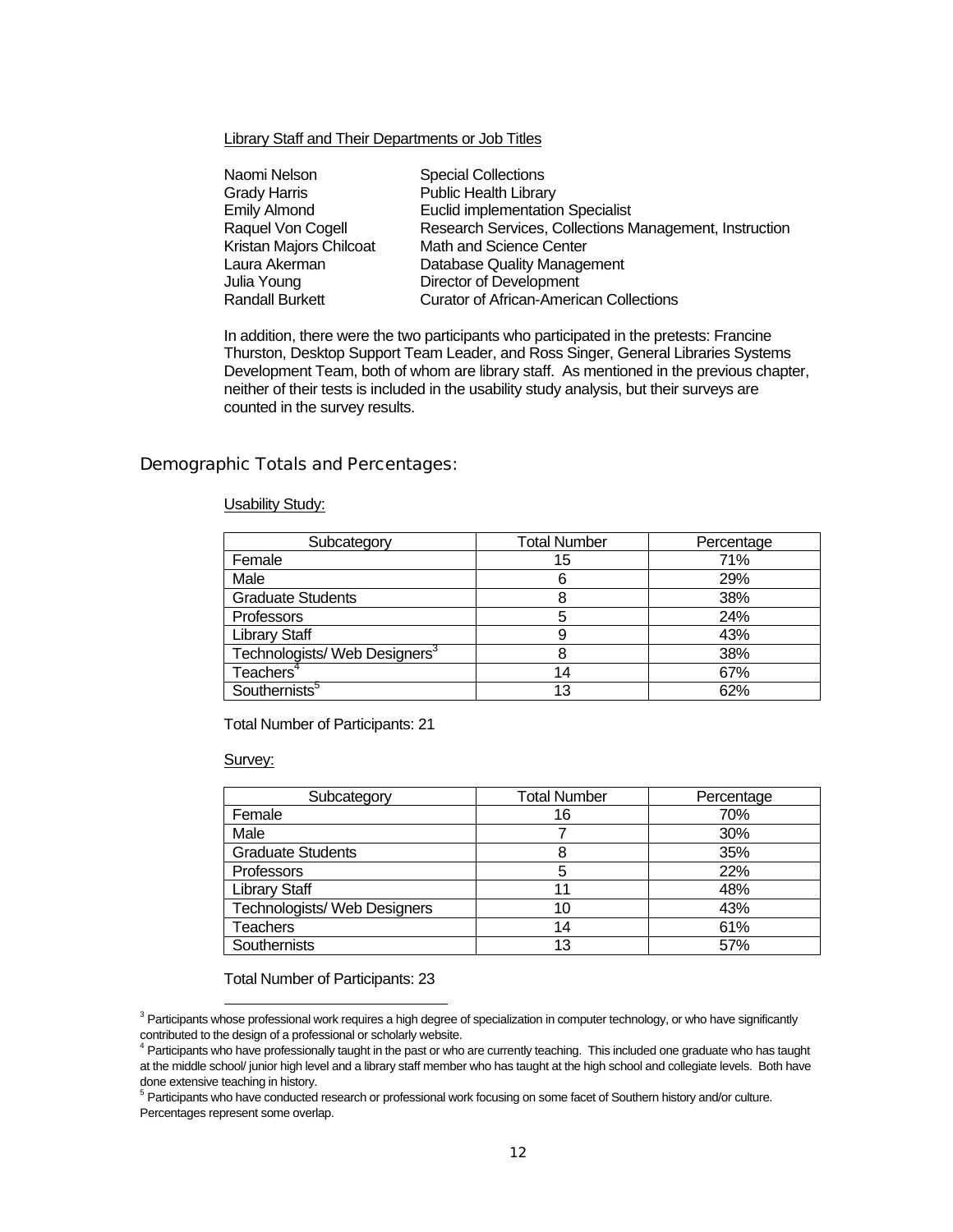Library Staff and Their Departments or Job Titles

| Naomi Nelson            | <b>Special Collections</b>                             |
|-------------------------|--------------------------------------------------------|
| <b>Grady Harris</b>     | <b>Public Health Library</b>                           |
| <b>Emily Almond</b>     | <b>Euclid implementation Specialist</b>                |
| Raquel Von Cogell       | Research Services, Collections Management, Instruction |
| Kristan Majors Chilcoat | Math and Science Center                                |
| Laura Akerman           | Database Quality Management                            |
| Julia Young             | Director of Development                                |
| <b>Randall Burkett</b>  | <b>Curator of African-American Collections</b>         |

In addition, there were the two participants who participated in the pretests: Francine Thurston, Desktop Support Team Leader, and Ross Singer, General Libraries Systems Development Team, both of whom are library staff. As mentioned in the previous chapter, neither of their tests is included in the usability study analysis, but their surveys are counted in the survey results.

### Demographic Totals and Percentages:

### Usability Study:

| Subcategory                               | <b>Total Number</b> | Percentage |
|-------------------------------------------|---------------------|------------|
| Female                                    | 15                  | 71%        |
| Male                                      | 6                   | 29%        |
| <b>Graduate Students</b>                  | ช                   | 38%        |
| Professors                                | 5                   | 24%        |
| <b>Library Staff</b>                      | 9                   | 43%        |
| Technologists/ Web Designers <sup>3</sup> |                     | 38%        |
| Teachers <sup>4</sup>                     | 14                  | 67%        |
| Southernists <sup>5</sup>                 | 13                  | 62%        |

Total Number of Participants: 21

#### Survey:

| Subcategory                  | <b>Total Number</b> | Percentage |
|------------------------------|---------------------|------------|
| Female                       | 16                  | 70%        |
| Male                         |                     | 30%        |
| <b>Graduate Students</b>     | 8                   | 35%        |
| Professors                   | 5                   | 22%        |
| Library Staff                | 11                  | 48%        |
| Technologists/ Web Designers | 10                  | 43%        |
| Teachers                     | 14                  | 61%        |
| Southernists                 | 13                  | 57%        |

Total Number of Participants: 23

 <sup>3</sup> Participants whose professional work requires a high degree of specialization in computer technology, or who have significantly contributed to the design of a professional or scholarly website. 4

<sup>&</sup>lt;sup>4</sup> Participants who have professionally taught in the past or who are currently teaching. This included one graduate who has taught at the middle school/ junior high level and a library staff member who has taught at the high school and collegiate levels. Both have done extensive teaching in history.

<sup>&</sup>lt;sup>5</sup> Participants who have conducted research or professional work focusing on some facet of Southern history and/or culture. Percentages represent some overlap.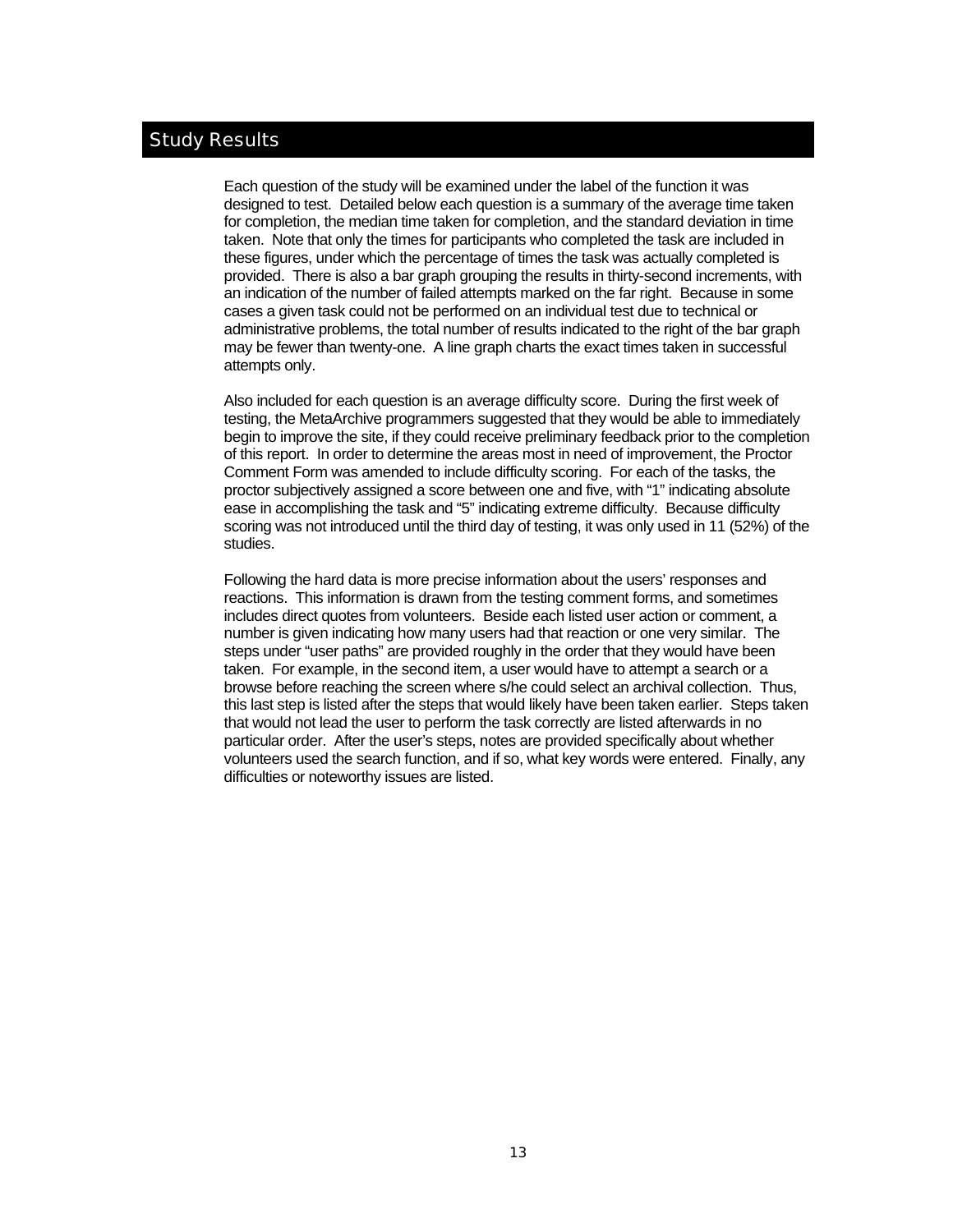### Study Results

Each question of the study will be examined under the label of the function it was designed to test. Detailed below each question is a summary of the average time taken for completion, the median time taken for completion, and the standard deviation in time taken. Note that only the times for participants who completed the task are included in these figures, under which the percentage of times the task was actually completed is provided. There is also a bar graph grouping the results in thirty-second increments, with an indication of the number of failed attempts marked on the far right. Because in some cases a given task could not be performed on an individual test due to technical or administrative problems, the total number of results indicated to the right of the bar graph may be fewer than twenty-one. A line graph charts the exact times taken in successful attempts only.

Also included for each question is an average difficulty score. During the first week of testing, the MetaArchive programmers suggested that they would be able to immediately begin to improve the site, if they could receive preliminary feedback prior to the completion of this report. In order to determine the areas most in need of improvement, the Proctor Comment Form was amended to include difficulty scoring. For each of the tasks, the proctor subjectively assigned a score between one and five, with "1" indicating absolute ease in accomplishing the task and "5" indicating extreme difficulty. Because difficulty scoring was not introduced until the third day of testing, it was only used in 11 (52%) of the studies.

Following the hard data is more precise information about the users' responses and reactions. This information is drawn from the testing comment forms, and sometimes includes direct quotes from volunteers. Beside each listed user action or comment, a number is given indicating how many users had that reaction or one very similar. The steps under "user paths" are provided roughly in the order that they would have been taken. For example, in the second item, a user would have to attempt a search or a browse before reaching the screen where s/he could select an archival collection. Thus, this last step is listed after the steps that would likely have been taken earlier. Steps taken that would not lead the user to perform the task correctly are listed afterwards in no particular order. After the user's steps, notes are provided specifically about whether volunteers used the search function, and if so, what key words were entered. Finally, any difficulties or noteworthy issues are listed.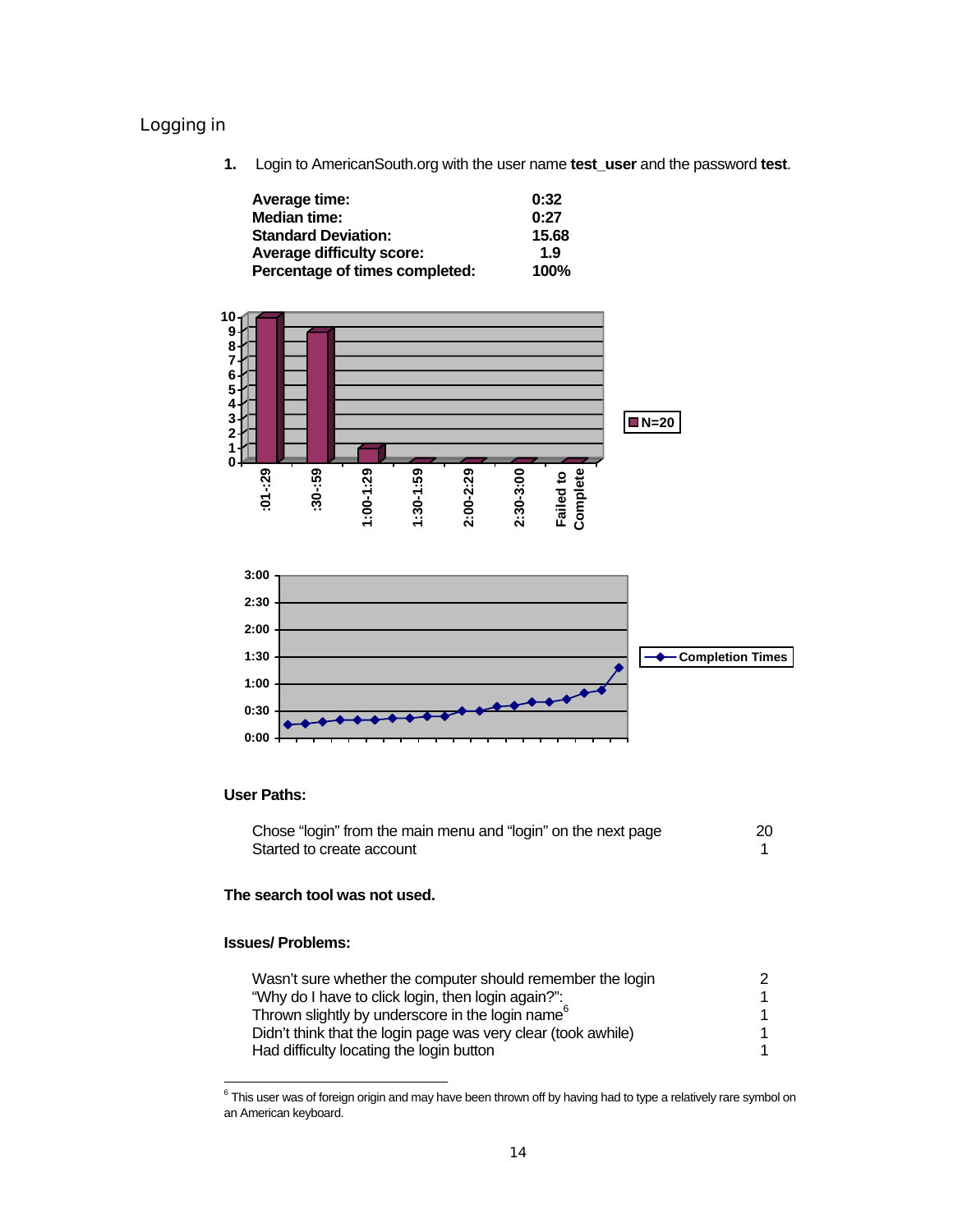### Logging in

**1.** Login to AmericanSouth.org with the user name **test\_user** and the password **test**.

| Average time:                  | 0:32        |
|--------------------------------|-------------|
| <b>Median time:</b>            | 0:27        |
| <b>Standard Deviation:</b>     | 15.68       |
| Average difficulty score:      | 1.9         |
| Percentage of times completed: | <b>100%</b> |



### **User Paths:**

| Chose "login" from the main menu and "login" on the next page | 20 |
|---------------------------------------------------------------|----|
| Started to create account                                     |    |

### **The search tool was not used.**

### **Issues/ Problems:**

| Wasn't sure whether the computer should remember the login    |  |
|---------------------------------------------------------------|--|
| "Why do I have to click login, then login again?":            |  |
| Thrown slightly by underscore in the login name <sup>6</sup>  |  |
| Didn't think that the login page was very clear (took awhile) |  |
| Had difficulty locating the login button                      |  |

 6 This user was of foreign origin and may have been thrown off by having had to type a relatively rare symbol on an American keyboard.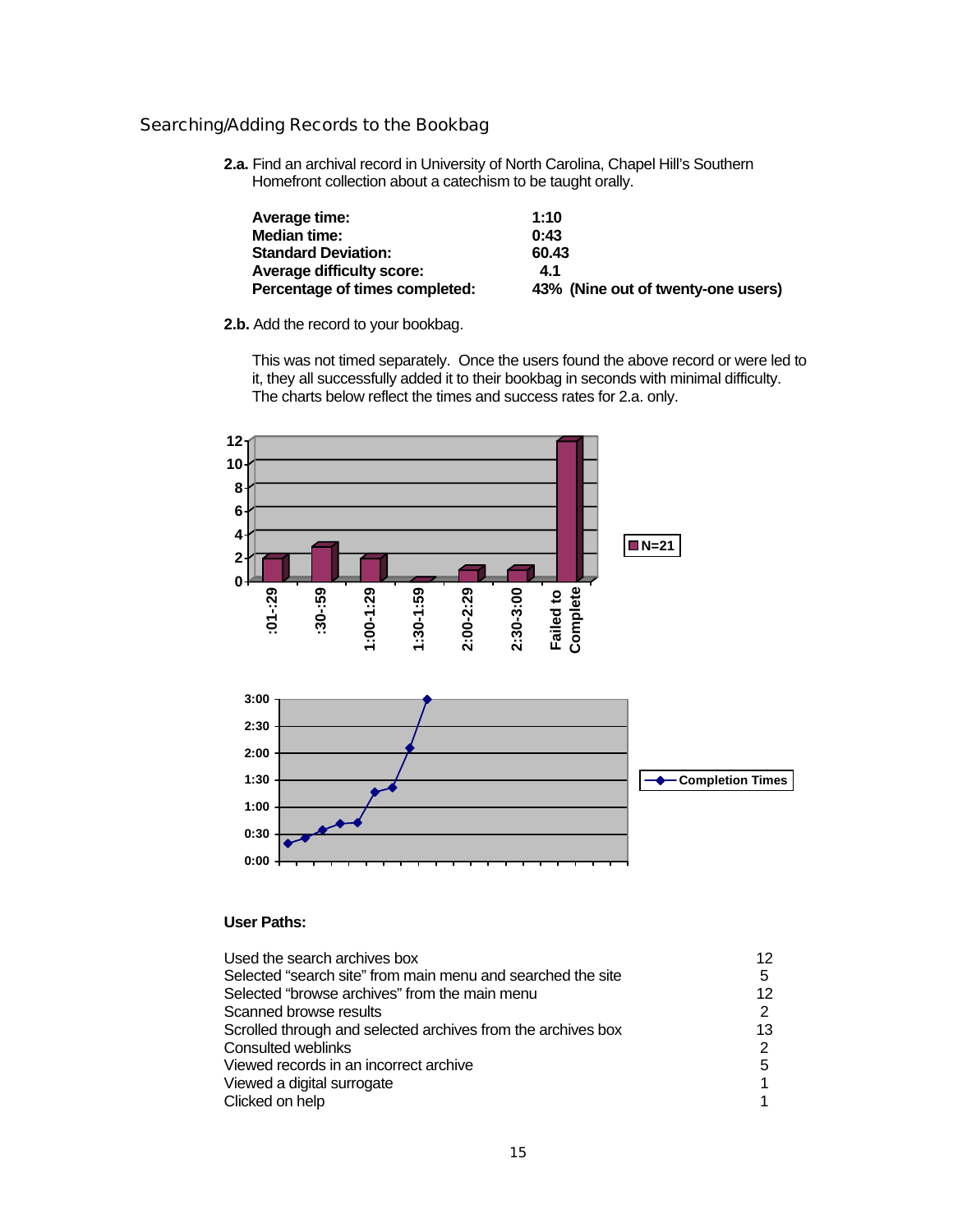### Searching/Adding Records to the Bookbag

**2.a.** Find an archival record in University of North Carolina, Chapel Hill's Southern Homefront collection about a catechism to be taught orally.

| Average time:                    | 1:10                               |
|----------------------------------|------------------------------------|
| Median time:                     | 0:43                               |
| <b>Standard Deviation:</b>       | 60.43                              |
| <b>Average difficulty score:</b> | 4.1                                |
| Percentage of times completed:   | 43% (Nine out of twenty-one users) |

**2.b.** Add the record to your bookbag.

This was not timed separately. Once the users found the above record or were led to it, they all successfully added it to their bookbag in seconds with minimal difficulty. The charts below reflect the times and success rates for 2.a. only.



#### **User Paths:**

| Used the search archives box                                 | 12 |
|--------------------------------------------------------------|----|
| Selected "search site" from main menu and searched the site  | 5  |
| Selected "browse archives" from the main menu                | 12 |
| Scanned browse results                                       | 2  |
| Scrolled through and selected archives from the archives box | 13 |
| Consulted weblinks                                           | 2  |
| Viewed records in an incorrect archive                       | 5  |
| Viewed a digital surrogate                                   |    |
| Clicked on help                                              |    |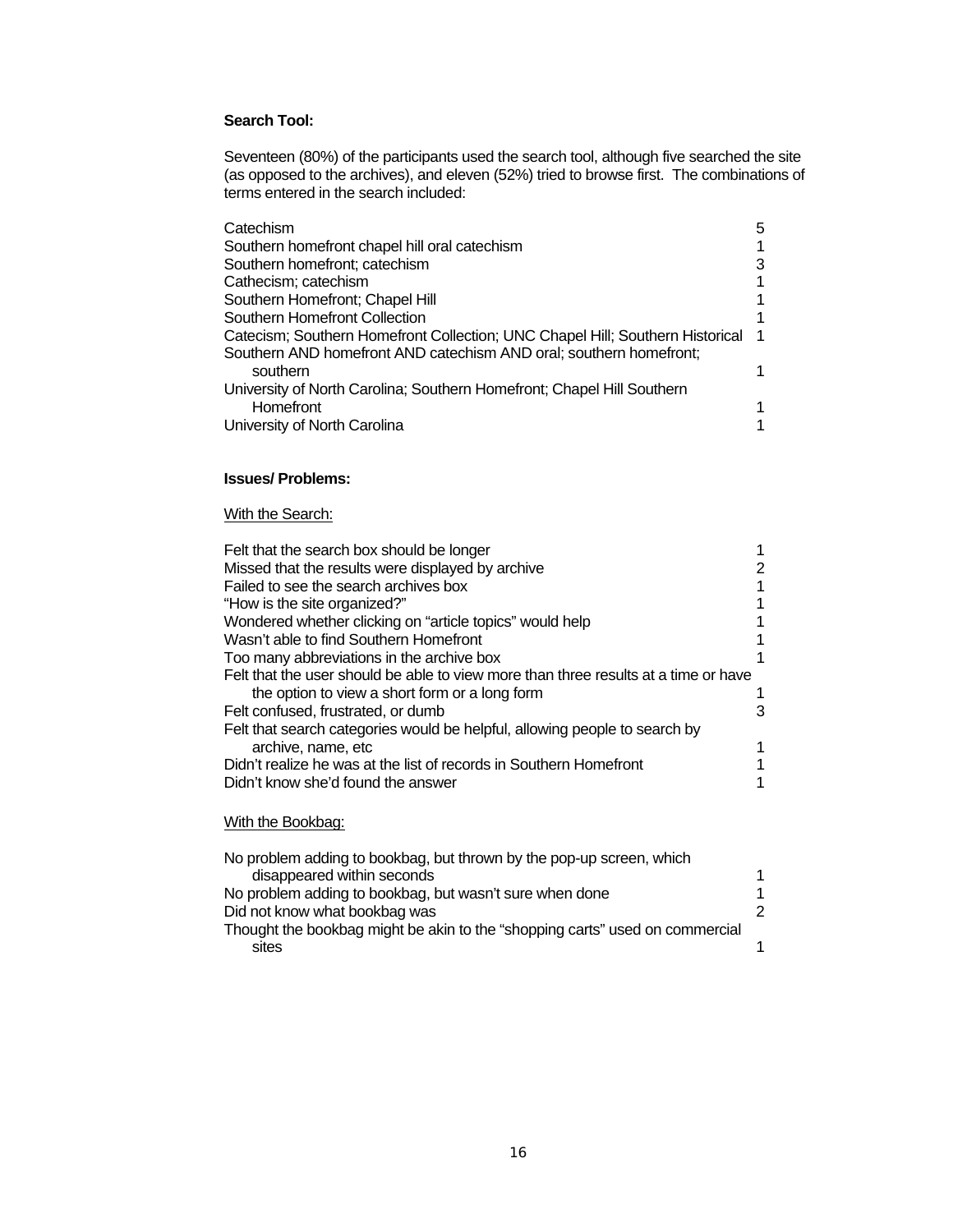### **Search Tool:**

Seventeen (80%) of the participants used the search tool, although five searched the site (as opposed to the archives), and eleven (52%) tried to browse first. The combinations of terms entered in the search included:

| Catechism                                                                     | 5 |
|-------------------------------------------------------------------------------|---|
| Southern homefront chapel hill oral catechism                                 |   |
| Southern homefront; catechism                                                 |   |
| Cathecism; catechism                                                          |   |
| Southern Homefront; Chapel Hill                                               |   |
| Southern Homefront Collection                                                 |   |
| Catecism; Southern Homefront Collection; UNC Chapel Hill; Southern Historical |   |
| Southern AND homefront AND catechism AND oral; southern homefront;            |   |
| southern                                                                      |   |
| University of North Carolina; Southern Homefront; Chapel Hill Southern        |   |
| <b>Homefront</b>                                                              |   |
| University of North Carolina                                                  |   |

### **Issues/ Problems:**

### With the Search:

| Felt that the search box should be longer                                                          |   |
|----------------------------------------------------------------------------------------------------|---|
| Missed that the results were displayed by archive                                                  | 2 |
| Failed to see the search archives box                                                              |   |
| "How is the site organized?"                                                                       |   |
| Wondered whether clicking on "article topics" would help                                           |   |
| Wasn't able to find Southern Homefront                                                             |   |
| Too many abbreviations in the archive box                                                          |   |
| Felt that the user should be able to view more than three results at a time or have                |   |
| the option to view a short form or a long form                                                     |   |
| Felt confused, frustrated, or dumb                                                                 | 3 |
| Felt that search categories would be helpful, allowing people to search by                         |   |
| archive, name, etc                                                                                 |   |
| Didn't realize he was at the list of records in Southern Homefront                                 |   |
| Didn't know she'd found the answer                                                                 |   |
| With the Bookbag:                                                                                  |   |
| No problem adding to bookbag, but thrown by the pop-up screen, which<br>disappeared within seconds |   |

| No problem adding to bookbag, but wasn't sure when done                      |  |
|------------------------------------------------------------------------------|--|
| Did not know what bookbag was                                                |  |
| Thought the bookbag might be akin to the "shopping carts" used on commercial |  |
| sites                                                                        |  |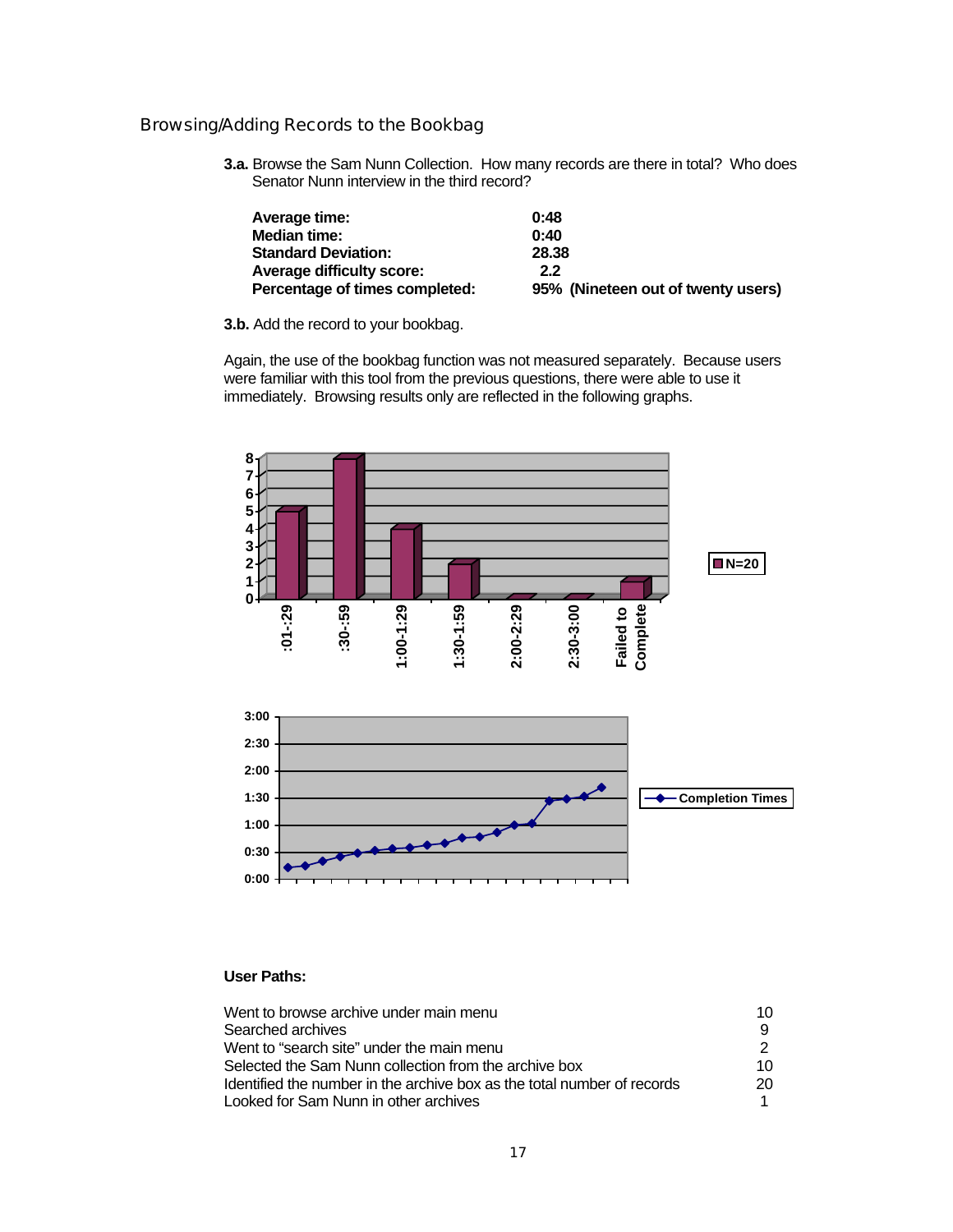### Browsing/Adding Records to the Bookbag

**3.a.** Browse the Sam Nunn Collection. How many records are there in total? Who does Senator Nunn interview in the third record?

| Average time:                    | 0:48                               |
|----------------------------------|------------------------------------|
| Median time:                     | 0:40                               |
| <b>Standard Deviation:</b>       | 28.38                              |
| <b>Average difficulty score:</b> | 2.2                                |
| Percentage of times completed:   | 95% (Nineteen out of twenty users) |

**3.b.** Add the record to your bookbag.

Again, the use of the bookbag function was not measured separately. Because users were familiar with this tool from the previous questions, there were able to use it immediately. Browsing results only are reflected in the following graphs.



### **User Paths:**

| Went to browse archive under main menu                                  | 10  |
|-------------------------------------------------------------------------|-----|
| Searched archives                                                       |     |
| Went to "search site" under the main menu                               |     |
| Selected the Sam Nunn collection from the archive box                   | 10. |
| Identified the number in the archive box as the total number of records | 20. |
| Looked for Sam Nunn in other archives                                   |     |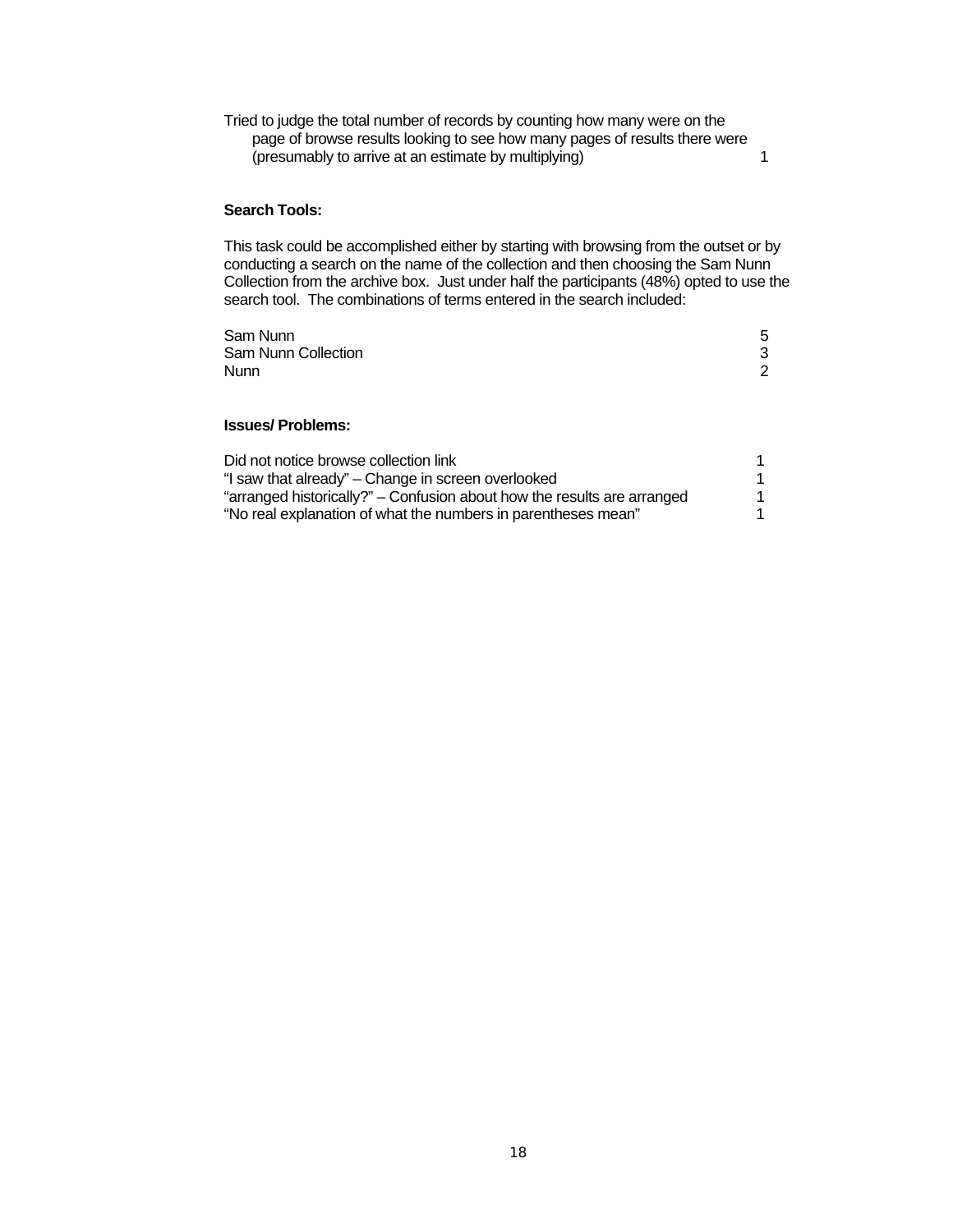Tried to judge the total number of records by counting how many were on the page of browse results looking to see how many pages of results there were (presumably to arrive at an estimate by multiplying) 1

#### **Search Tools:**

This task could be accomplished either by starting with browsing from the outset or by conducting a search on the name of the collection and then choosing the Sam Nunn Collection from the archive box. Just under half the participants (48%) opted to use the search tool. The combinations of terms entered in the search included:

| Sam Nunn            | 5 |
|---------------------|---|
| Sam Nunn Collection | 3 |
| Nunn                | 2 |
|                     |   |

### **Issues/ Problems:**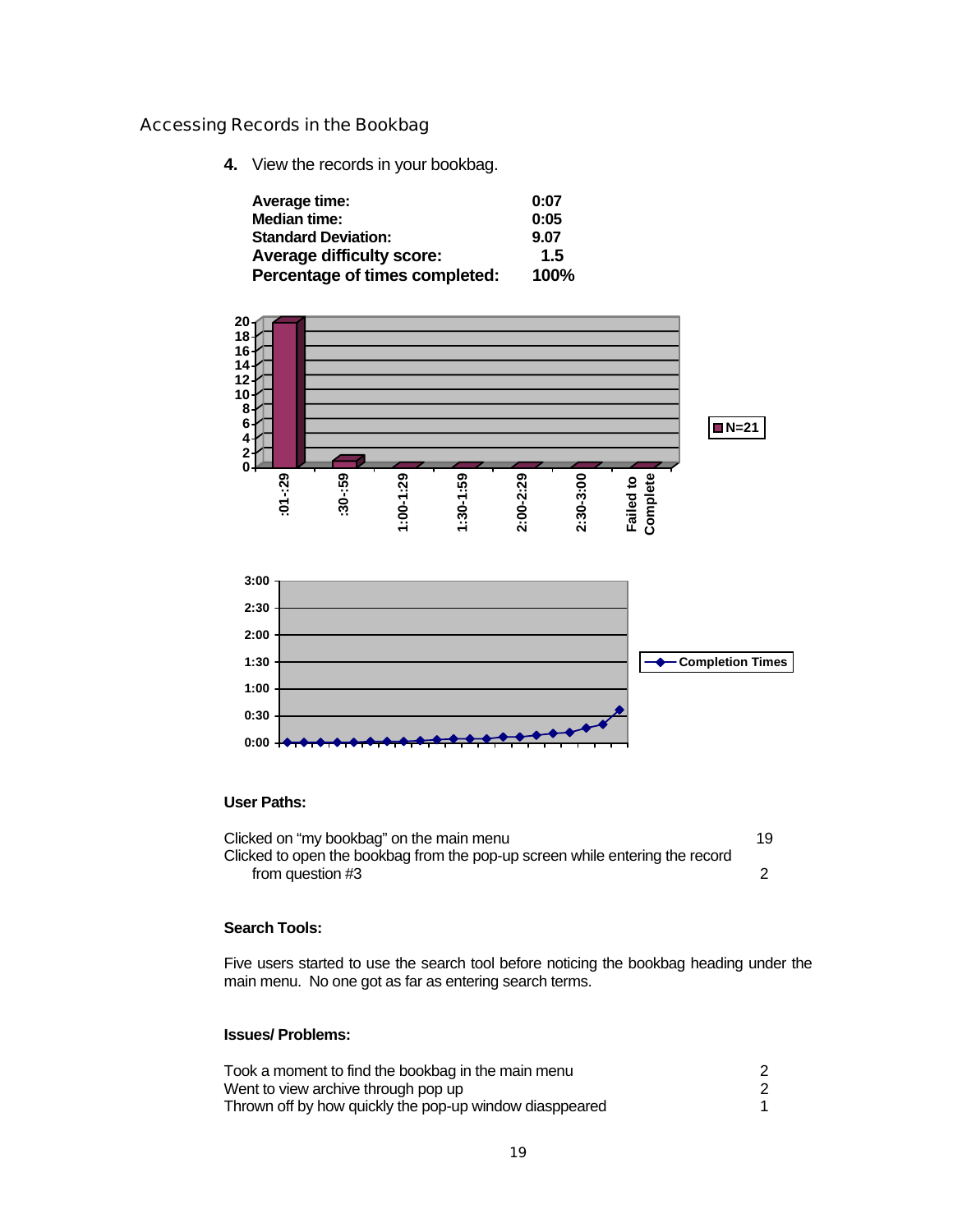### Accessing Records in the Bookbag

**4.** View the records in your bookbag.

| Average time:                    | 0:07 |
|----------------------------------|------|
| <b>Median time:</b>              | 0:05 |
| <b>Standard Deviation:</b>       | 9.07 |
| <b>Average difficulty score:</b> | 1.5  |
| Percentage of times completed:   | 100% |



### **User Paths:**

| Clicked on "my bookbag" on the main menu                                     | 19 |
|------------------------------------------------------------------------------|----|
| Clicked to open the bookbag from the pop-up screen while entering the record |    |
| from question #3                                                             |    |

### **Search Tools:**

Five users started to use the search tool before noticing the bookbag heading under the main menu. No one got as far as entering search terms.

### **Issues/ Problems:**

| Took a moment to find the bookbag in the main menu      |  |
|---------------------------------------------------------|--|
| Went to view archive through pop up                     |  |
| Thrown off by how quickly the pop-up window diasppeared |  |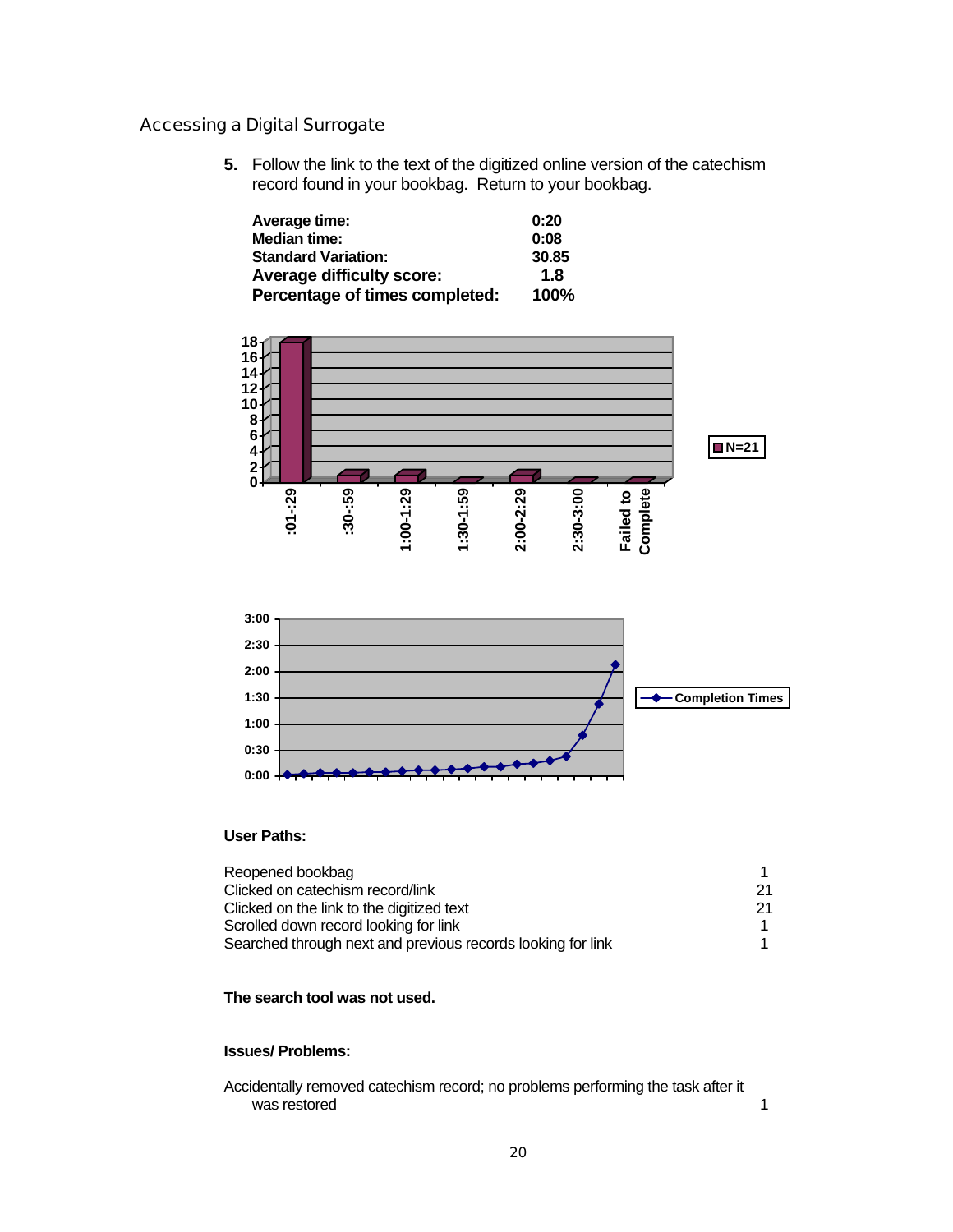### Accessing a Digital Surrogate

**5.** Follow the link to the text of the digitized online version of the catechism record found in your bookbag. Return to your bookbag.

| Average time:                    | 0:20        |
|----------------------------------|-------------|
| <b>Median time:</b>              | 0:08        |
| <b>Standard Variation:</b>       | 30.85       |
| <b>Average difficulty score:</b> | 1.8         |
| Percentage of times completed:   | <b>100%</b> |



### **User Paths:**

| Reopened bookbag                                            |     |
|-------------------------------------------------------------|-----|
| Clicked on catechism record/link                            | -21 |
| Clicked on the link to the digitized text                   | -21 |
| Scrolled down record looking for link                       |     |
| Searched through next and previous records looking for link |     |

#### **The search tool was not used.**

### **Issues/ Problems:**

Accidentally removed catechism record; no problems performing the task after it was restored and the set of the set of the set of the set of the set of the set of the set of the set of the set of the set of the set of the set of the set of the set of the set of the set of the set of the set of the set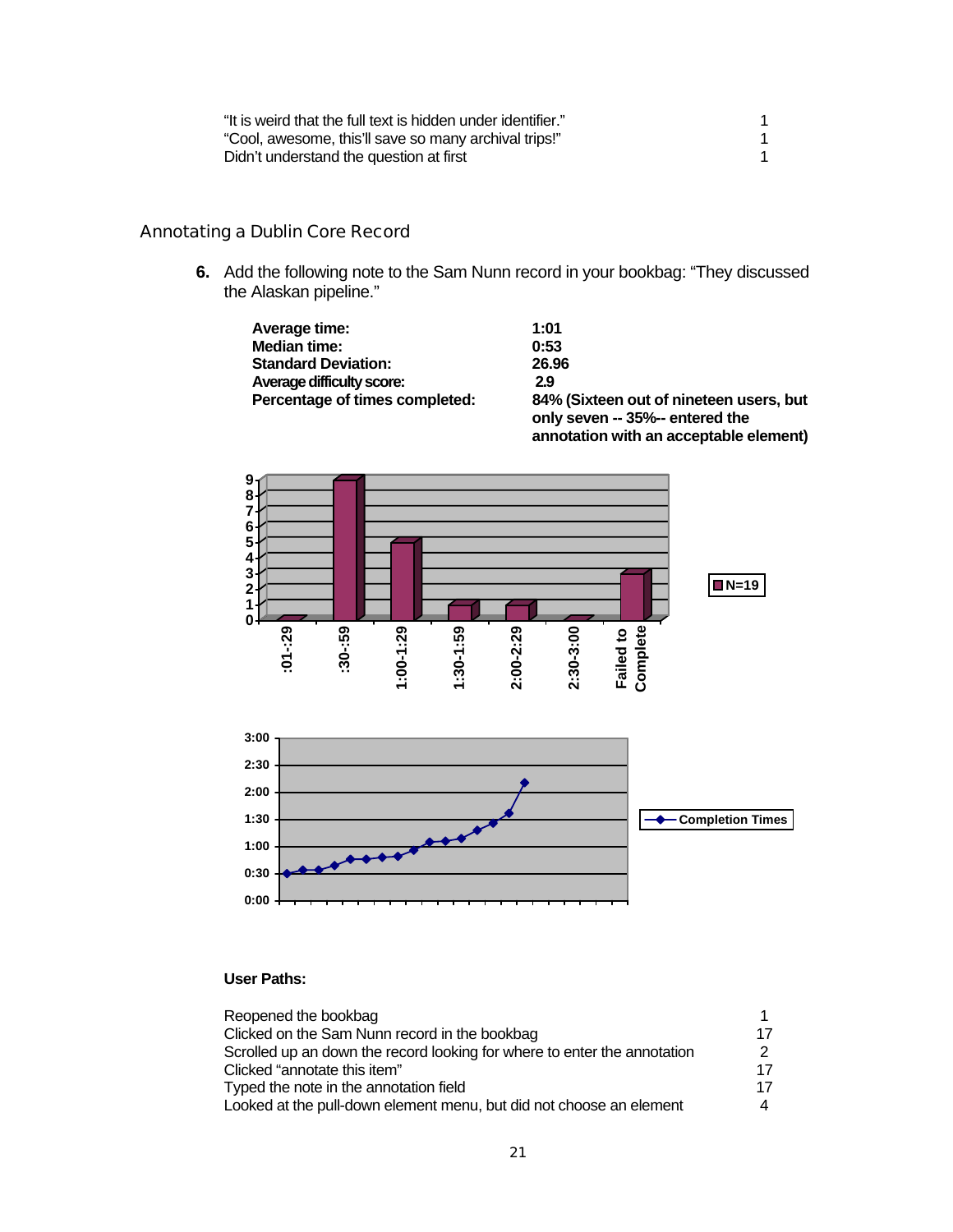| "It is weird that the full text is hidden under identifier." |  |
|--------------------------------------------------------------|--|
| "Cool, awesome, this'll save so many archival trips!"        |  |
| Didn't understand the question at first                      |  |

### Annotating a Dublin Core Record

**6.** Add the following note to the Sam Nunn record in your bookbag: "They discussed the Alaskan pipeline."

 **Standard Deviation: 26.96**

| Average time:                    | 1:01  |
|----------------------------------|-------|
| <b>Median time:</b>              | 0:53  |
| <b>Standard Deviation:</b>       | 26.96 |
| <b>Average difficulty score:</b> | 2.9   |
| Percentage of times completed:   | 84%   |
|                                  |       |

84% (Sixteen out of nineteen users, but **only seven -- 35%-- entered the annotation with an acceptable element)** 





### **User Paths:**

| Reopened the bookbag                                                     |    |
|--------------------------------------------------------------------------|----|
| Clicked on the Sam Nunn record in the bookbag                            | 17 |
| Scrolled up an down the record looking for where to enter the annotation |    |
| Clicked "annotate this item"                                             | 17 |
| Typed the note in the annotation field                                   | 17 |
| Looked at the pull-down element menu, but did not choose an element      |    |
|                                                                          |    |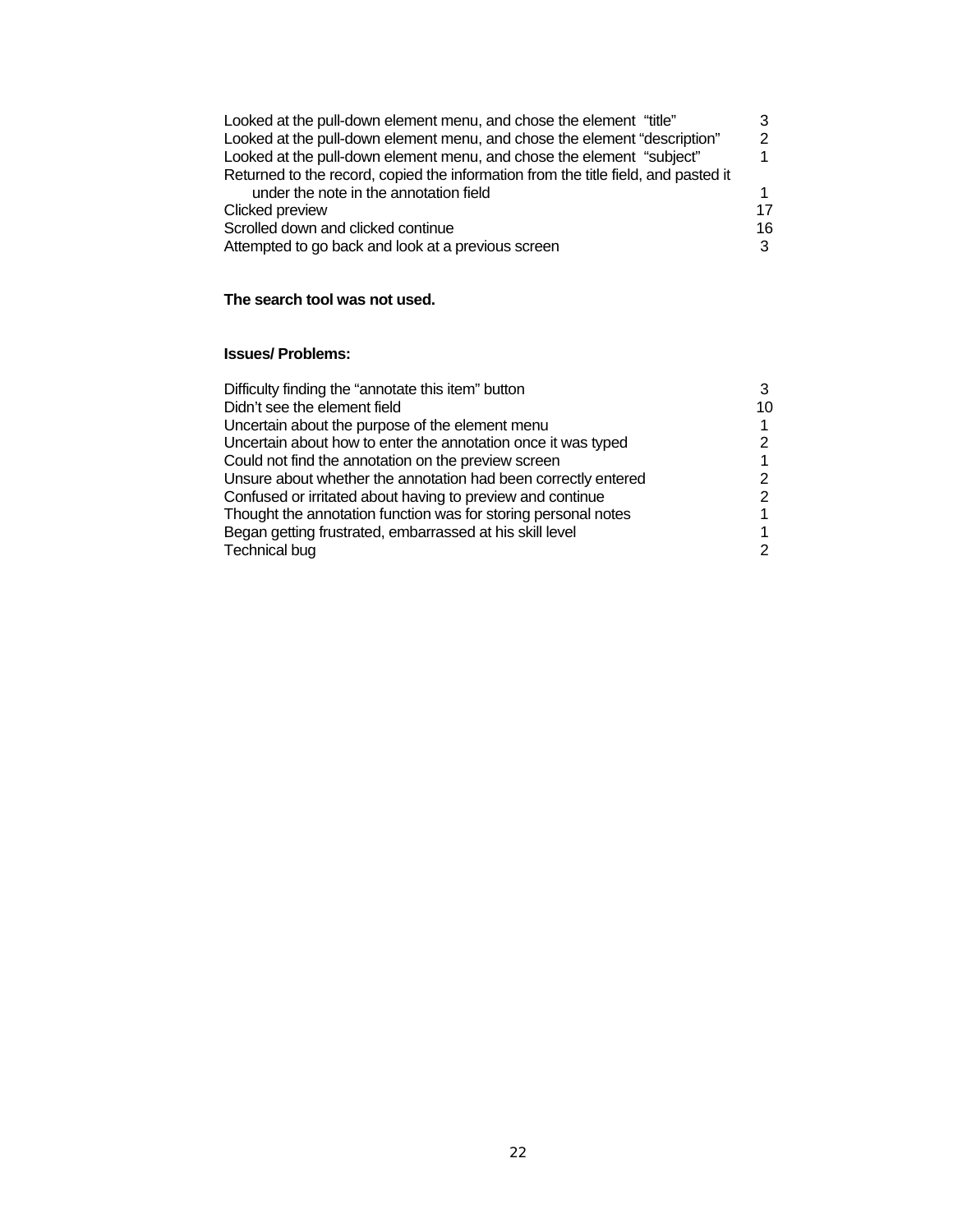| Looked at the pull-down element menu, and chose the element "title"                |     |
|------------------------------------------------------------------------------------|-----|
| Looked at the pull-down element menu, and chose the element "description"          | っ   |
| Looked at the pull-down element menu, and chose the element "subject"              |     |
| Returned to the record, copied the information from the title field, and pasted it |     |
| under the note in the annotation field                                             |     |
| Clicked preview                                                                    | 17  |
| Scrolled down and clicked continue                                                 | 16. |
| Attempted to go back and look at a previous screen                                 |     |

### **The search tool was not used.**

### **Issues/ Problems:**

| Difficulty finding the "annotate this item" button             |    |
|----------------------------------------------------------------|----|
| Didn't see the element field                                   | 10 |
| Uncertain about the purpose of the element menu                |    |
| Uncertain about how to enter the annotation once it was typed  |    |
| Could not find the annotation on the preview screen            |    |
| Unsure about whether the annotation had been correctly entered |    |
| Confused or irritated about having to preview and continue     |    |
| Thought the annotation function was for storing personal notes |    |
| Began getting frustrated, embarrassed at his skill level       |    |
| <b>Technical bug</b>                                           |    |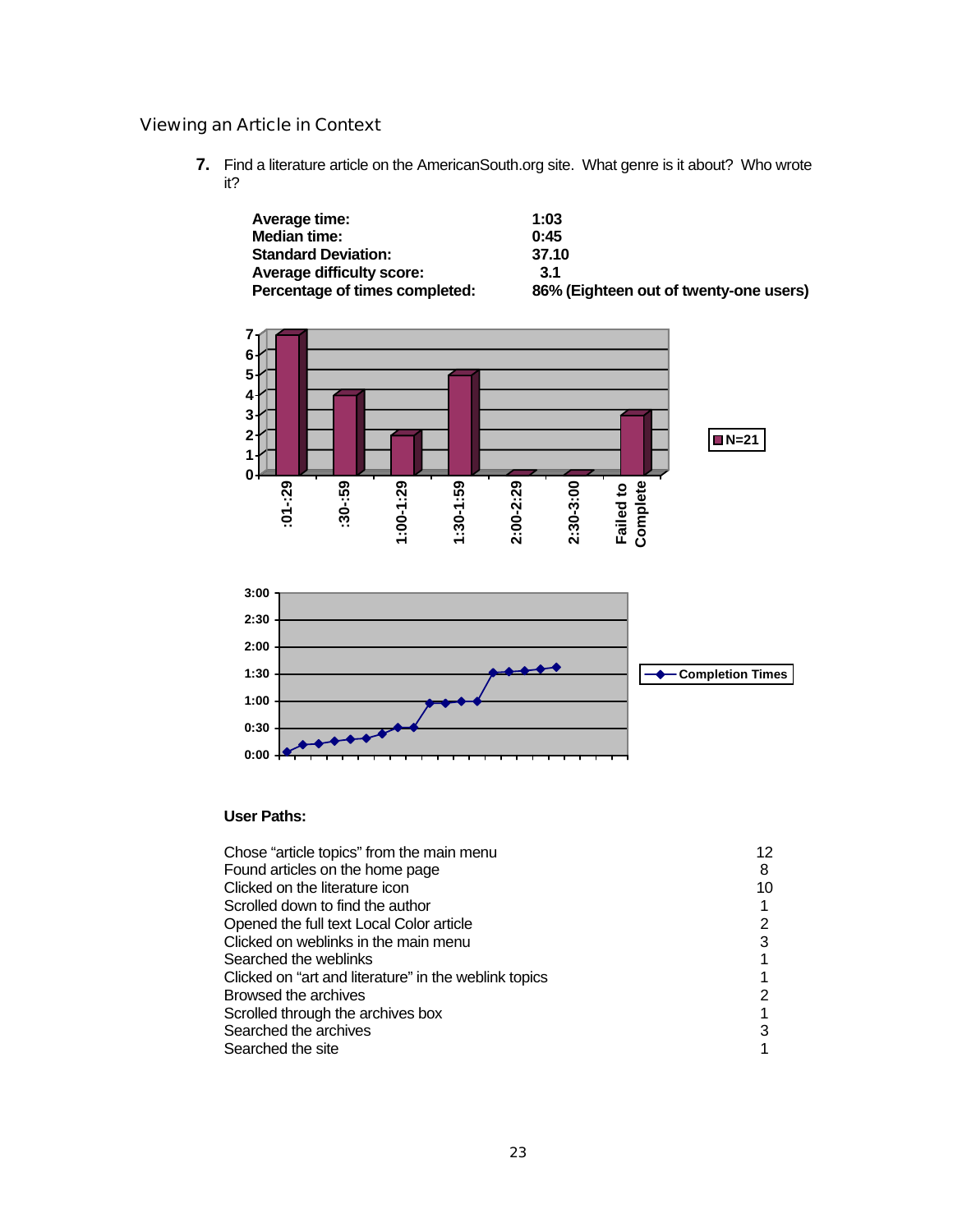### Viewing an Article in Context

**7.** Find a literature article on the AmericanSouth.org site. What genre is it about? Who wrote it?

| Average time:                    | 1:03                                   |
|----------------------------------|----------------------------------------|
| Median time:                     | 0:45                                   |
| <b>Standard Deviation:</b>       | 37.10                                  |
| <b>Average difficulty score:</b> | 3.1                                    |
| Percentage of times completed:   | 86% (Eighteen out of twenty-one users) |



### **User Paths:**

| Chose "article topics" from the main menu             |    |
|-------------------------------------------------------|----|
| Found articles on the home page                       | 8  |
| Clicked on the literature icon                        | 10 |
| Scrolled down to find the author                      |    |
| Opened the full text Local Color article              |    |
| Clicked on weblinks in the main menu                  |    |
| Searched the weblinks                                 |    |
| Clicked on "art and literature" in the weblink topics |    |
| Browsed the archives                                  |    |
| Scrolled through the archives box                     |    |
| Searched the archives                                 |    |
| Searched the site                                     |    |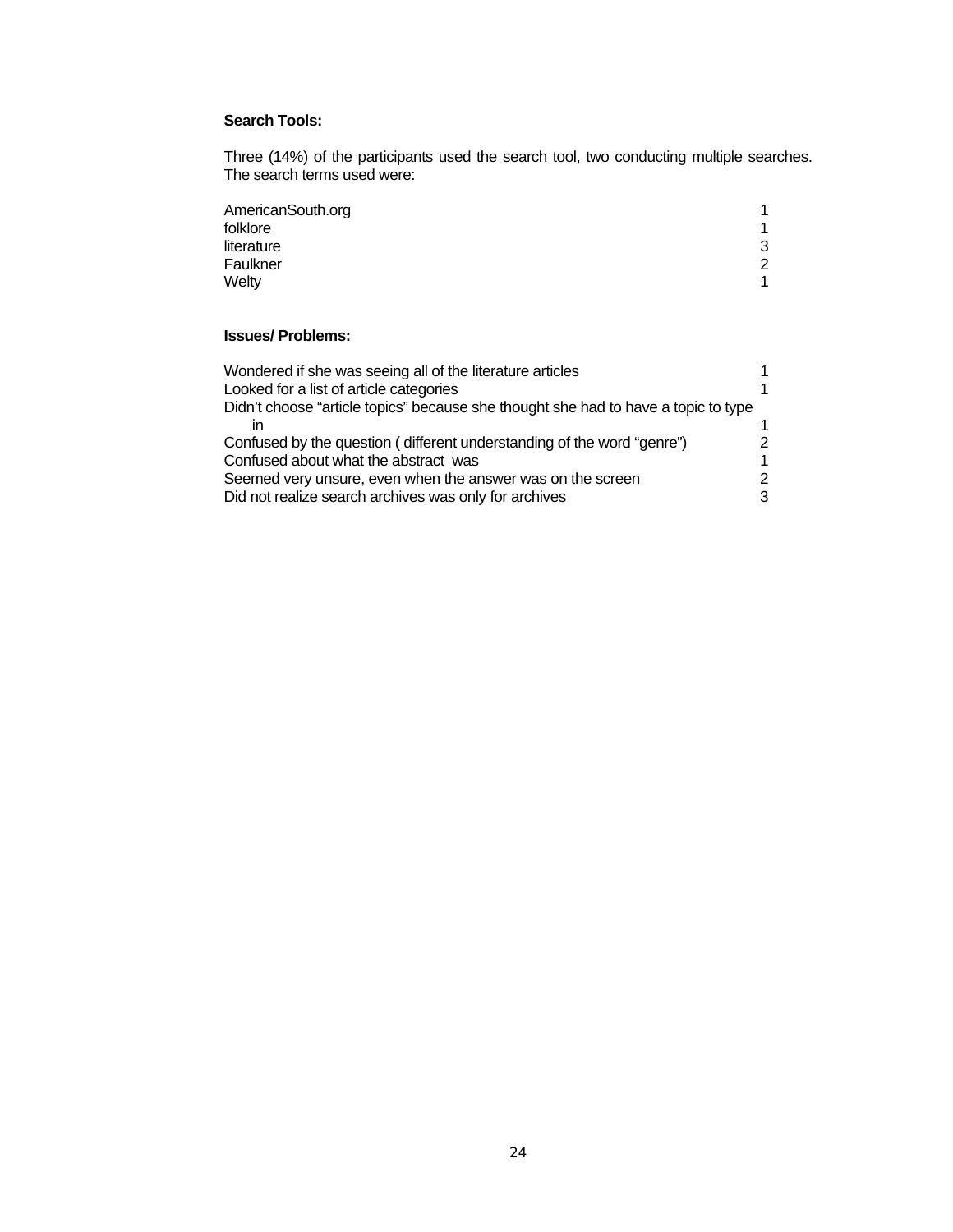### **Search Tools:**

Three (14%) of the participants used the search tool, two conducting multiple searches. The search terms used were:

| AmericanSouth.org |   |
|-------------------|---|
| folklore          |   |
| literature        | 3 |
| Faulkner          | 2 |
| Welty             |   |

### **Issues/ Problems:**

| Wondered if she was seeing all of the literature articles                          |  |
|------------------------------------------------------------------------------------|--|
| Looked for a list of article categories                                            |  |
| Didn't choose "article topics" because she thought she had to have a topic to type |  |
| ın                                                                                 |  |
| Confused by the question (different understanding of the word "genre")             |  |
| Confused about what the abstract was                                               |  |
| Seemed very unsure, even when the answer was on the screen                         |  |
| Did not realize search archives was only for archives                              |  |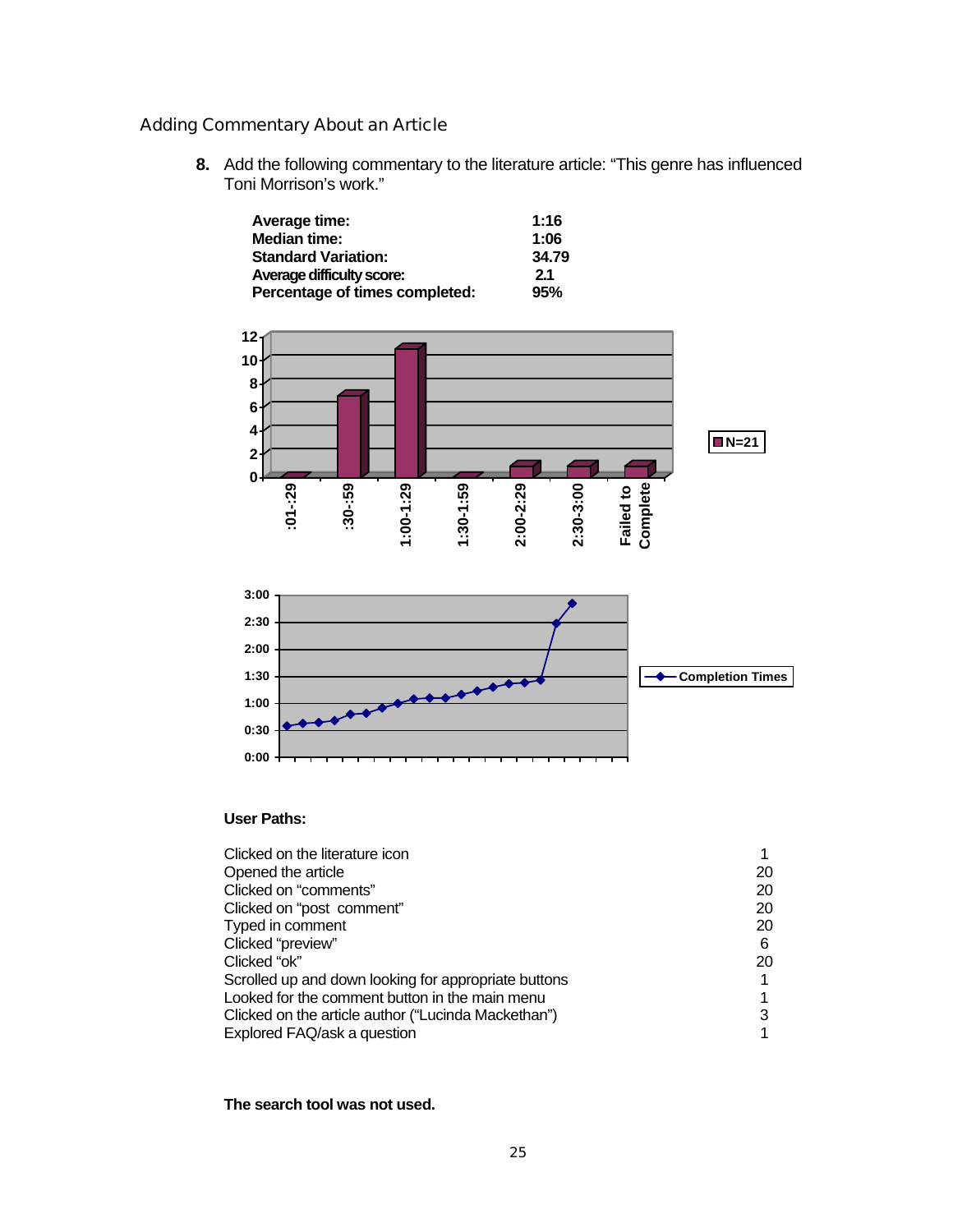### Adding Commentary About an Article

**8.** Add the following commentary to the literature article: "This genre has influenced Toni Morrison's work."

| Average time:                    | 1:16  |
|----------------------------------|-------|
| Median time:                     | 1:06  |
| <b>Standard Variation:</b>       | 34.79 |
| <b>Average difficulty score:</b> | 2.1   |
| Percentage of times completed:   | 95%   |



### **User Paths:**

| Clicked on the literature icon                       |    |
|------------------------------------------------------|----|
| Opened the article                                   | 20 |
| Clicked on "comments"                                | 20 |
| Clicked on "post comment"                            | 20 |
| Typed in comment                                     | 20 |
| Clicked "preview"                                    | 6  |
| Clicked "ok"                                         | 20 |
| Scrolled up and down looking for appropriate buttons |    |
| Looked for the comment button in the main menu       |    |
| Clicked on the article author ("Lucinda Mackethan")  |    |
| Explored FAQ/ask a question                          |    |

### **The search tool was not used.**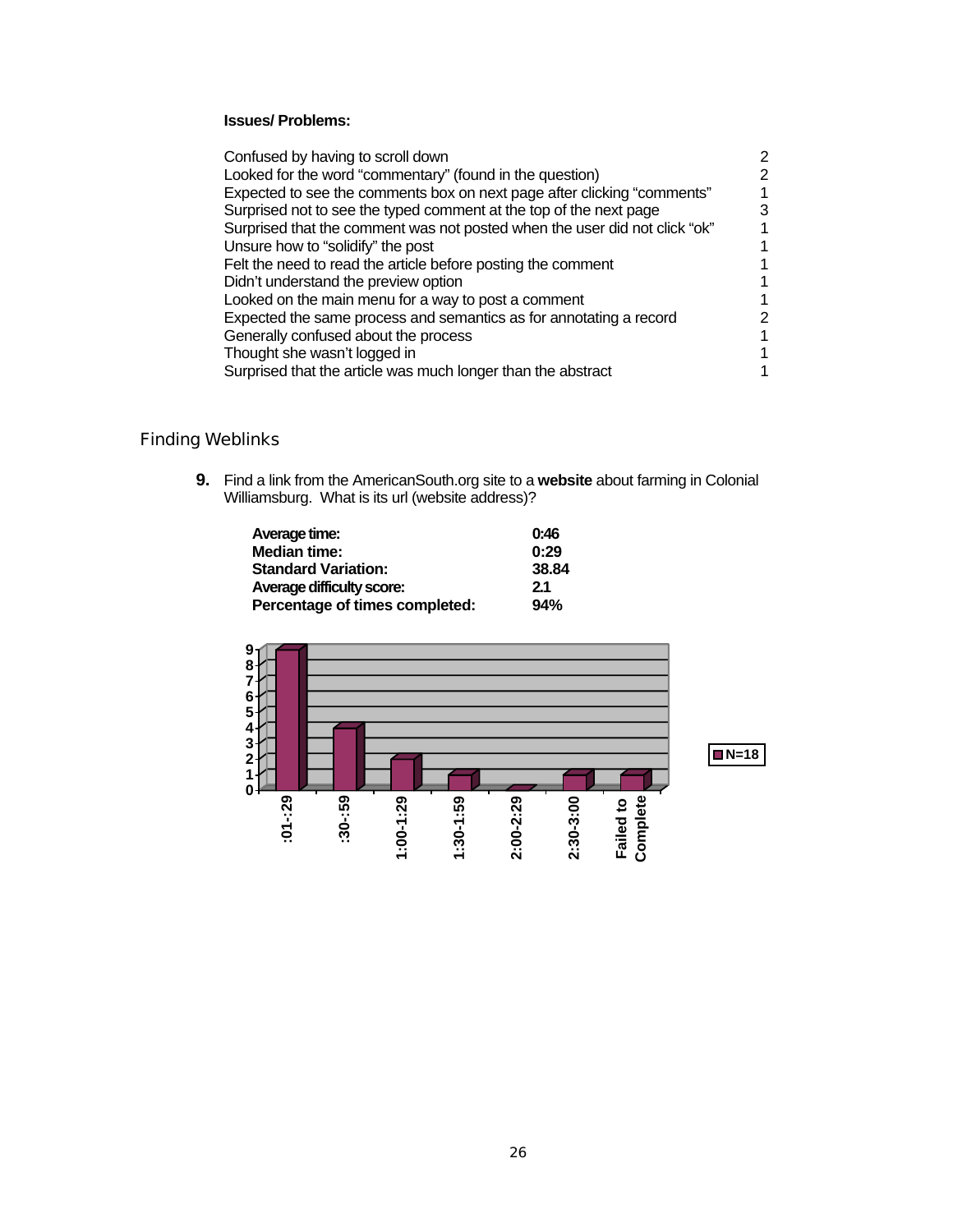### **Issues/ Problems:**

| Confused by having to scroll down                                          | 2 |
|----------------------------------------------------------------------------|---|
| Looked for the word "commentary" (found in the question)                   |   |
| Expected to see the comments box on next page after clicking "comments"    |   |
| Surprised not to see the typed comment at the top of the next page         |   |
| Surprised that the comment was not posted when the user did not click "ok" |   |
| Unsure how to "solidify" the post                                          |   |
| Felt the need to read the article before posting the comment               |   |
| Didn't understand the preview option                                       |   |
| Looked on the main menu for a way to post a comment                        |   |
| Expected the same process and semantics as for annotating a record         |   |
| Generally confused about the process                                       |   |
| Thought she wasn't logged in                                               |   |
| Surprised that the article was much longer than the abstract               |   |

### Finding Weblinks

**9.** Find a link from the AmericanSouth.org site to a **website** about farming in Colonial Williamsburg. What is its url (website address)?

| Average time:                    | 0:46  |
|----------------------------------|-------|
| <b>Median time:</b>              | 0:29  |
| <b>Standard Variation:</b>       | 38.84 |
| <b>Average difficulty score:</b> | 2.1   |
| Percentage of times completed:   | 94%   |

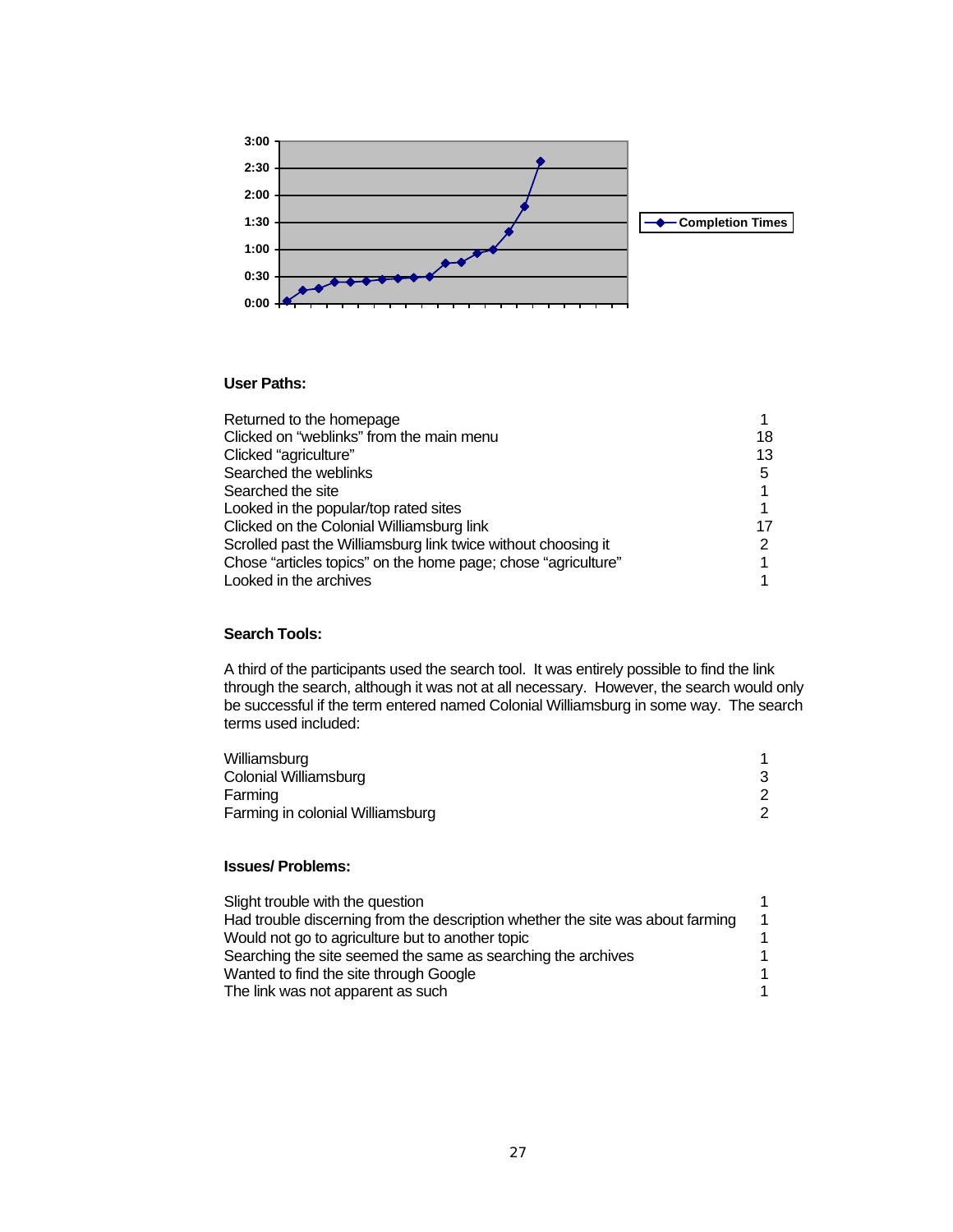

### **User Paths:**

| Returned to the homepage                                      |    |
|---------------------------------------------------------------|----|
| Clicked on "weblinks" from the main menu                      | 18 |
| Clicked "agriculture"                                         | 13 |
| Searched the weblinks                                         | 5  |
| Searched the site                                             |    |
| Looked in the popular/top rated sites                         |    |
| Clicked on the Colonial Williamsburg link                     | 17 |
| Scrolled past the Williamsburg link twice without choosing it |    |
| Chose "articles topics" on the home page; chose "agriculture" |    |
| Looked in the archives                                        |    |

### **Search Tools:**

A third of the participants used the search tool. It was entirely possible to find the link through the search, although it was not at all necessary. However, the search would only be successful if the term entered named Colonial Williamsburg in some way. The search terms used included:

| Williamsburg                     |  |
|----------------------------------|--|
| Colonial Williamsburg            |  |
| Farming                          |  |
| Farming in colonial Williamsburg |  |

### **Issues/ Problems:**

| Slight trouble with the question                                               |  |
|--------------------------------------------------------------------------------|--|
| Had trouble discerning from the description whether the site was about farming |  |
| Would not go to agriculture but to another topic                               |  |
| Searching the site seemed the same as searching the archives                   |  |
| Wanted to find the site through Google                                         |  |
| The link was not apparent as such                                              |  |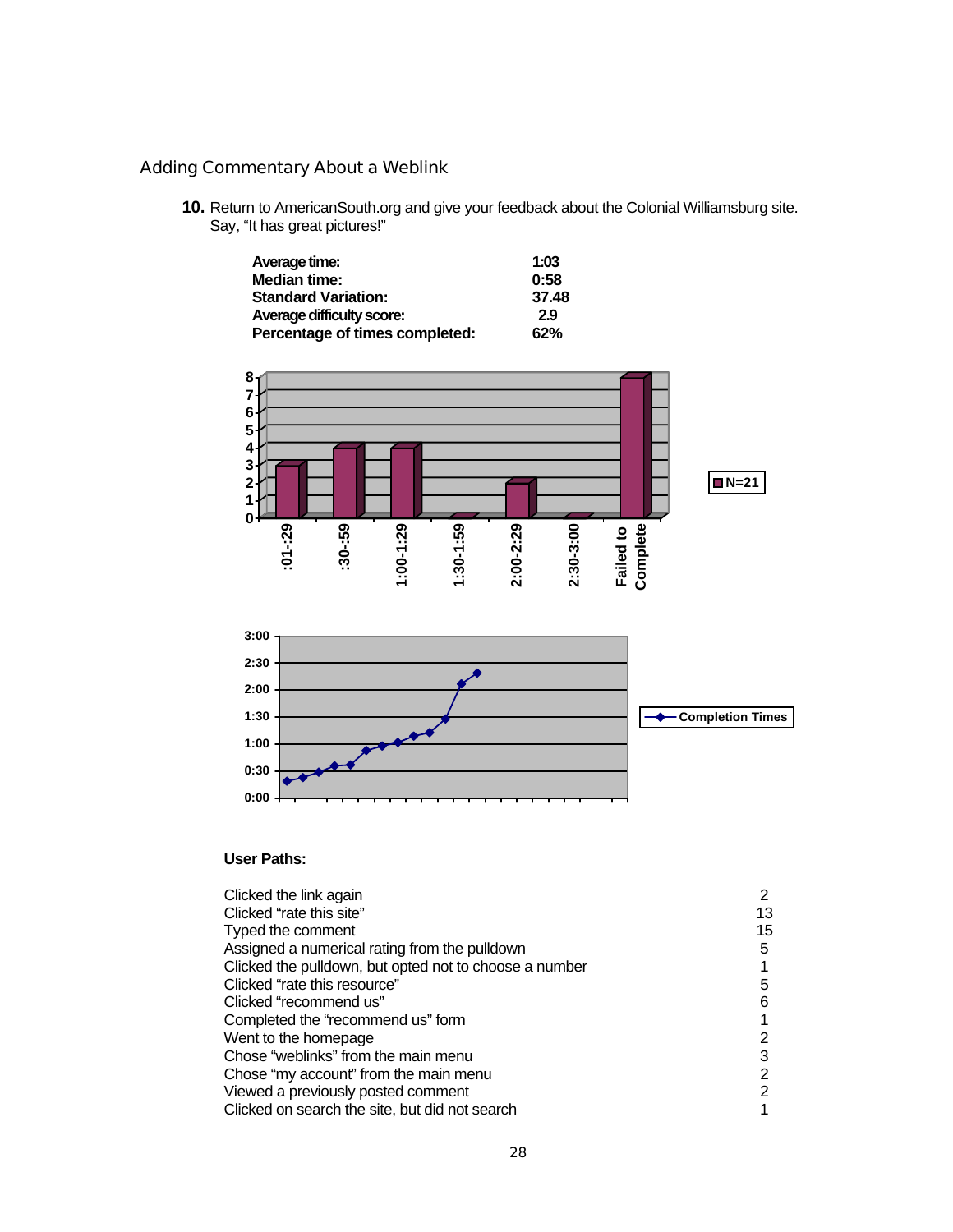### Adding Commentary About a Weblink

**10.** Return to AmericanSouth.org and give your feedback about the Colonial Williamsburg site. Say, "It has great pictures!"

| Average time:                    | 1:03  |
|----------------------------------|-------|
| <b>Median time:</b>              | 0:58  |
| <b>Standard Variation:</b>       | 37.48 |
| <b>Average difficulty score:</b> | 2.9   |
| Percentage of times completed:   | 62%   |



### **User Paths:**

| Clicked the link again                                 |    |
|--------------------------------------------------------|----|
| Clicked "rate this site"                               | 13 |
| Typed the comment                                      | 15 |
| Assigned a numerical rating from the pulldown          | 5  |
| Clicked the pulldown, but opted not to choose a number |    |
| Clicked "rate this resource"                           | 5  |
| Clicked "recommend us"                                 | 6  |
| Completed the "recommend us" form                      |    |
| Went to the homepage                                   | 2  |
| Chose "weblinks" from the main menu                    | 3  |
| Chose "my account" from the main menu                  | 2  |
| Viewed a previously posted comment                     | 2  |
| Clicked on search the site, but did not search         |    |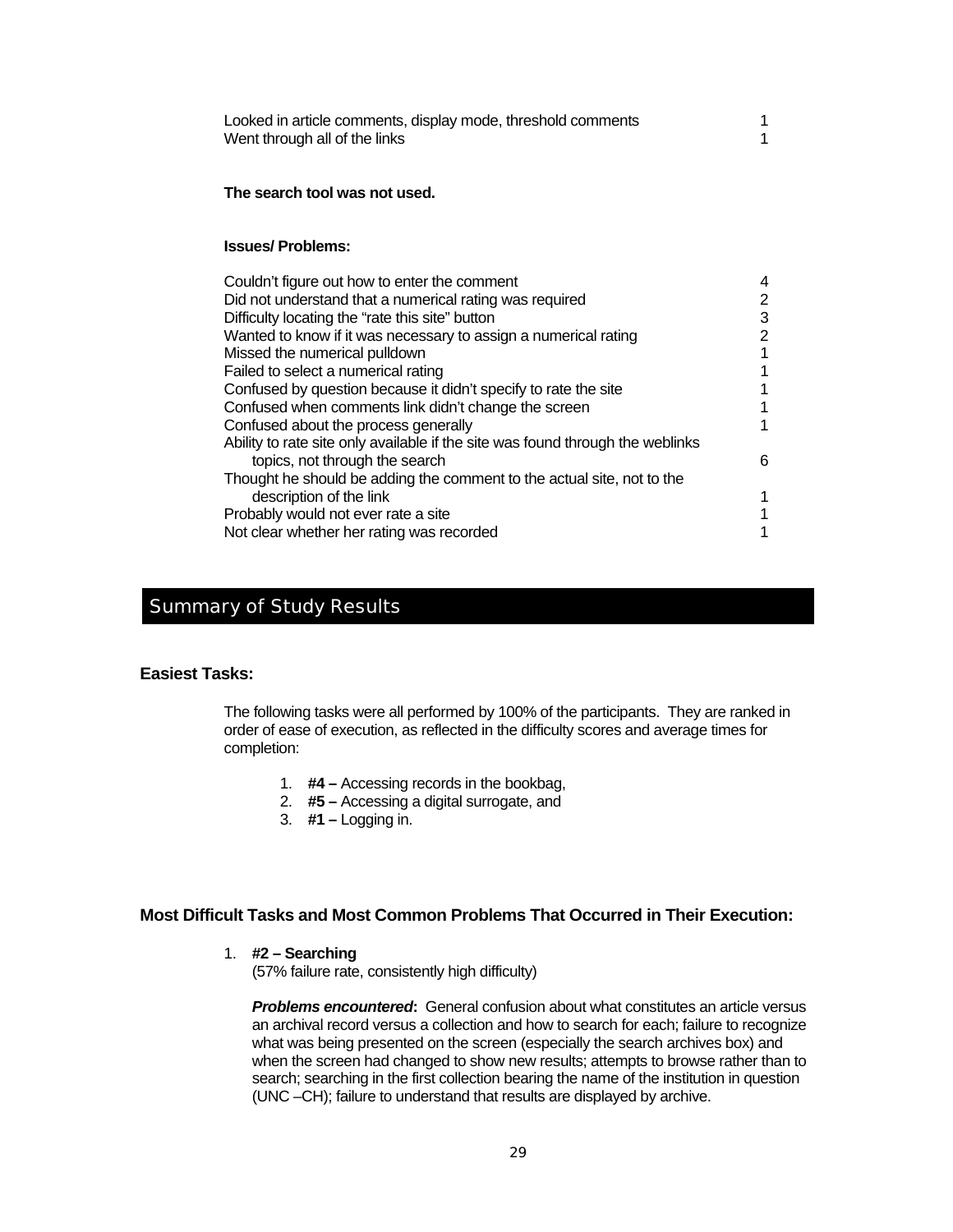| Looked in article comments, display mode, threshold comments |  |
|--------------------------------------------------------------|--|
| Went through all of the links                                |  |

#### **The search tool was not used.**

#### **Issues/ Problems:**

| Couldn't figure out how to enter the comment                                   |   |
|--------------------------------------------------------------------------------|---|
| Did not understand that a numerical rating was required                        | 2 |
| Difficulty locating the "rate this site" button                                | 3 |
| Wanted to know if it was necessary to assign a numerical rating                | 2 |
| Missed the numerical pulldown                                                  |   |
| Failed to select a numerical rating                                            |   |
| Confused by question because it didn't specify to rate the site                |   |
| Confused when comments link didn't change the screen                           |   |
| Confused about the process generally                                           |   |
| Ability to rate site only available if the site was found through the weblinks |   |
| topics, not through the search                                                 | 6 |
| Thought he should be adding the comment to the actual site, not to the         |   |
| description of the link                                                        |   |
| Probably would not ever rate a site                                            |   |
| Not clear whether her rating was recorded                                      |   |

### Summary of Study Results

#### **Easiest Tasks:**

The following tasks were all performed by 100% of the participants. They are ranked in order of ease of execution, as reflected in the difficulty scores and average times for completion:

- 1. **#4** Accessing records in the bookbag,
- 2. **#5** Accessing a digital surrogate, and
- 3. **#1** Logging in.

### **Most Difficult Tasks and Most Common Problems That Occurred in Their Execution:**

1. **#2 – Searching** 

(57% failure rate, consistently high difficulty)

*Problems encountered***:** General confusion about what constitutes an article versus an archival record versus a collection and how to search for each; failure to recognize what was being presented on the screen (especially the search archives box) and when the screen had changed to show new results; attempts to browse rather than to search; searching in the first collection bearing the name of the institution in question (UNC –CH); failure to understand that results are displayed by archive.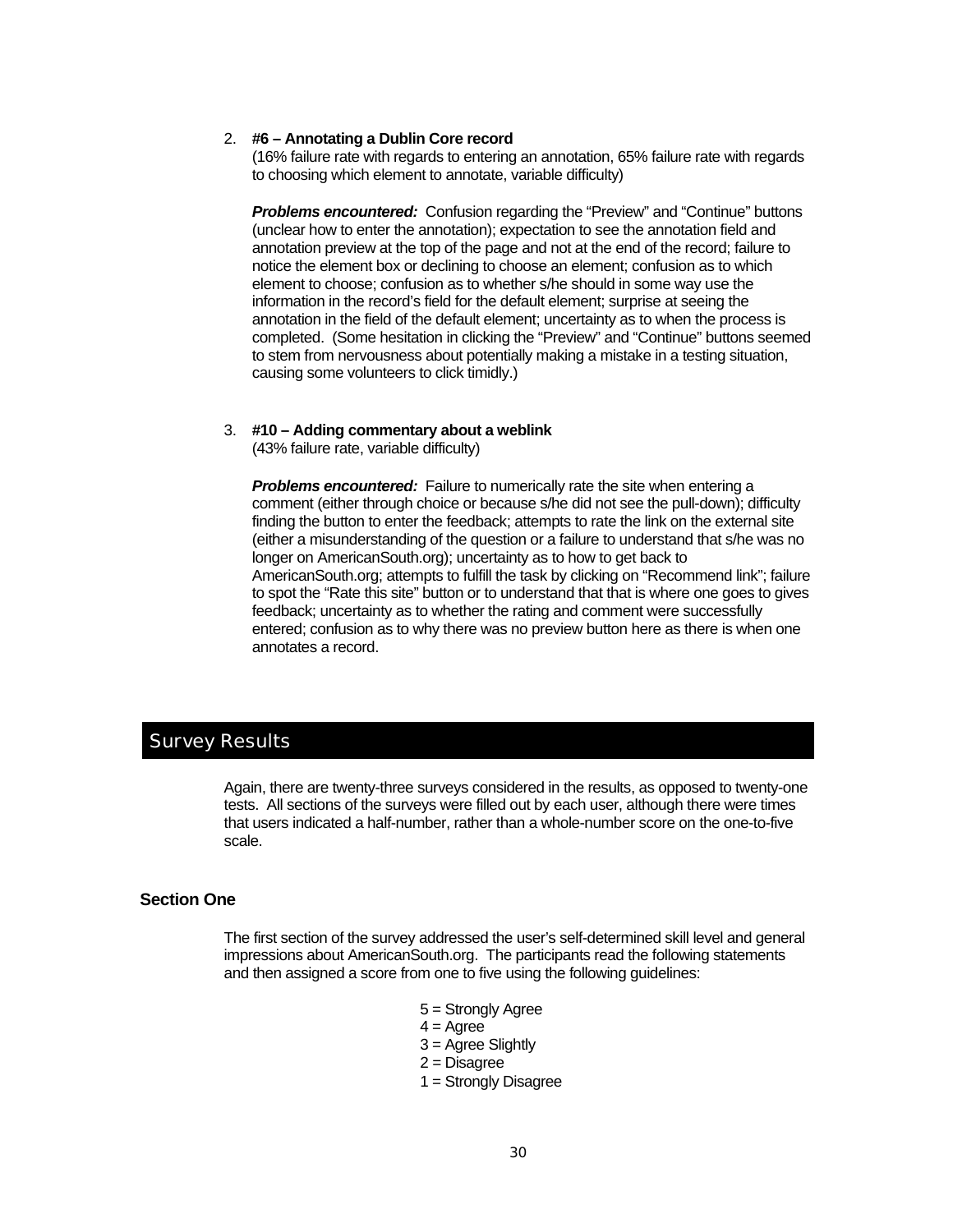#### 2. **#6 – Annotating a Dublin Core record**

(16% failure rate with regards to entering an annotation, 65% failure rate with regards to choosing which element to annotate, variable difficulty)

*Problems encountered:* Confusion regarding the "Preview" and "Continue" buttons (unclear how to enter the annotation); expectation to see the annotation field and annotation preview at the top of the page and not at the end of the record; failure to notice the element box or declining to choose an element; confusion as to which element to choose; confusion as to whether s/he should in some way use the information in the record's field for the default element; surprise at seeing the annotation in the field of the default element; uncertainty as to when the process is completed. (Some hesitation in clicking the "Preview" and "Continue" buttons seemed to stem from nervousness about potentially making a mistake in a testing situation, causing some volunteers to click timidly.)

#### 3. **#10 – Adding commentary about a weblink**

(43% failure rate, variable difficulty)

**Problems encountered:** Failure to numerically rate the site when entering a comment (either through choice or because s/he did not see the pull-down); difficulty finding the button to enter the feedback; attempts to rate the link on the external site (either a misunderstanding of the question or a failure to understand that s/he was no longer on AmericanSouth.org); uncertainty as to how to get back to AmericanSouth.org; attempts to fulfill the task by clicking on "Recommend link"; failure to spot the "Rate this site" button or to understand that that is where one goes to gives feedback; uncertainty as to whether the rating and comment were successfully entered; confusion as to why there was no preview button here as there is when one annotates a record.

### Survey Results

Again, there are twenty-three surveys considered in the results, as opposed to twenty-one tests. All sections of the surveys were filled out by each user, although there were times that users indicated a half-number, rather than a whole-number score on the one-to-five scale.

### **Section One**

The first section of the survey addressed the user's self-determined skill level and general impressions about AmericanSouth.org. The participants read the following statements and then assigned a score from one to five using the following guidelines:

- 5 = Strongly Agree
- $4 = \text{Agree}$
- 3 = Agree Slightly
- 2 = Disagree
- 1 = Strongly Disagree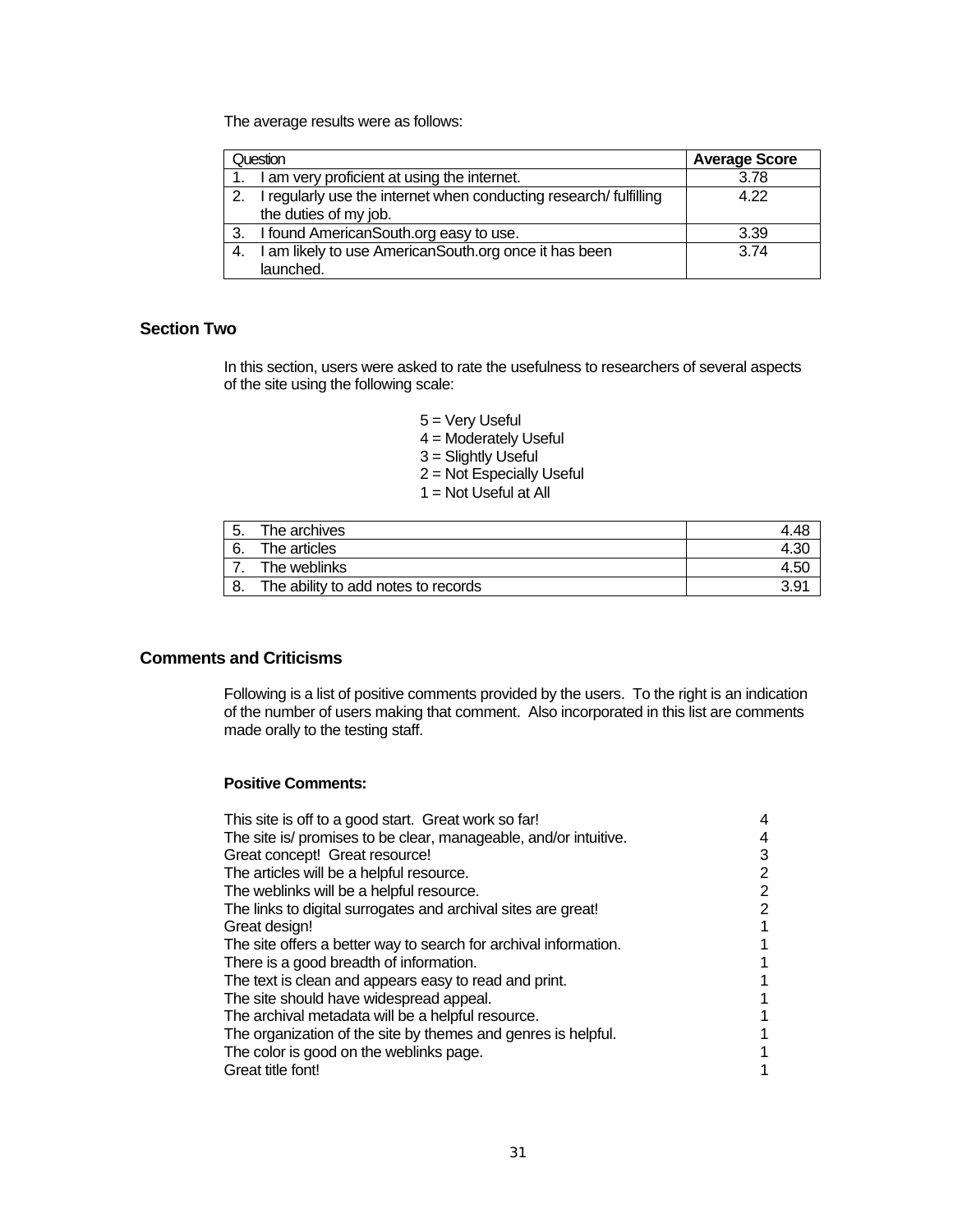The average results were as follows:

|     | Question                                                         | <b>Average Score</b> |
|-----|------------------------------------------------------------------|----------------------|
|     | I am very proficient at using the internet.                      | 3.78                 |
| -2. | I regularly use the internet when conducting research/fulfilling | 4 2 2                |
|     | the duties of my job.                                            |                      |
| 3.  | I found AmericanSouth.org easy to use.                           | 3.39                 |
| -4. | I am likely to use AmericanSouth.org once it has been            | 3.74                 |
|     | launched.                                                        |                      |

### **Section Two**

In this section, users were asked to rate the usefulness to researchers of several aspects of the site using the following scale:

- 5 = Very Useful
- $4 =$  Moderately Useful
- 3 = Slightly Useful
- 2 = Not Especially Useful
- $1 =$  Not Useful at All

| 5. | The archives                        |               |
|----|-------------------------------------|---------------|
|    | The articles                        |               |
|    | The weblinks                        | 4.5C          |
| 8. | The ability to add notes to records | $3.9^{\circ}$ |

### **Comments and Criticisms**

Following is a list of positive comments provided by the users. To the right is an indication of the number of users making that comment. Also incorporated in this list are comments made orally to the testing staff.

### **Positive Comments:**

| This site is off to a good start. Great work so far!             |   |
|------------------------------------------------------------------|---|
| The site is/ promises to be clear, manageable, and/or intuitive. |   |
| Great concept! Great resource!                                   | 3 |
| The articles will be a helpful resource.                         | 2 |
| The weblinks will be a helpful resource.                         | 2 |
| The links to digital surrogates and archival sites are great!    | 2 |
| Great design!                                                    |   |
| The site offers a better way to search for archival information. |   |
| There is a good breadth of information.                          |   |
| The text is clean and appears easy to read and print.            |   |
| The site should have widespread appeal.                          |   |
| The archival metadata will be a helpful resource.                |   |
| The organization of the site by themes and genres is helpful.    |   |
| The color is good on the weblinks page.                          |   |
| Great title font!                                                |   |
|                                                                  |   |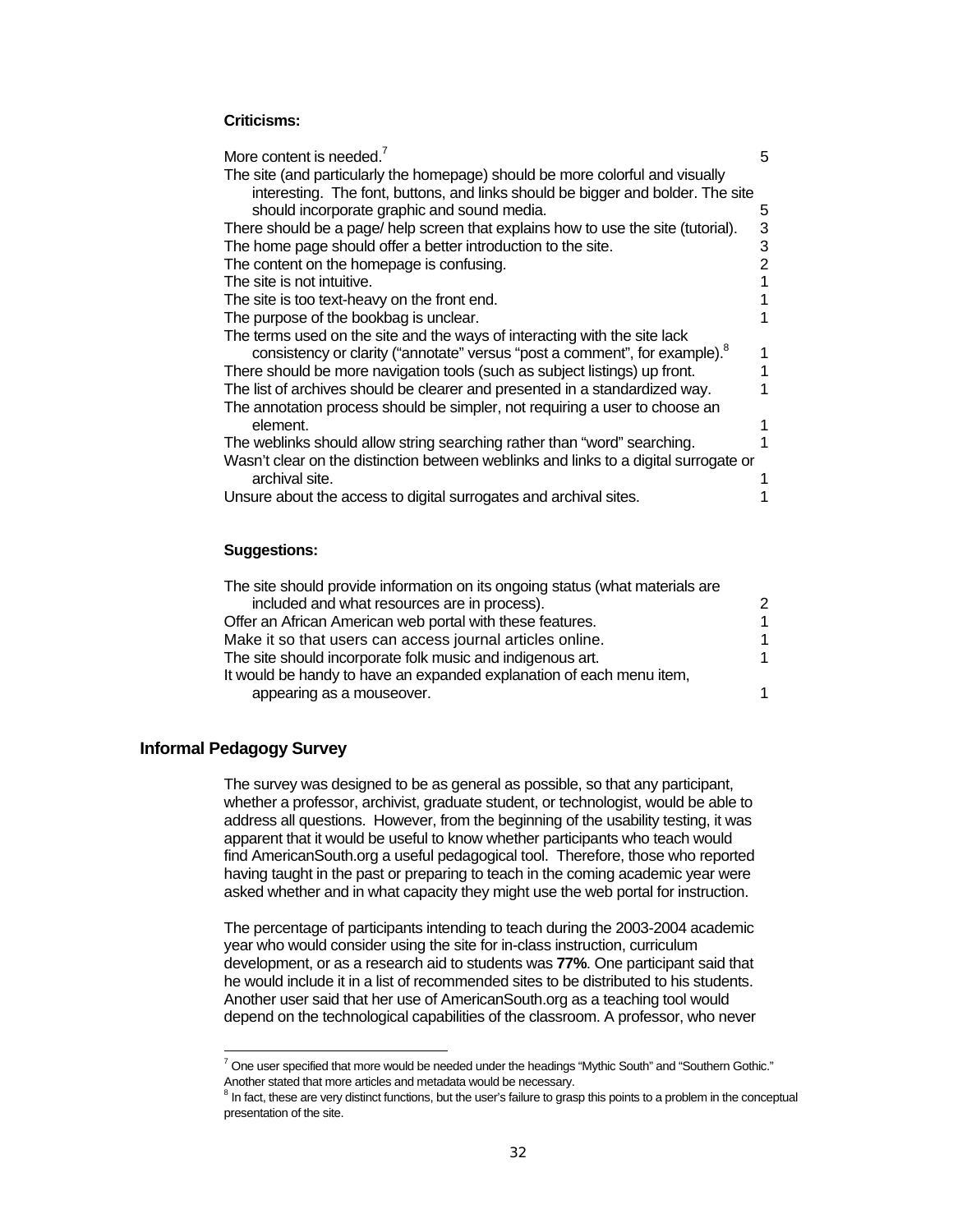### **Criticisms:**

| More content is needed. <sup>7</sup>                                                                   | 5 |
|--------------------------------------------------------------------------------------------------------|---|
| The site (and particularly the homepage) should be more colorful and visually                          |   |
| interesting. The font, buttons, and links should be bigger and bolder. The site                        |   |
| should incorporate graphic and sound media.                                                            | 5 |
| There should be a page/ help screen that explains how to use the site (tutorial).                      | 3 |
| The home page should offer a better introduction to the site.                                          | 3 |
| The content on the homepage is confusing.                                                              | 2 |
| The site is not intuitive.                                                                             |   |
| The site is too text-heavy on the front end.                                                           |   |
| The purpose of the bookbag is unclear.                                                                 |   |
| The terms used on the site and the ways of interacting with the site lack                              |   |
| consistency or clarity ("annotate" versus "post a comment", for example).                              |   |
| There should be more navigation tools (such as subject listings) up front.                             |   |
| The list of archives should be clearer and presented in a standardized way.                            |   |
| The annotation process should be simpler, not requiring a user to choose an                            |   |
| element.                                                                                               |   |
| The weblinks should allow string searching rather than "word" searching.                               |   |
| Wasn't clear on the distinction between weblinks and links to a digital surrogate or<br>archival site. |   |
| Unsure about the access to digital surrogates and archival sites.                                      |   |
|                                                                                                        |   |

#### **Suggestions:**

| The site should provide information on its ongoing status (what materials are |    |
|-------------------------------------------------------------------------------|----|
| included and what resources are in process).                                  | 2  |
| Offer an African American web portal with these features.                     | 1. |
| Make it so that users can access journal articles online.                     | 1. |
| The site should incorporate folk music and indigenous art.                    |    |
| It would be handy to have an expanded explanation of each menu item,          |    |
| appearing as a mouseover.                                                     | 1  |

#### **Informal Pedagogy Survey**

l

The survey was designed to be as general as possible, so that any participant, whether a professor, archivist, graduate student, or technologist, would be able to address all questions. However, from the beginning of the usability testing, it was apparent that it would be useful to know whether participants who teach would find AmericanSouth.org a useful pedagogical tool. Therefore, those who reported having taught in the past or preparing to teach in the coming academic year were asked whether and in what capacity they might use the web portal for instruction.

The percentage of participants intending to teach during the 2003-2004 academic year who would consider using the site for in-class instruction, curriculum development, or as a research aid to students was **77%**. One participant said that he would include it in a list of recommended sites to be distributed to his students. Another user said that her use of AmericanSouth.org as a teaching tool would depend on the technological capabilities of the classroom. A professor, who never

 $^7$  One user specified that more would be needed under the headings "Mythic South" and "Southern Gothic." Another stated that more articles and metadata would be necessary.

<sup>&</sup>lt;sup>8</sup> In fact, these are very distinct functions, but the user's failure to grasp this points to a problem in the conceptual presentation of the site.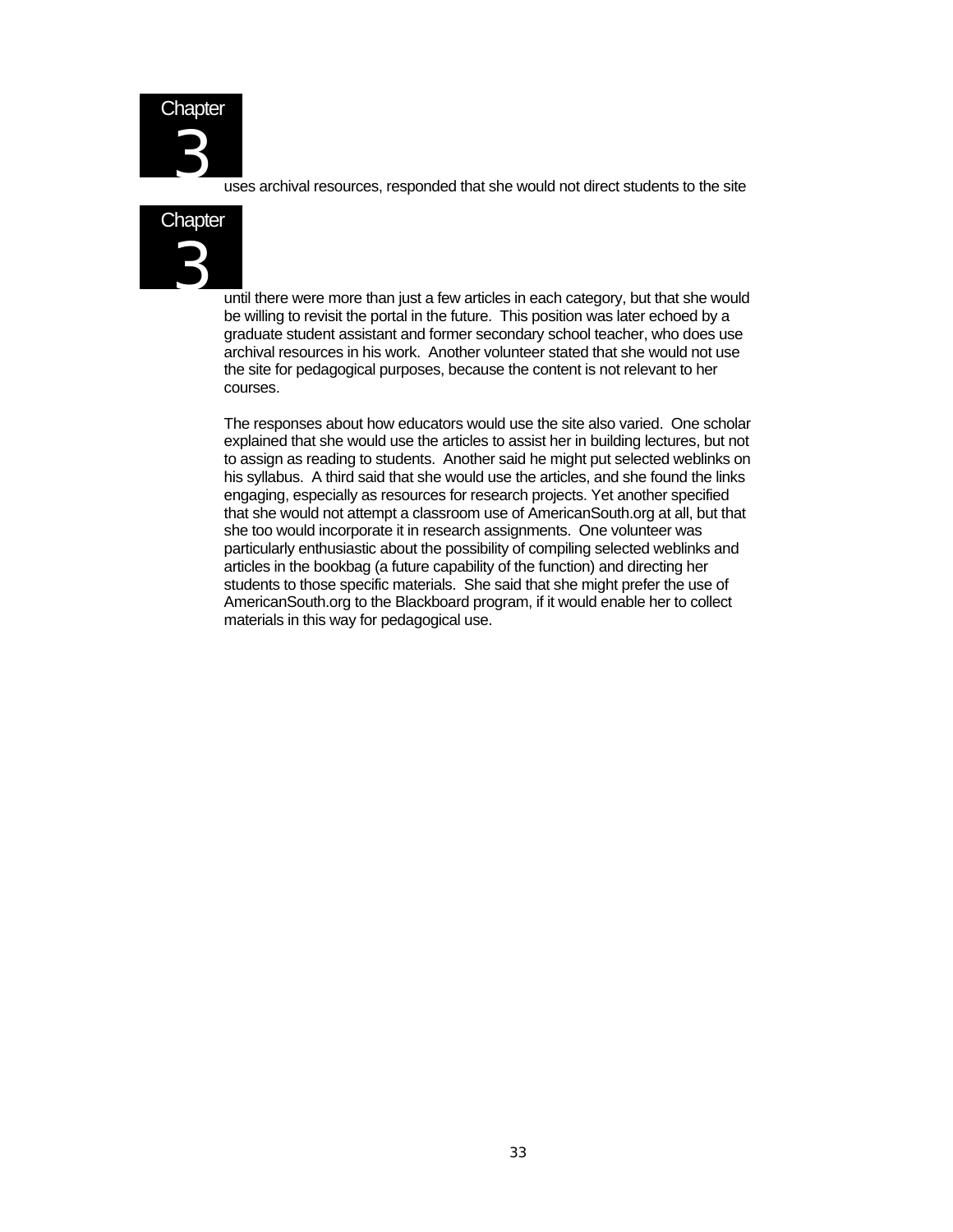

uses archival resources, responded that she would not direct students to the site



until there were more than just a few articles in each category, but that she would be willing to revisit the portal in the future. This position was later echoed by a graduate student assistant and former secondary school teacher, who does use archival resources in his work. Another volunteer stated that she would not use the site for pedagogical purposes, because the content is not relevant to her courses.

The responses about how educators would use the site also varied. One scholar explained that she would use the articles to assist her in building lectures, but not to assign as reading to students. Another said he might put selected weblinks on his syllabus. A third said that she would use the articles, and she found the links engaging, especially as resources for research projects. Yet another specified that she would not attempt a classroom use of AmericanSouth.org at all, but that she too would incorporate it in research assignments. One volunteer was particularly enthusiastic about the possibility of compiling selected weblinks and articles in the bookbag (a future capability of the function) and directing her students to those specific materials. She said that she might prefer the use of AmericanSouth.org to the Blackboard program, if it would enable her to collect materials in this way for pedagogical use.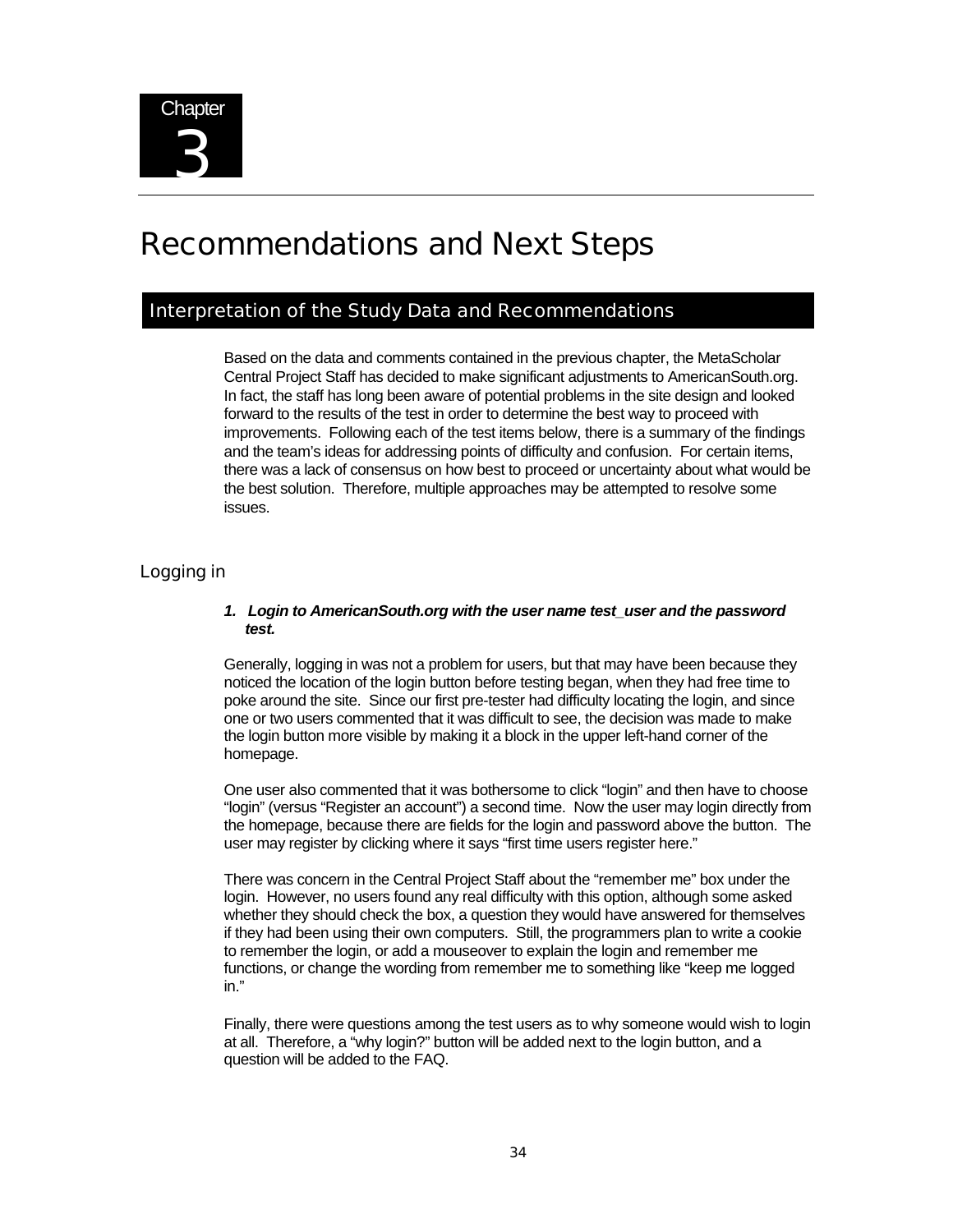

# Recommendations and Next Steps

### Interpretation of the Study Data and Recommendations

Based on the data and comments contained in the previous chapter, the MetaScholar Central Project Staff has decided to make significant adjustments to AmericanSouth.org. In fact, the staff has long been aware of potential problems in the site design and looked forward to the results of the test in order to determine the best way to proceed with improvements. Following each of the test items below, there is a summary of the findings and the team's ideas for addressing points of difficulty and confusion. For certain items, there was a lack of consensus on how best to proceed or uncertainty about what would be the best solution. Therefore, multiple approaches may be attempted to resolve some issues.

### Logging in

### *1. Login to AmericanSouth.org with the user name test\_user and the password test.*

Generally, logging in was not a problem for users, but that may have been because they noticed the location of the login button before testing began, when they had free time to poke around the site. Since our first pre-tester had difficulty locating the login, and since one or two users commented that it was difficult to see, the decision was made to make the login button more visible by making it a block in the upper left-hand corner of the homepage.

One user also commented that it was bothersome to click "login" and then have to choose "login" (versus "Register an account") a second time. Now the user may login directly from the homepage, because there are fields for the login and password above the button. The user may register by clicking where it says "first time users register here."

There was concern in the Central Project Staff about the "remember me" box under the login. However, no users found any real difficulty with this option, although some asked whether they should check the box, a question they would have answered for themselves if they had been using their own computers. Still, the programmers plan to write a cookie to remember the login, or add a mouseover to explain the login and remember me functions, or change the wording from remember me to something like "keep me logged in."

Finally, there were questions among the test users as to why someone would wish to login at all. Therefore, a "why login?" button will be added next to the login button, and a question will be added to the FAQ.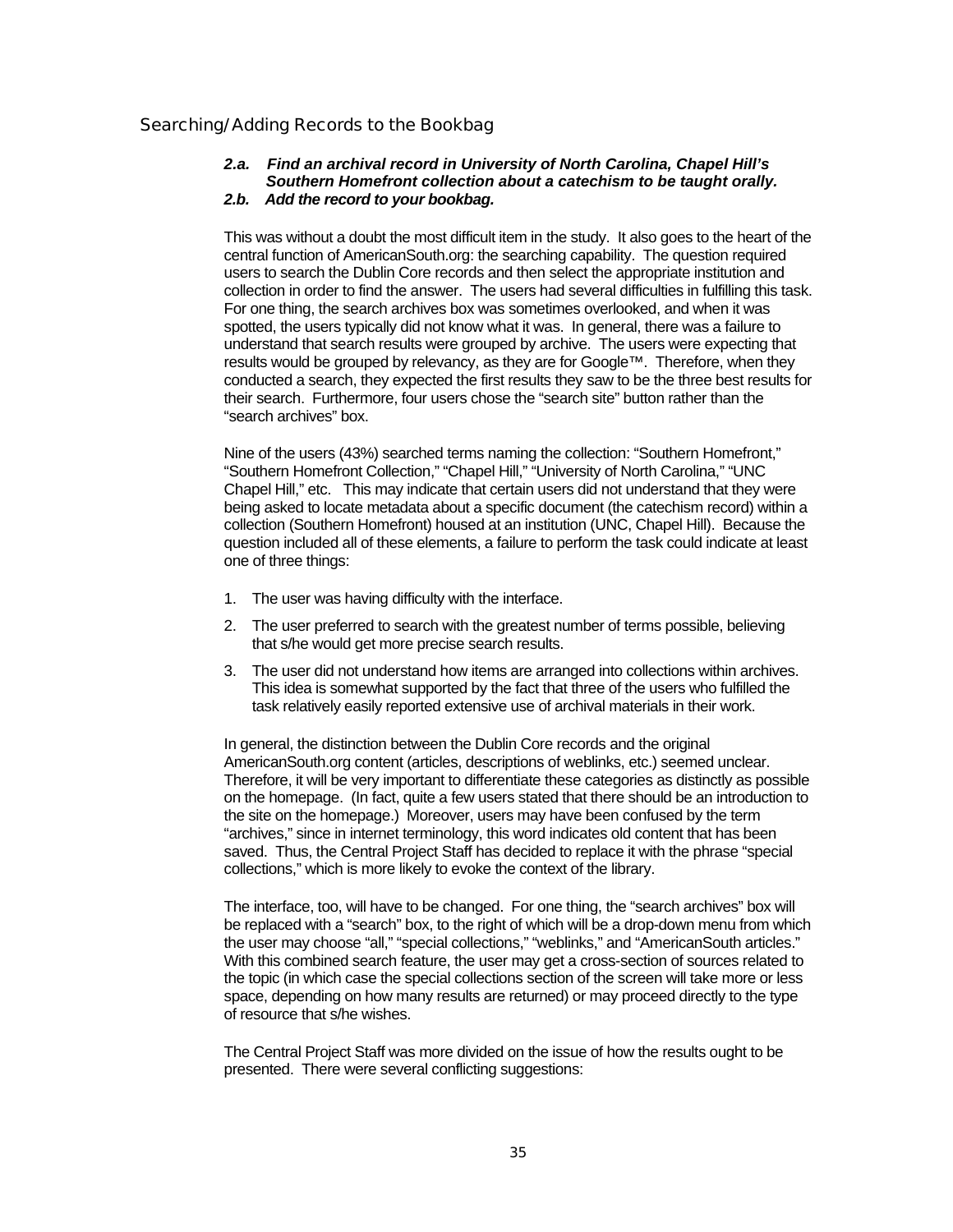### Searching/ Adding Records to the Bookbag

#### *2.a. Find an archival record in University of North Carolina, Chapel Hill's Southern Homefront collection about a catechism to be taught orally. 2.b. Add the record to your bookbag.*

This was without a doubt the most difficult item in the study. It also goes to the heart of the central function of AmericanSouth.org: the searching capability. The question required users to search the Dublin Core records and then select the appropriate institution and collection in order to find the answer. The users had several difficulties in fulfilling this task. For one thing, the search archives box was sometimes overlooked, and when it was spotted, the users typically did not know what it was. In general, there was a failure to understand that search results were grouped by archive. The users were expecting that results would be grouped by relevancy, as they are for Google™. Therefore, when they conducted a search, they expected the first results they saw to be the three best results for their search. Furthermore, four users chose the "search site" button rather than the "search archives" box.

Nine of the users (43%) searched terms naming the collection: "Southern Homefront," "Southern Homefront Collection," "Chapel Hill," "University of North Carolina," "UNC Chapel Hill," etc. This may indicate that certain users did not understand that they were being asked to locate metadata about a specific document (the catechism record) within a collection (Southern Homefront) housed at an institution (UNC, Chapel Hill). Because the question included all of these elements, a failure to perform the task could indicate at least one of three things:

- 1. The user was having difficulty with the interface.
- 2. The user preferred to search with the greatest number of terms possible, believing that s/he would get more precise search results.
- 3. The user did not understand how items are arranged into collections within archives. This idea is somewhat supported by the fact that three of the users who fulfilled the task relatively easily reported extensive use of archival materials in their work.

In general, the distinction between the Dublin Core records and the original AmericanSouth.org content (articles, descriptions of weblinks, etc.) seemed unclear. Therefore, it will be very important to differentiate these categories as distinctly as possible on the homepage. (In fact, quite a few users stated that there should be an introduction to the site on the homepage.) Moreover, users may have been confused by the term "archives," since in internet terminology, this word indicates old content that has been saved. Thus, the Central Project Staff has decided to replace it with the phrase "special collections," which is more likely to evoke the context of the library.

The interface, too, will have to be changed. For one thing, the "search archives" box will be replaced with a "search" box, to the right of which will be a drop-down menu from which the user may choose "all," "special collections," "weblinks," and "AmericanSouth articles." With this combined search feature, the user may get a cross-section of sources related to the topic (in which case the special collections section of the screen will take more or less space, depending on how many results are returned) or may proceed directly to the type of resource that s/he wishes.

The Central Project Staff was more divided on the issue of how the results ought to be presented. There were several conflicting suggestions: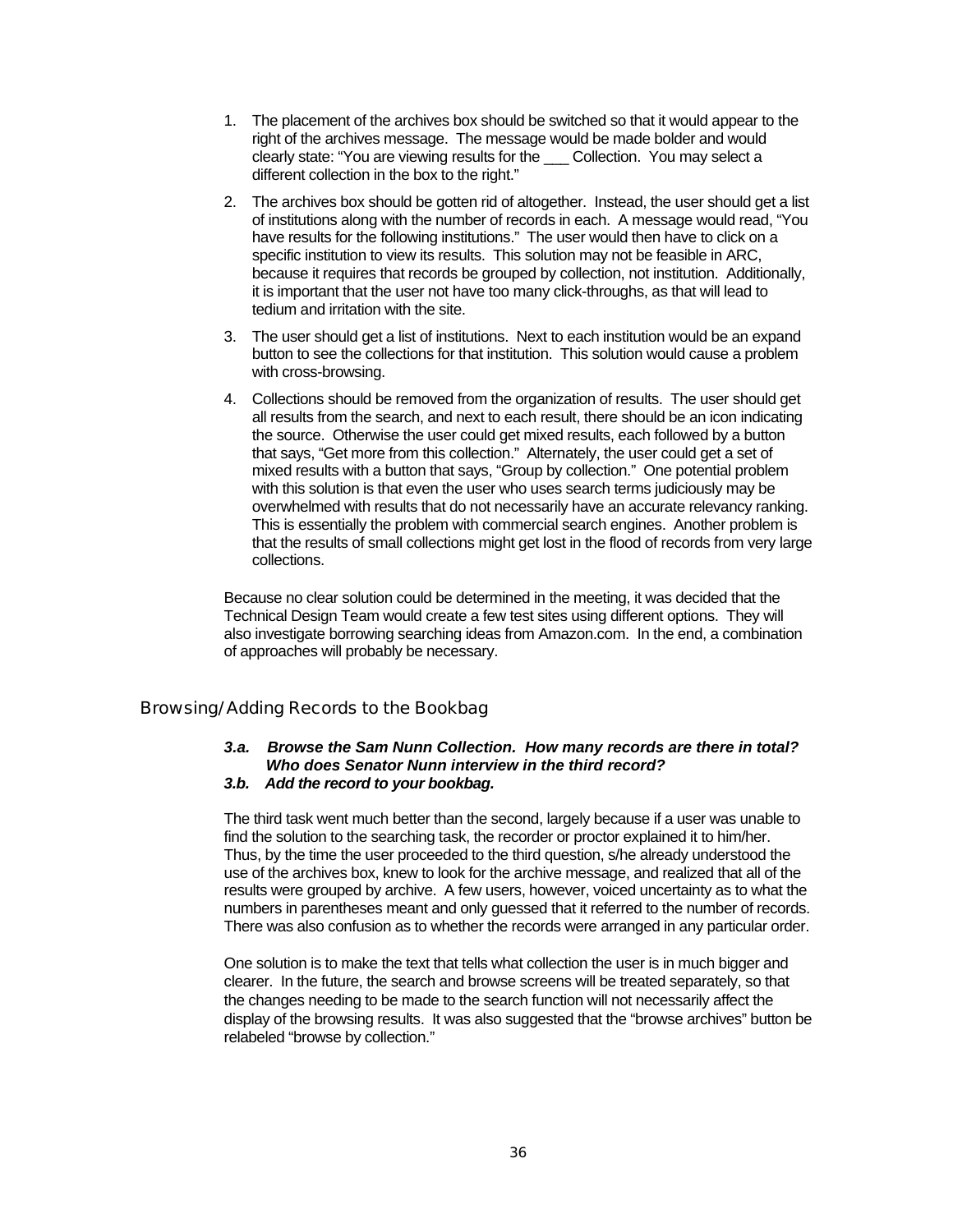- 1. The placement of the archives box should be switched so that it would appear to the right of the archives message. The message would be made bolder and would clearly state: "You are viewing results for the Collection. You may select a different collection in the box to the right."
- 2. The archives box should be gotten rid of altogether. Instead, the user should get a list of institutions along with the number of records in each. A message would read, "You have results for the following institutions." The user would then have to click on a specific institution to view its results. This solution may not be feasible in ARC, because it requires that records be grouped by collection, not institution. Additionally, it is important that the user not have too many click-throughs, as that will lead to tedium and irritation with the site.
- 3. The user should get a list of institutions. Next to each institution would be an expand button to see the collections for that institution. This solution would cause a problem with cross-browsing.
- 4. Collections should be removed from the organization of results. The user should get all results from the search, and next to each result, there should be an icon indicating the source. Otherwise the user could get mixed results, each followed by a button that says, "Get more from this collection." Alternately, the user could get a set of mixed results with a button that says, "Group by collection." One potential problem with this solution is that even the user who uses search terms judiciously may be overwhelmed with results that do not necessarily have an accurate relevancy ranking. This is essentially the problem with commercial search engines. Another problem is that the results of small collections might get lost in the flood of records from very large collections.

Because no clear solution could be determined in the meeting, it was decided that the Technical Design Team would create a few test sites using different options. They will also investigate borrowing searching ideas from Amazon.com. In the end, a combination of approaches will probably be necessary.

### Browsing/ Adding Records to the Bookbag

#### *3.a. Browse the Sam Nunn Collection. How many records are there in total? Who does Senator Nunn interview in the third record? 3.b. Add the record to your bookbag.*

The third task went much better than the second, largely because if a user was unable to find the solution to the searching task, the recorder or proctor explained it to him/her. Thus, by the time the user proceeded to the third question, s/he already understood the use of the archives box, knew to look for the archive message, and realized that all of the results were grouped by archive. A few users, however, voiced uncertainty as to what the numbers in parentheses meant and only guessed that it referred to the number of records. There was also confusion as to whether the records were arranged in any particular order.

One solution is to make the text that tells what collection the user is in much bigger and clearer. In the future, the search and browse screens will be treated separately, so that the changes needing to be made to the search function will not necessarily affect the display of the browsing results. It was also suggested that the "browse archives" button be relabeled "browse by collection."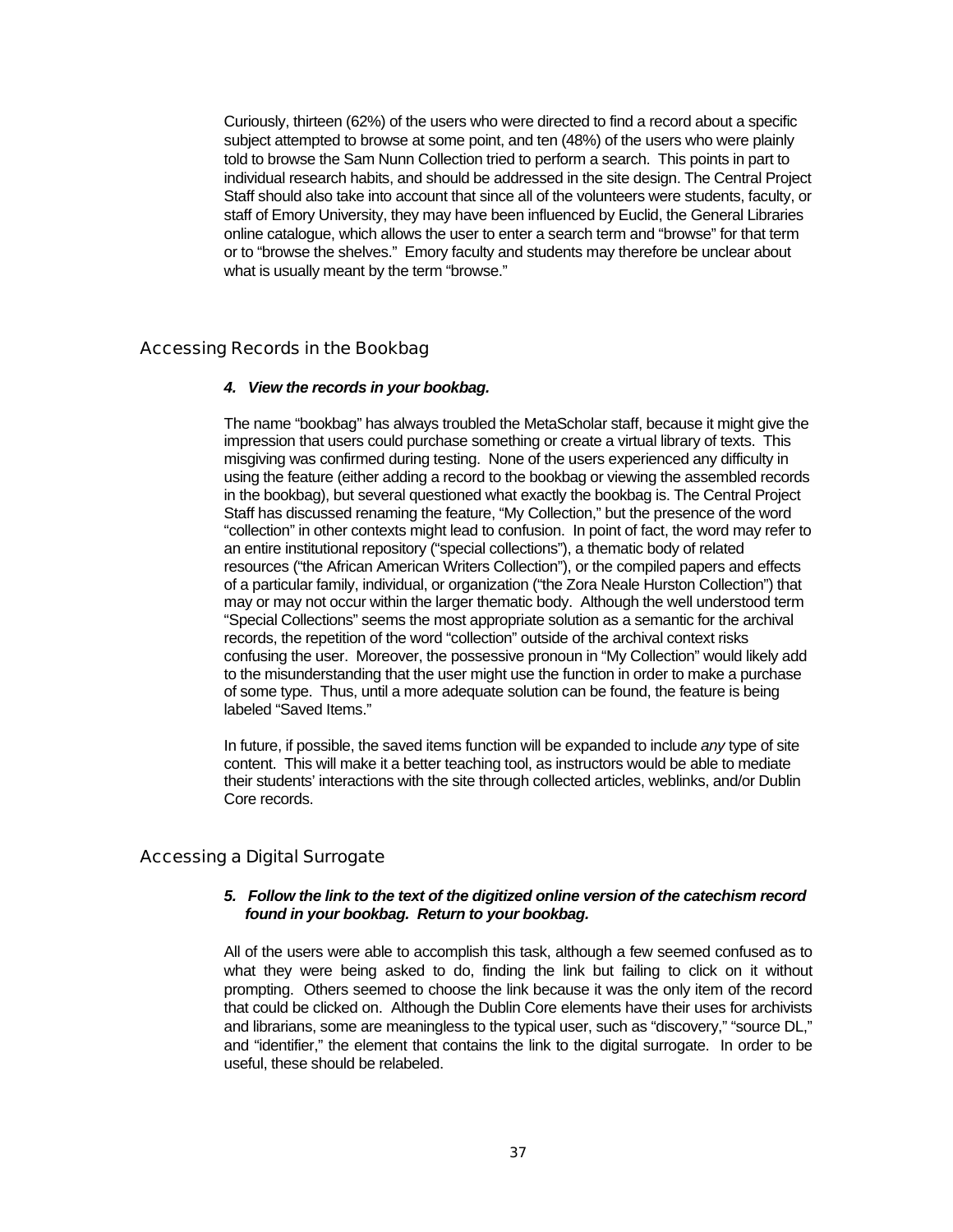Curiously, thirteen (62%) of the users who were directed to find a record about a specific subject attempted to browse at some point, and ten (48%) of the users who were plainly told to browse the Sam Nunn Collection tried to perform a search. This points in part to individual research habits, and should be addressed in the site design. The Central Project Staff should also take into account that since all of the volunteers were students, faculty, or staff of Emory University, they may have been influenced by Euclid, the General Libraries online catalogue, which allows the user to enter a search term and "browse" for that term or to "browse the shelves." Emory faculty and students may therefore be unclear about what is usually meant by the term "browse."

### Accessing Records in the Bookbag

#### *4. View the records in your bookbag.*

The name "bookbag" has always troubled the MetaScholar staff, because it might give the impression that users could purchase something or create a virtual library of texts. This misgiving was confirmed during testing. None of the users experienced any difficulty in using the feature (either adding a record to the bookbag or viewing the assembled records in the bookbag), but several questioned what exactly the bookbag is. The Central Project Staff has discussed renaming the feature, "My Collection," but the presence of the word "collection" in other contexts might lead to confusion. In point of fact, the word may refer to an entire institutional repository ("special collections"), a thematic body of related resources ("the African American Writers Collection"), or the compiled papers and effects of a particular family, individual, or organization ("the Zora Neale Hurston Collection") that may or may not occur within the larger thematic body. Although the well understood term "Special Collections" seems the most appropriate solution as a semantic for the archival records, the repetition of the word "collection" outside of the archival context risks confusing the user. Moreover, the possessive pronoun in "My Collection" would likely add to the misunderstanding that the user might use the function in order to make a purchase of some type. Thus, until a more adequate solution can be found, the feature is being labeled "Saved Items."

In future, if possible, the saved items function will be expanded to include *any* type of site content. This will make it a better teaching tool, as instructors would be able to mediate their students' interactions with the site through collected articles, weblinks, and/or Dublin Core records.

### Accessing a Digital Surrogate

### *5. Follow the link to the text of the digitized online version of the catechism record found in your bookbag. Return to your bookbag.*

All of the users were able to accomplish this task, although a few seemed confused as to what they were being asked to do, finding the link but failing to click on it without prompting. Others seemed to choose the link because it was the only item of the record that could be clicked on. Although the Dublin Core elements have their uses for archivists and librarians, some are meaningless to the typical user, such as "discovery," "source DL," and "identifier," the element that contains the link to the digital surrogate. In order to be useful, these should be relabeled.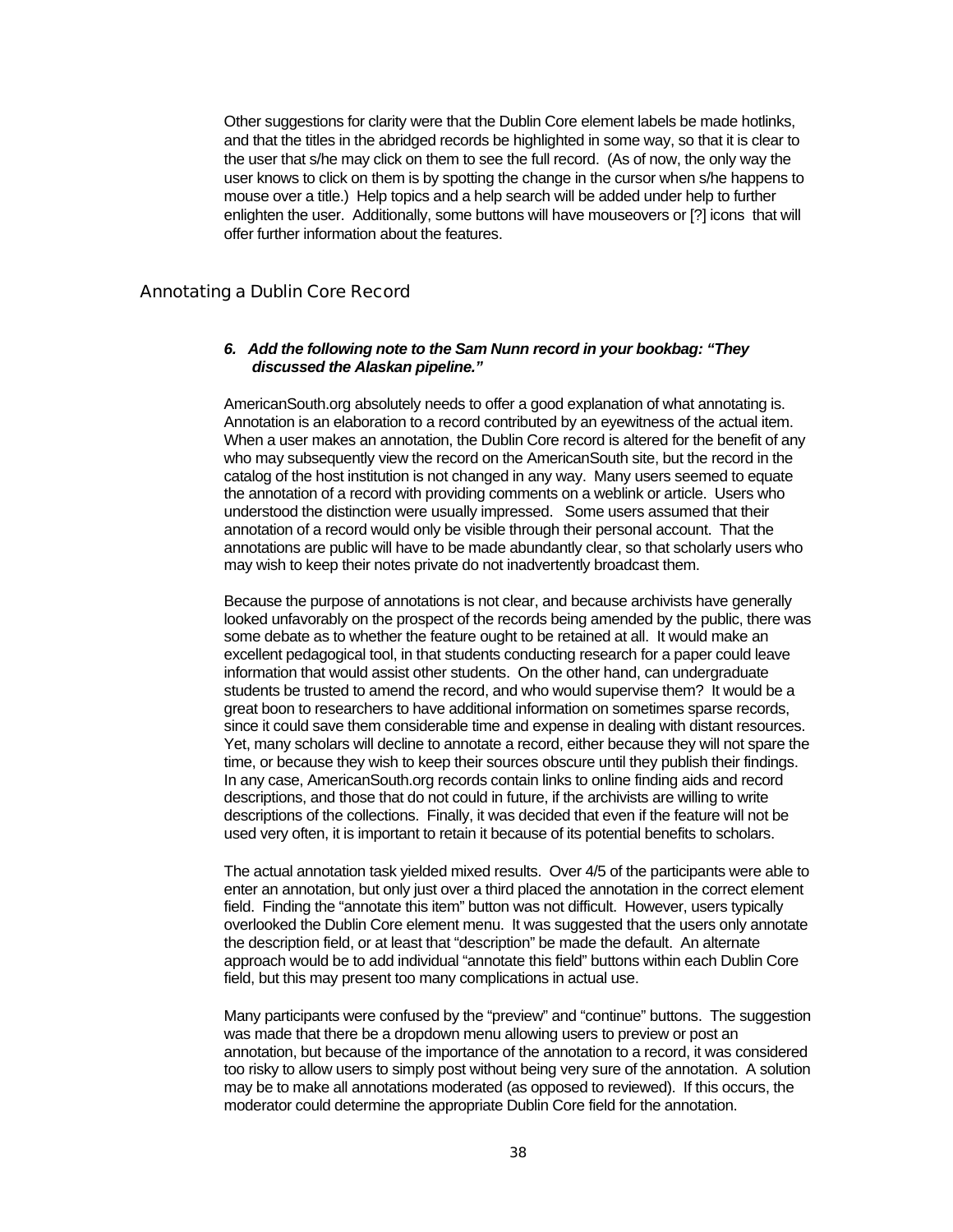Other suggestions for clarity were that the Dublin Core element labels be made hotlinks, and that the titles in the abridged records be highlighted in some way, so that it is clear to the user that s/he may click on them to see the full record. (As of now, the only way the user knows to click on them is by spotting the change in the cursor when s/he happens to mouse over a title.) Help topics and a help search will be added under help to further enlighten the user. Additionally, some buttons will have mouseovers or [?] icons that will offer further information about the features.

### Annotating a Dublin Core Record

#### *6. Add the following note to the Sam Nunn record in your bookbag: "They discussed the Alaskan pipeline."*

AmericanSouth.org absolutely needs to offer a good explanation of what annotating is. Annotation is an elaboration to a record contributed by an eyewitness of the actual item. When a user makes an annotation, the Dublin Core record is altered for the benefit of any who may subsequently view the record on the AmericanSouth site, but the record in the catalog of the host institution is not changed in any way. Many users seemed to equate the annotation of a record with providing comments on a weblink or article. Users who understood the distinction were usually impressed. Some users assumed that their annotation of a record would only be visible through their personal account. That the annotations are public will have to be made abundantly clear, so that scholarly users who may wish to keep their notes private do not inadvertently broadcast them.

Because the purpose of annotations is not clear, and because archivists have generally looked unfavorably on the prospect of the records being amended by the public, there was some debate as to whether the feature ought to be retained at all. It would make an excellent pedagogical tool, in that students conducting research for a paper could leave information that would assist other students. On the other hand, can undergraduate students be trusted to amend the record, and who would supervise them? It would be a great boon to researchers to have additional information on sometimes sparse records, since it could save them considerable time and expense in dealing with distant resources. Yet, many scholars will decline to annotate a record, either because they will not spare the time, or because they wish to keep their sources obscure until they publish their findings. In any case, AmericanSouth.org records contain links to online finding aids and record descriptions, and those that do not could in future, if the archivists are willing to write descriptions of the collections. Finally, it was decided that even if the feature will not be used very often, it is important to retain it because of its potential benefits to scholars.

The actual annotation task yielded mixed results. Over 4/5 of the participants were able to enter an annotation, but only just over a third placed the annotation in the correct element field. Finding the "annotate this item" button was not difficult. However, users typically overlooked the Dublin Core element menu. It was suggested that the users only annotate the description field, or at least that "description" be made the default. An alternate approach would be to add individual "annotate this field" buttons within each Dublin Core field, but this may present too many complications in actual use.

Many participants were confused by the "preview" and "continue" buttons. The suggestion was made that there be a dropdown menu allowing users to preview or post an annotation, but because of the importance of the annotation to a record, it was considered too risky to allow users to simply post without being very sure of the annotation. A solution may be to make all annotations moderated (as opposed to reviewed). If this occurs, the moderator could determine the appropriate Dublin Core field for the annotation.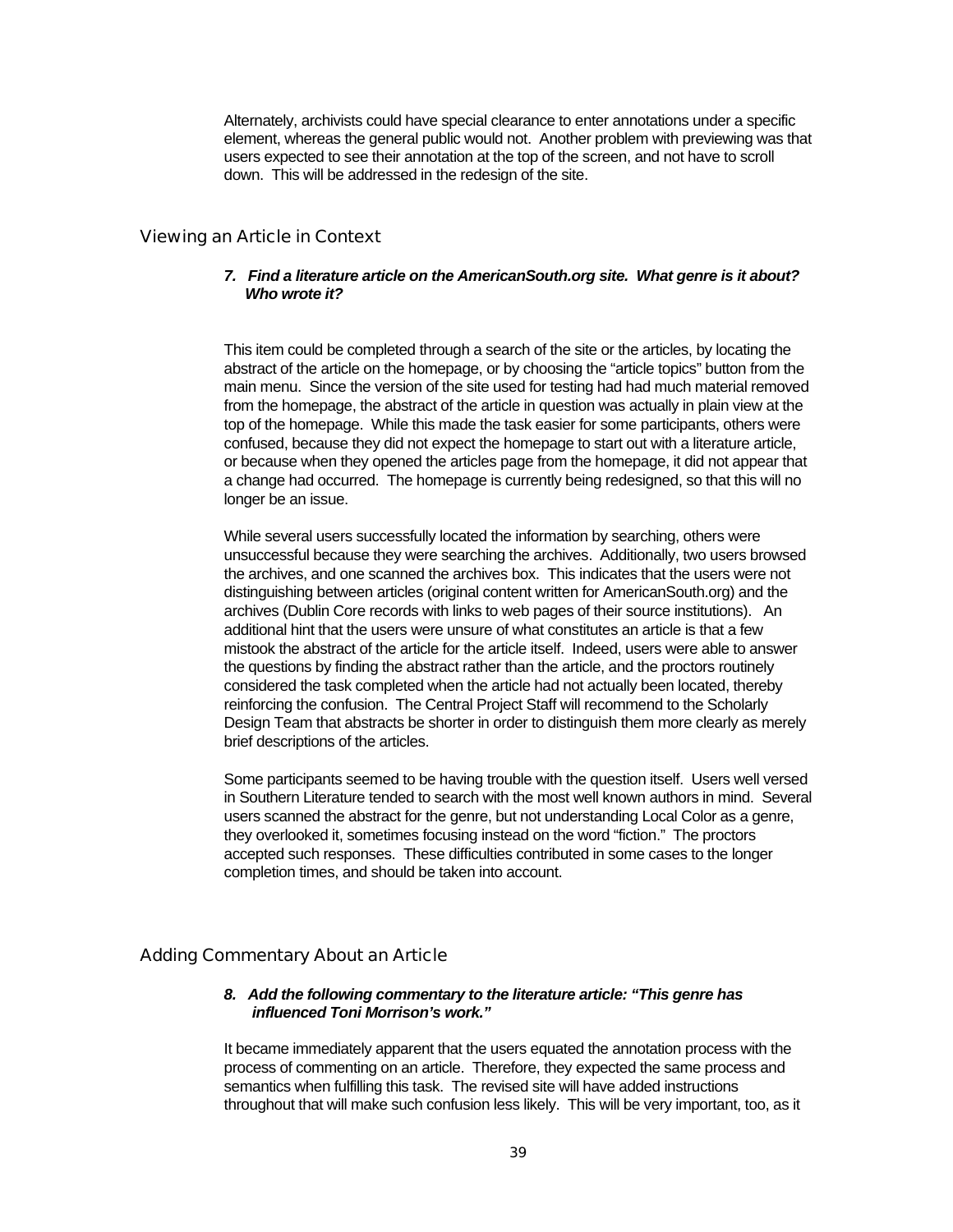Alternately, archivists could have special clearance to enter annotations under a specific element, whereas the general public would not. Another problem with previewing was that users expected to see their annotation at the top of the screen, and not have to scroll down. This will be addressed in the redesign of the site.

### Viewing an Article in Context

### *7. Find a literature article on the AmericanSouth.org site. What genre is it about? Who wrote it?*

This item could be completed through a search of the site or the articles, by locating the abstract of the article on the homepage, or by choosing the "article topics" button from the main menu. Since the version of the site used for testing had had much material removed from the homepage, the abstract of the article in question was actually in plain view at the top of the homepage. While this made the task easier for some participants, others were confused, because they did not expect the homepage to start out with a literature article, or because when they opened the articles page from the homepage, it did not appear that a change had occurred. The homepage is currently being redesigned, so that this will no longer be an issue.

While several users successfully located the information by searching, others were unsuccessful because they were searching the archives. Additionally, two users browsed the archives, and one scanned the archives box. This indicates that the users were not distinguishing between articles (original content written for AmericanSouth.org) and the archives (Dublin Core records with links to web pages of their source institutions). An additional hint that the users were unsure of what constitutes an article is that a few mistook the abstract of the article for the article itself. Indeed, users were able to answer the questions by finding the abstract rather than the article, and the proctors routinely considered the task completed when the article had not actually been located, thereby reinforcing the confusion. The Central Project Staff will recommend to the Scholarly Design Team that abstracts be shorter in order to distinguish them more clearly as merely brief descriptions of the articles.

Some participants seemed to be having trouble with the question itself. Users well versed in Southern Literature tended to search with the most well known authors in mind. Several users scanned the abstract for the genre, but not understanding Local Color as a genre, they overlooked it, sometimes focusing instead on the word "fiction." The proctors accepted such responses. These difficulties contributed in some cases to the longer completion times, and should be taken into account.

### Adding Commentary About an Article

### *8. Add the following commentary to the literature article: "This genre has influenced Toni Morrison's work."*

It became immediately apparent that the users equated the annotation process with the process of commenting on an article. Therefore, they expected the same process and semantics when fulfilling this task. The revised site will have added instructions throughout that will make such confusion less likely. This will be very important, too, as it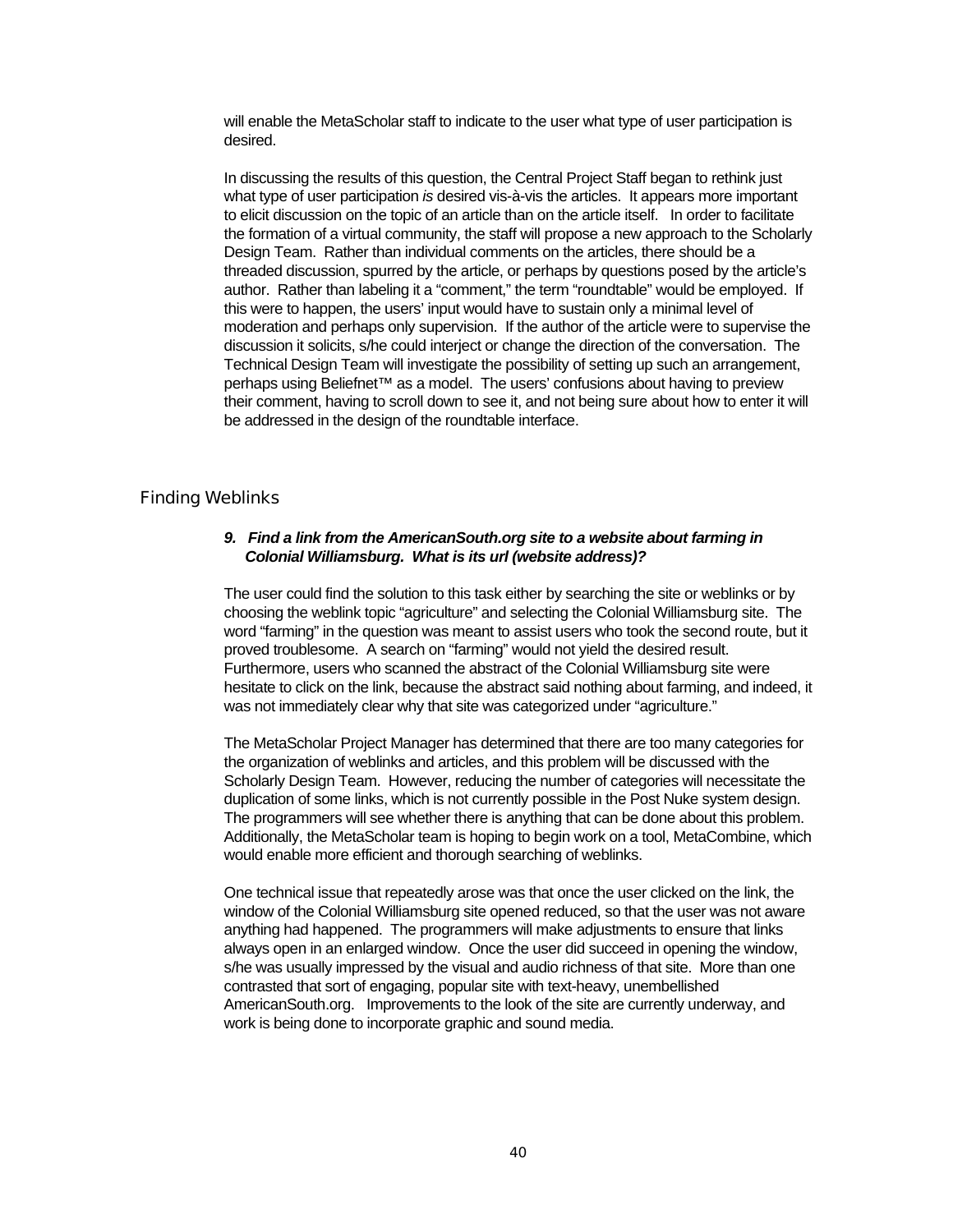will enable the MetaScholar staff to indicate to the user what type of user participation is desired.

In discussing the results of this question, the Central Project Staff began to rethink just what type of user participation *is* desired vis-à-vis the articles. It appears more important to elicit discussion on the topic of an article than on the article itself. In order to facilitate the formation of a virtual community, the staff will propose a new approach to the Scholarly Design Team. Rather than individual comments on the articles, there should be a threaded discussion, spurred by the article, or perhaps by questions posed by the article's author. Rather than labeling it a "comment," the term "roundtable" would be employed. If this were to happen, the users' input would have to sustain only a minimal level of moderation and perhaps only supervision. If the author of the article were to supervise the discussion it solicits, s/he could interject or change the direction of the conversation. The Technical Design Team will investigate the possibility of setting up such an arrangement, perhaps using Beliefnet™ as a model. The users' confusions about having to preview their comment, having to scroll down to see it, and not being sure about how to enter it will be addressed in the design of the roundtable interface.

#### Finding Weblinks

### *9. Find a link from the AmericanSouth.org site to a website about farming in Colonial Williamsburg. What is its url (website address)?*

The user could find the solution to this task either by searching the site or weblinks or by choosing the weblink topic "agriculture" and selecting the Colonial Williamsburg site. The word "farming" in the question was meant to assist users who took the second route, but it proved troublesome. A search on "farming" would not yield the desired result. Furthermore, users who scanned the abstract of the Colonial Williamsburg site were hesitate to click on the link, because the abstract said nothing about farming, and indeed, it was not immediately clear why that site was categorized under "agriculture."

The MetaScholar Project Manager has determined that there are too many categories for the organization of weblinks and articles, and this problem will be discussed with the Scholarly Design Team. However, reducing the number of categories will necessitate the duplication of some links, which is not currently possible in the Post Nuke system design. The programmers will see whether there is anything that can be done about this problem. Additionally, the MetaScholar team is hoping to begin work on a tool, MetaCombine, which would enable more efficient and thorough searching of weblinks.

One technical issue that repeatedly arose was that once the user clicked on the link, the window of the Colonial Williamsburg site opened reduced, so that the user was not aware anything had happened. The programmers will make adjustments to ensure that links always open in an enlarged window. Once the user did succeed in opening the window, s/he was usually impressed by the visual and audio richness of that site. More than one contrasted that sort of engaging, popular site with text-heavy, unembellished AmericanSouth.org. Improvements to the look of the site are currently underway, and work is being done to incorporate graphic and sound media.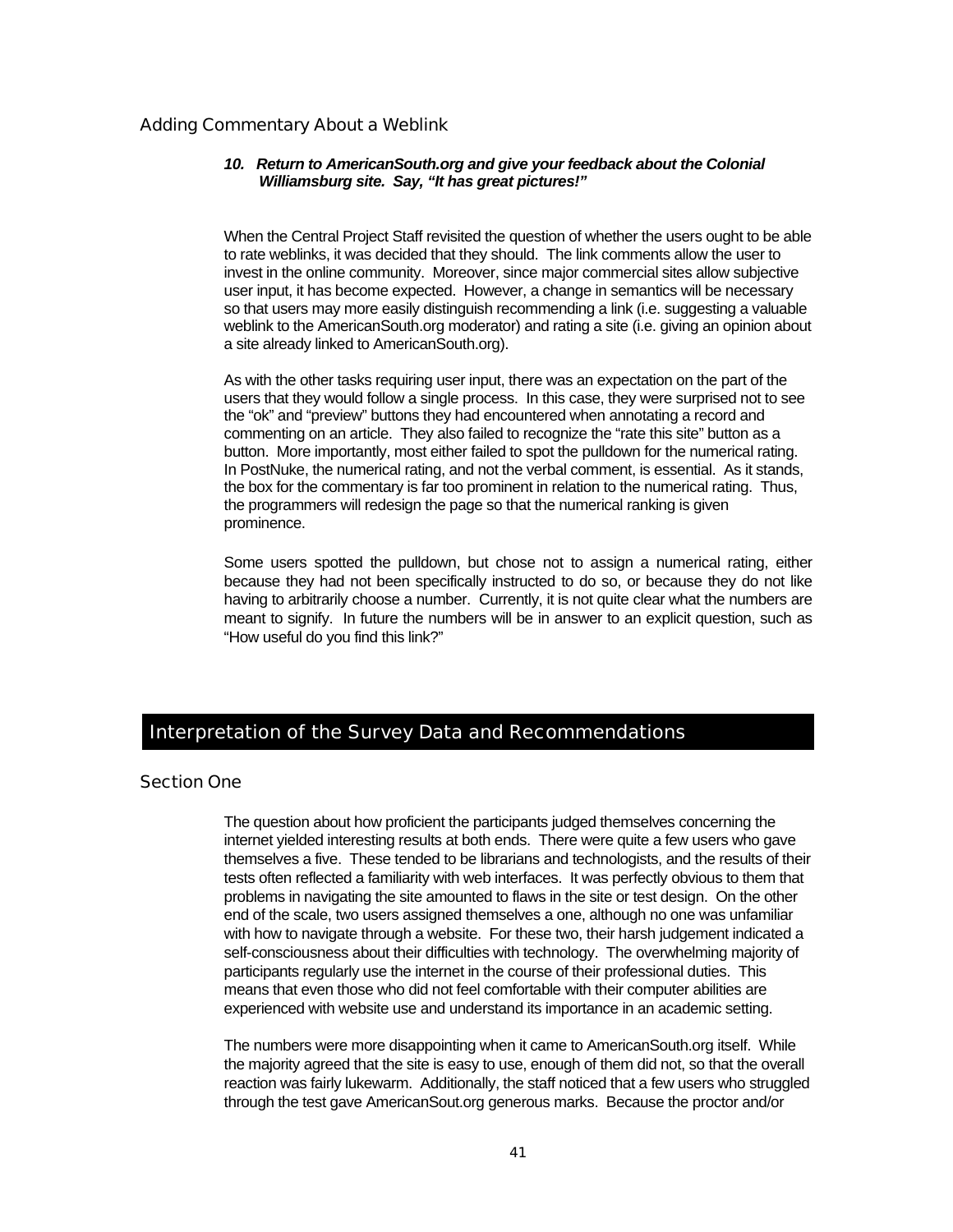### Adding Commentary About a Weblink

#### *10. Return to AmericanSouth.org and give your feedback about the Colonial Williamsburg site. Say, "It has great pictures!"*

When the Central Project Staff revisited the question of whether the users ought to be able to rate weblinks, it was decided that they should. The link comments allow the user to invest in the online community. Moreover, since major commercial sites allow subjective user input, it has become expected. However, a change in semantics will be necessary so that users may more easily distinguish recommending a link (i.e. suggesting a valuable weblink to the AmericanSouth.org moderator) and rating a site (i.e. giving an opinion about a site already linked to AmericanSouth.org).

As with the other tasks requiring user input, there was an expectation on the part of the users that they would follow a single process. In this case, they were surprised not to see the "ok" and "preview" buttons they had encountered when annotating a record and commenting on an article. They also failed to recognize the "rate this site" button as a button. More importantly, most either failed to spot the pulldown for the numerical rating. In PostNuke, the numerical rating, and not the verbal comment, is essential. As it stands, the box for the commentary is far too prominent in relation to the numerical rating. Thus, the programmers will redesign the page so that the numerical ranking is given prominence.

Some users spotted the pulldown, but chose not to assign a numerical rating, either because they had not been specifically instructed to do so, or because they do not like having to arbitrarily choose a number. Currently, it is not quite clear what the numbers are meant to signify. In future the numbers will be in answer to an explicit question, such as "How useful do you find this link?"

### Interpretation of the Survey Data and Recommendations

#### Section One

The question about how proficient the participants judged themselves concerning the internet yielded interesting results at both ends. There were quite a few users who gave themselves a five. These tended to be librarians and technologists, and the results of their tests often reflected a familiarity with web interfaces. It was perfectly obvious to them that problems in navigating the site amounted to flaws in the site or test design. On the other end of the scale, two users assigned themselves a one, although no one was unfamiliar with how to navigate through a website. For these two, their harsh judgement indicated a self-consciousness about their difficulties with technology. The overwhelming majority of participants regularly use the internet in the course of their professional duties. This means that even those who did not feel comfortable with their computer abilities are experienced with website use and understand its importance in an academic setting.

The numbers were more disappointing when it came to AmericanSouth.org itself. While the majority agreed that the site is easy to use, enough of them did not, so that the overall reaction was fairly lukewarm. Additionally, the staff noticed that a few users who struggled through the test gave AmericanSout.org generous marks. Because the proctor and/or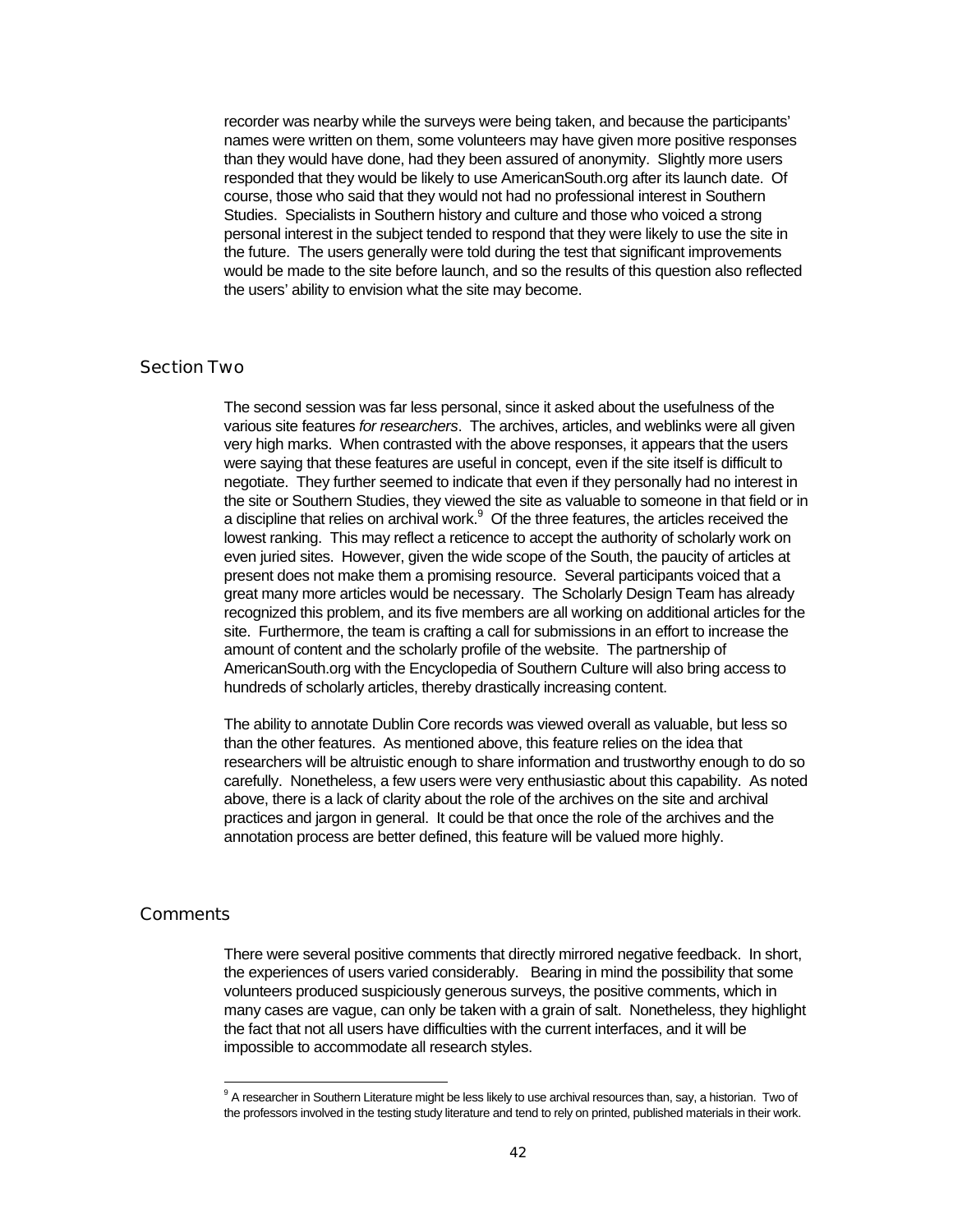recorder was nearby while the surveys were being taken, and because the participants' names were written on them, some volunteers may have given more positive responses than they would have done, had they been assured of anonymity. Slightly more users responded that they would be likely to use AmericanSouth.org after its launch date. Of course, those who said that they would not had no professional interest in Southern Studies. Specialists in Southern history and culture and those who voiced a strong personal interest in the subject tended to respond that they were likely to use the site in the future. The users generally were told during the test that significant improvements would be made to the site before launch, and so the results of this question also reflected the users' ability to envision what the site may become.

### Section Two

The second session was far less personal, since it asked about the usefulness of the various site features *for researchers*. The archives, articles, and weblinks were all given very high marks. When contrasted with the above responses, it appears that the users were saying that these features are useful in concept, even if the site itself is difficult to negotiate. They further seemed to indicate that even if they personally had no interest in the site or Southern Studies, they viewed the site as valuable to someone in that field or in a discipline that relies on archival work. $9$  Of the three features, the articles received the lowest ranking. This may reflect a reticence to accept the authority of scholarly work on even juried sites. However, given the wide scope of the South, the paucity of articles at present does not make them a promising resource. Several participants voiced that a great many more articles would be necessary. The Scholarly Design Team has already recognized this problem, and its five members are all working on additional articles for the site. Furthermore, the team is crafting a call for submissions in an effort to increase the amount of content and the scholarly profile of the website. The partnership of AmericanSouth.org with the Encyclopedia of Southern Culture will also bring access to hundreds of scholarly articles, thereby drastically increasing content.

The ability to annotate Dublin Core records was viewed overall as valuable, but less so than the other features. As mentioned above, this feature relies on the idea that researchers will be altruistic enough to share information and trustworthy enough to do so carefully. Nonetheless, a few users were very enthusiastic about this capability. As noted above, there is a lack of clarity about the role of the archives on the site and archival practices and jargon in general. It could be that once the role of the archives and the annotation process are better defined, this feature will be valued more highly.

### **Comments**

l

There were several positive comments that directly mirrored negative feedback. In short, the experiences of users varied considerably. Bearing in mind the possibility that some volunteers produced suspiciously generous surveys, the positive comments, which in many cases are vague, can only be taken with a grain of salt. Nonetheless, they highlight the fact that not all users have difficulties with the current interfaces, and it will be impossible to accommodate all research styles.

<sup>&</sup>lt;sup>9</sup> A researcher in Southern Literature might be less likely to use archival resources than, say, a historian. Two of the professors involved in the testing study literature and tend to rely on printed, published materials in their work.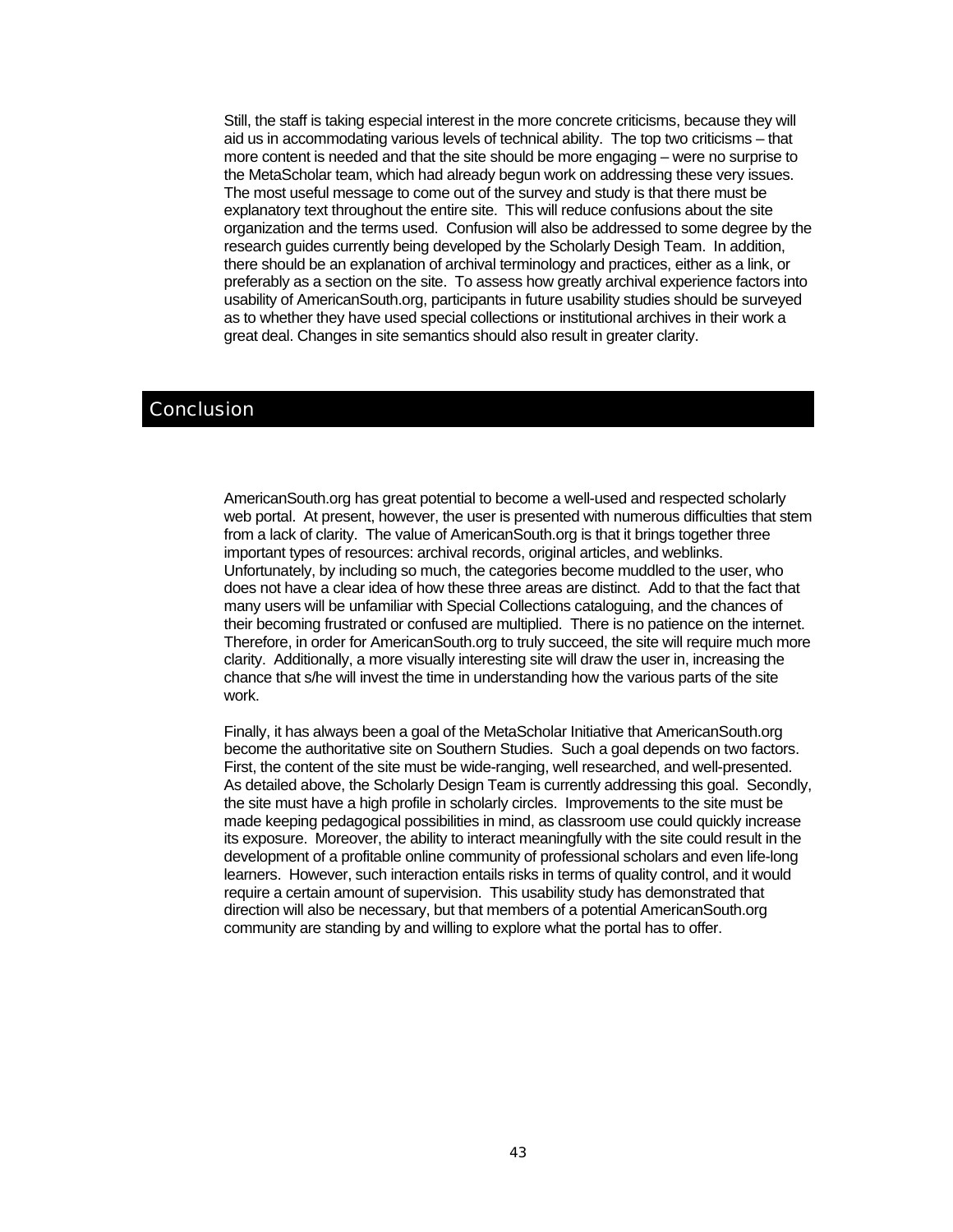Still, the staff is taking especial interest in the more concrete criticisms, because they will aid us in accommodating various levels of technical ability. The top two criticisms – that more content is needed and that the site should be more engaging – were no surprise to the MetaScholar team, which had already begun work on addressing these very issues. The most useful message to come out of the survey and study is that there must be explanatory text throughout the entire site. This will reduce confusions about the site organization and the terms used. Confusion will also be addressed to some degree by the research guides currently being developed by the Scholarly Desigh Team. In addition, there should be an explanation of archival terminology and practices, either as a link, or preferably as a section on the site. To assess how greatly archival experience factors into usability of AmericanSouth.org, participants in future usability studies should be surveyed as to whether they have used special collections or institutional archives in their work a great deal. Changes in site semantics should also result in greater clarity.

### **Conclusion**

AmericanSouth.org has great potential to become a well-used and respected scholarly web portal. At present, however, the user is presented with numerous difficulties that stem from a lack of clarity. The value of AmericanSouth.org is that it brings together three important types of resources: archival records, original articles, and weblinks. Unfortunately, by including so much, the categories become muddled to the user, who does not have a clear idea of how these three areas are distinct. Add to that the fact that many users will be unfamiliar with Special Collections cataloguing, and the chances of their becoming frustrated or confused are multiplied. There is no patience on the internet. Therefore, in order for AmericanSouth.org to truly succeed, the site will require much more clarity. Additionally, a more visually interesting site will draw the user in, increasing the chance that s/he will invest the time in understanding how the various parts of the site work.

Finally, it has always been a goal of the MetaScholar Initiative that AmericanSouth.org become the authoritative site on Southern Studies. Such a goal depends on two factors. First, the content of the site must be wide-ranging, well researched, and well-presented. As detailed above, the Scholarly Design Team is currently addressing this goal. Secondly, the site must have a high profile in scholarly circles. Improvements to the site must be made keeping pedagogical possibilities in mind, as classroom use could quickly increase its exposure. Moreover, the ability to interact meaningfully with the site could result in the development of a profitable online community of professional scholars and even life-long learners. However, such interaction entails risks in terms of quality control, and it would require a certain amount of supervision. This usability study has demonstrated that direction will also be necessary, but that members of a potential AmericanSouth.org community are standing by and willing to explore what the portal has to offer.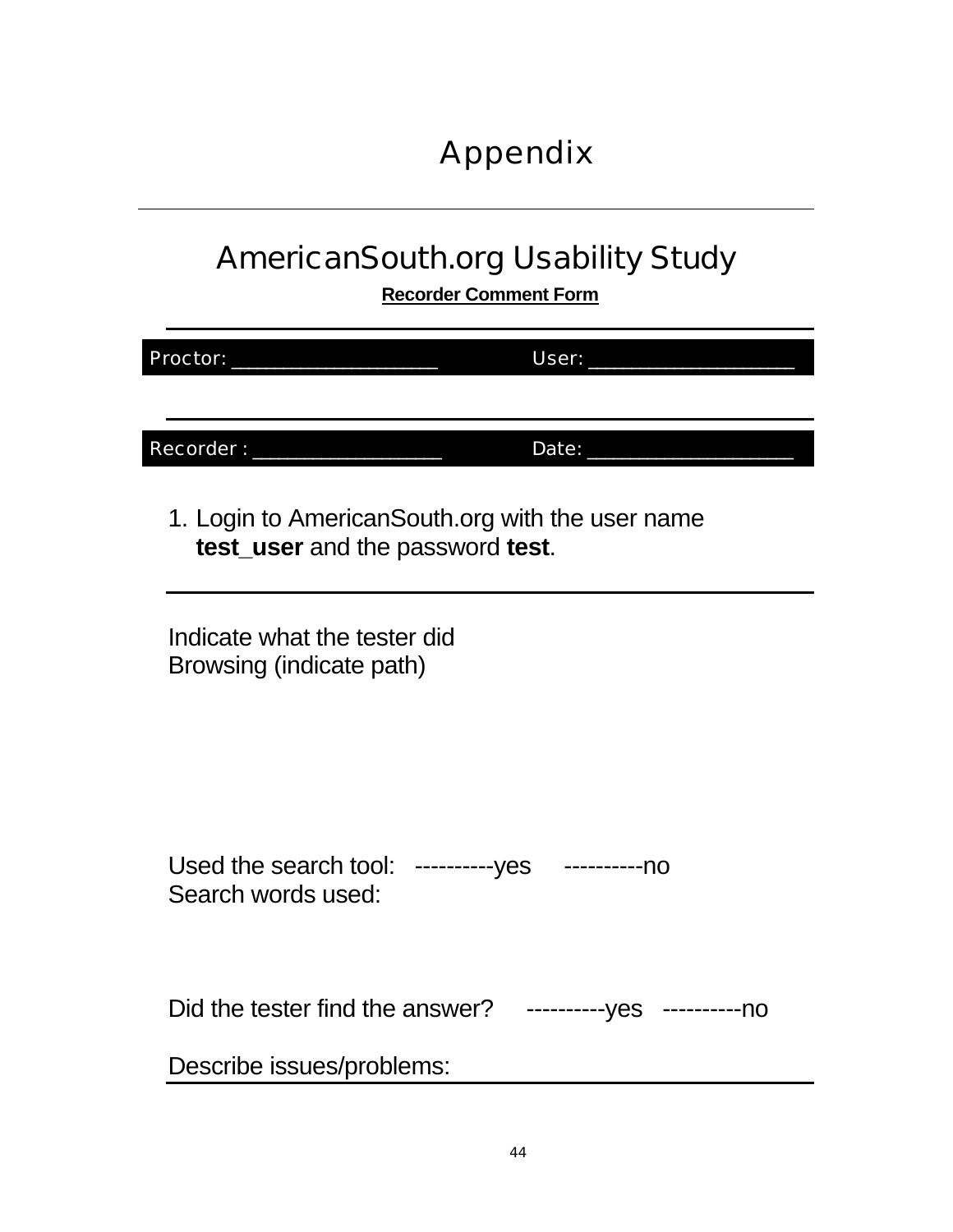# Appendix

# AmericanSouth.org Usability Study

**Recorder Comment Form**

| Proctor:                                                               |                                  | User:                                            |  |
|------------------------------------------------------------------------|----------------------------------|--------------------------------------------------|--|
|                                                                        |                                  |                                                  |  |
| Recorder:                                                              |                                  | Date:                                            |  |
|                                                                        | test_user and the password test. | 1. Login to AmericanSouth.org with the user name |  |
| Indicate what the tester did<br>Browsing (indicate path)               |                                  |                                                  |  |
| Used the search tool: ----------yes ----------no<br>Search words used: |                                  |                                                  |  |
| Did the tester find the answer?                                        |                                  | ----------- yes ---------- no                    |  |
| Describe issues/problems:                                              |                                  |                                                  |  |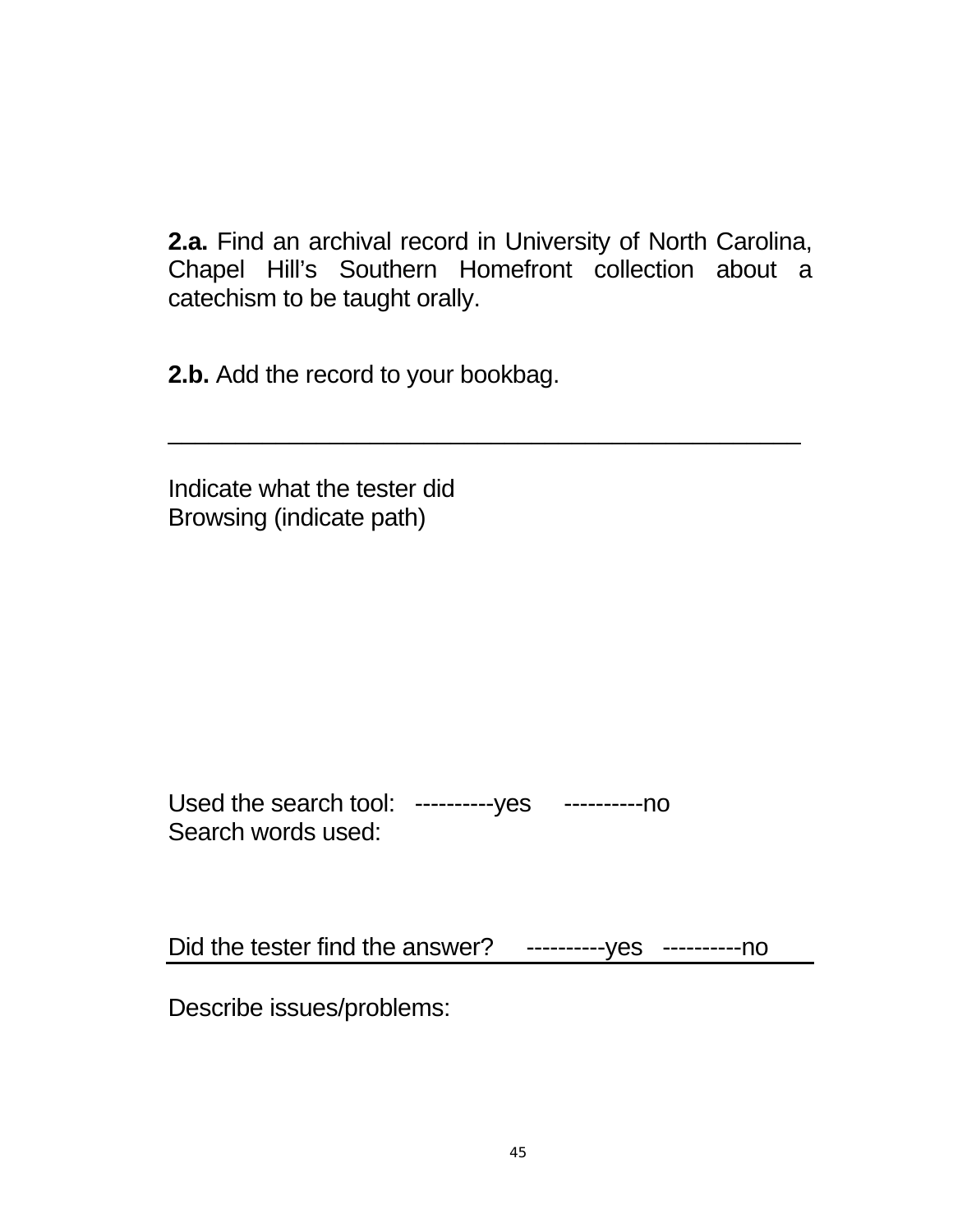**2.a.** Find an archival record in University of North Carolina, Chapel Hill's Southern Homefront collection about a catechism to be taught orally.

\_\_\_\_\_\_\_\_\_\_\_\_\_\_\_\_\_\_\_\_\_\_\_\_\_\_\_\_\_\_\_\_\_\_\_\_\_\_\_\_\_\_\_\_\_\_\_

**2.b.** Add the record to your bookbag.

Indicate what the tester did Browsing (indicate path)

Used the search tool: ----------- yes ----------- no Search words used:

Did the tester find the answer? -----------yes -----------no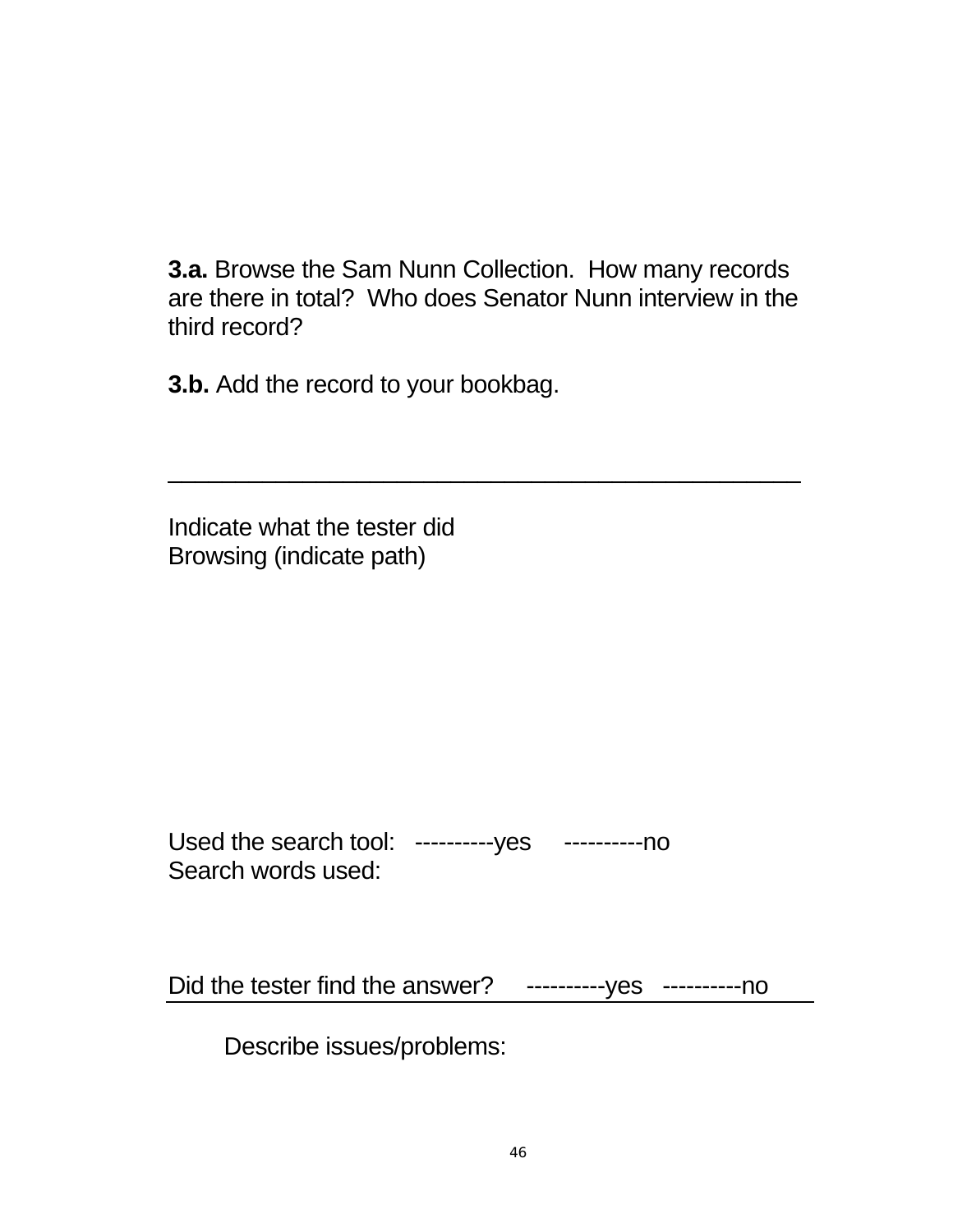**3.a.** Browse the Sam Nunn Collection. How many records are there in total? Who does Senator Nunn interview in the third record?

 $\overline{\phantom{a}}$  , and the contract of the contract of the contract of the contract of the contract of the contract of the contract of the contract of the contract of the contract of the contract of the contract of the contrac

**3.b.** Add the record to your bookbag.

Indicate what the tester did Browsing (indicate path)

| Used the search tool: -----------yes -----------no |  |
|----------------------------------------------------|--|
| Search words used:                                 |  |

Did the tester find the answer? ----------- yes ----------- no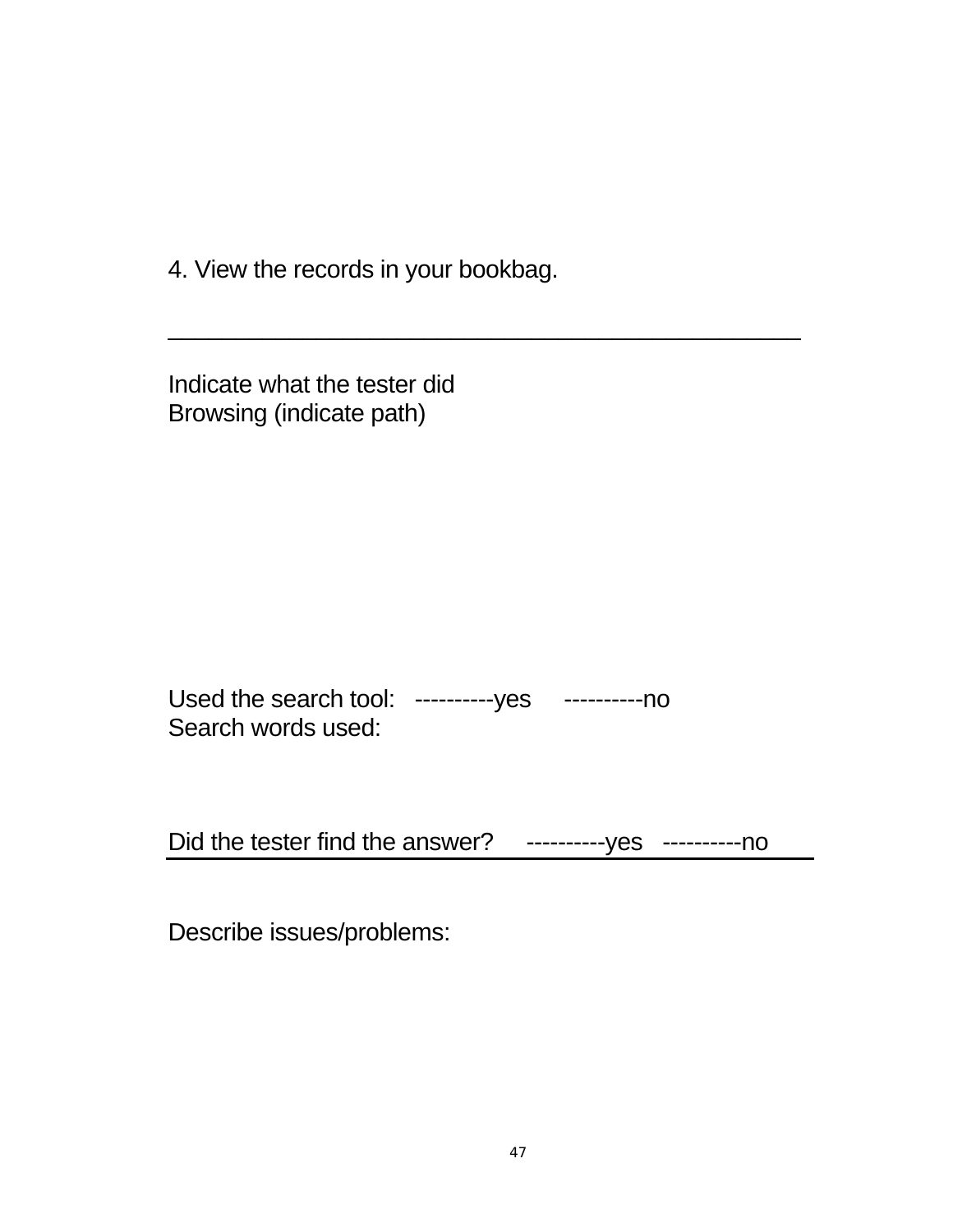4. View the records in your bookbag.

Indicate what the tester did Browsing (indicate path)

Used the search tool: ----------yes -----------no Search words used:

Did the tester find the answer? ----------yes ----------no

\_\_\_\_\_\_\_\_\_\_\_\_\_\_\_\_\_\_\_\_\_\_\_\_\_\_\_\_\_\_\_\_\_\_\_\_\_\_\_\_\_\_\_\_\_\_\_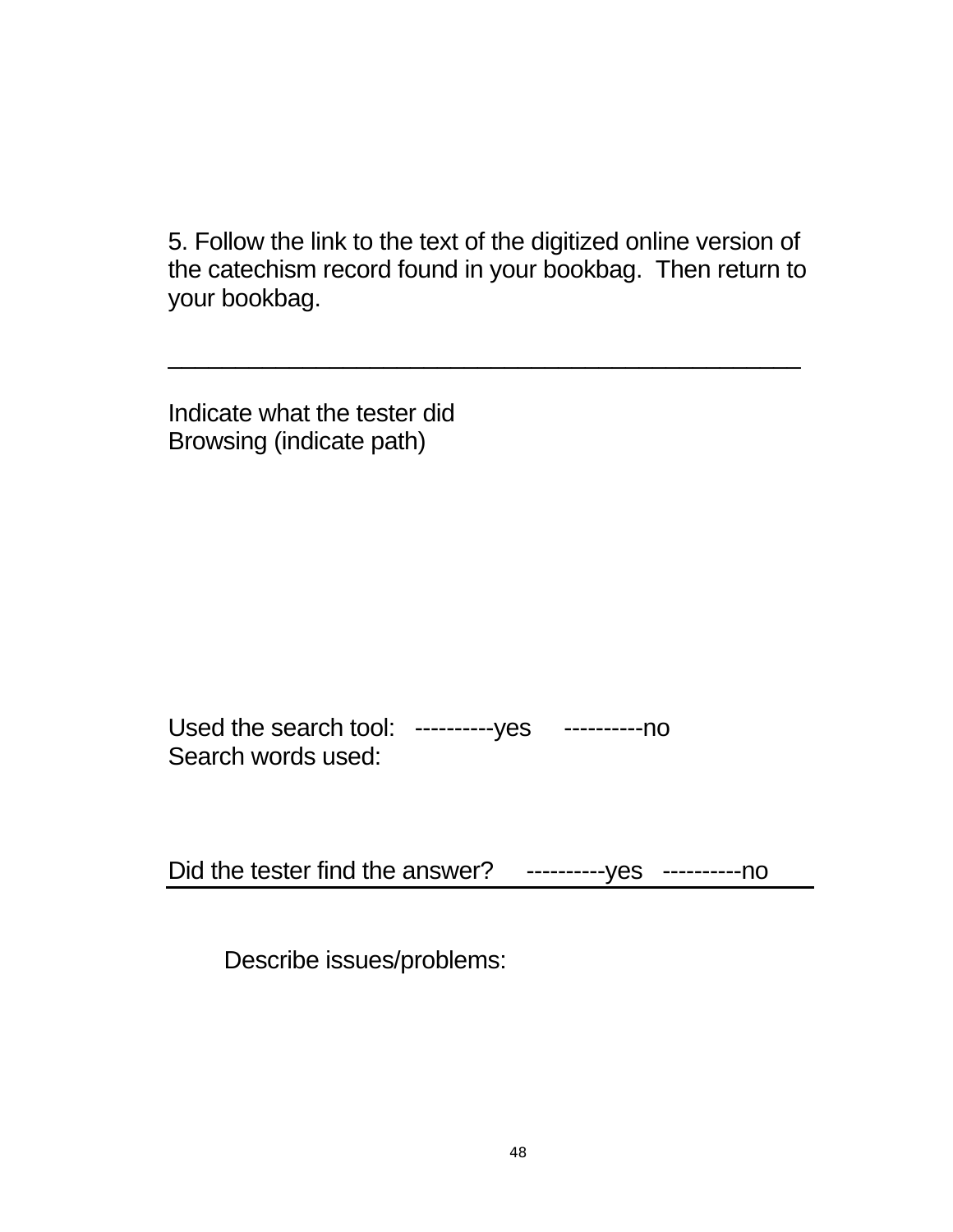5. Follow the link to the text of the digitized online version of the catechism record found in your bookbag. Then return to your bookbag.

\_\_\_\_\_\_\_\_\_\_\_\_\_\_\_\_\_\_\_\_\_\_\_\_\_\_\_\_\_\_\_\_\_\_\_\_\_\_\_\_\_\_\_\_\_\_\_

Indicate what the tester did Browsing (indicate path)

Used the search tool: ----------yes ----------no Search words used:

Did the tester find the answer? ----------- yes ----------- no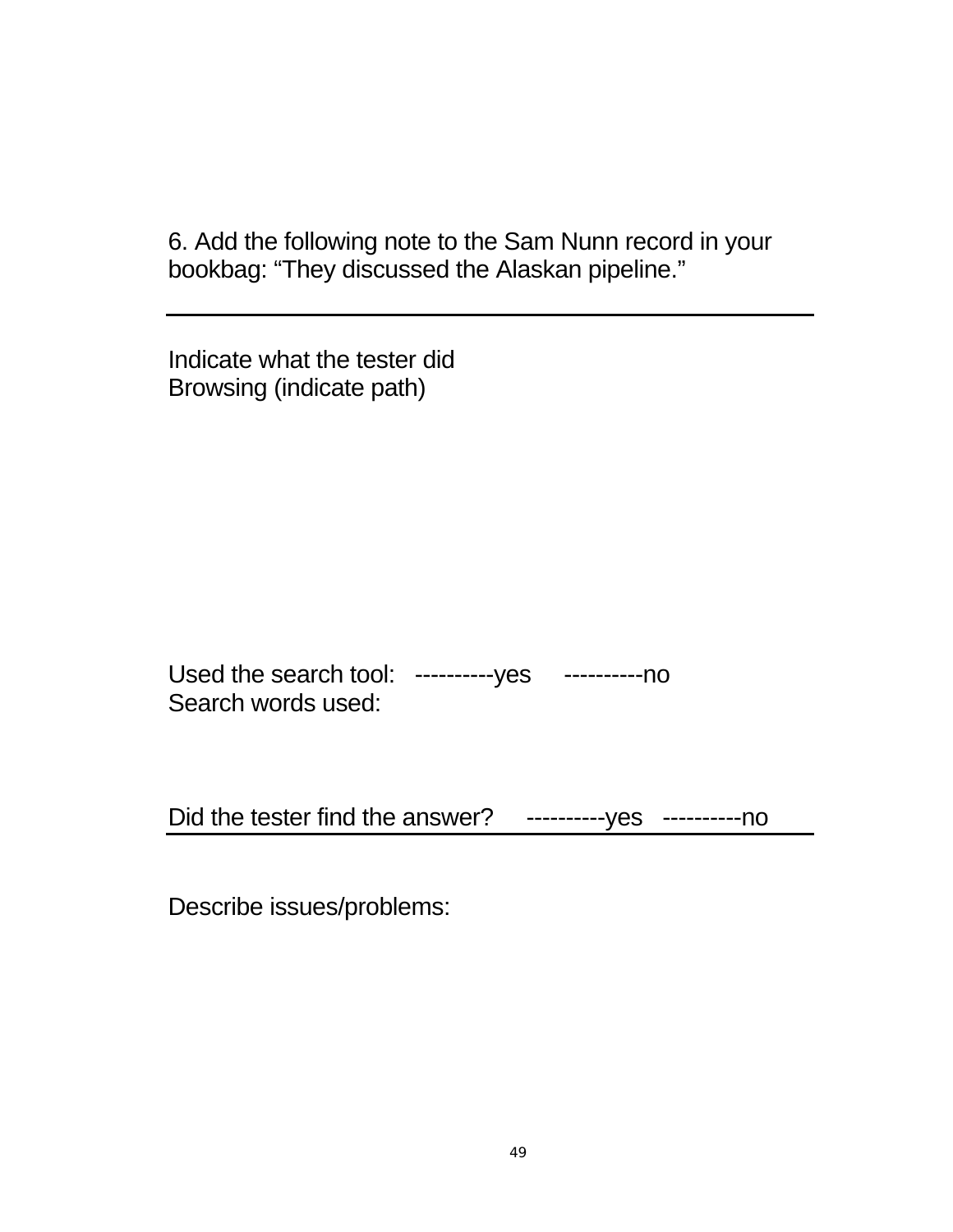6. Add the following note to the Sam Nunn record in your bookbag: "They discussed the Alaskan pipeline."

Indicate what the tester did Browsing (indicate path)

Used the search tool: ----------yes ----------no Search words used:

Did the tester find the answer? ----------yes ----------no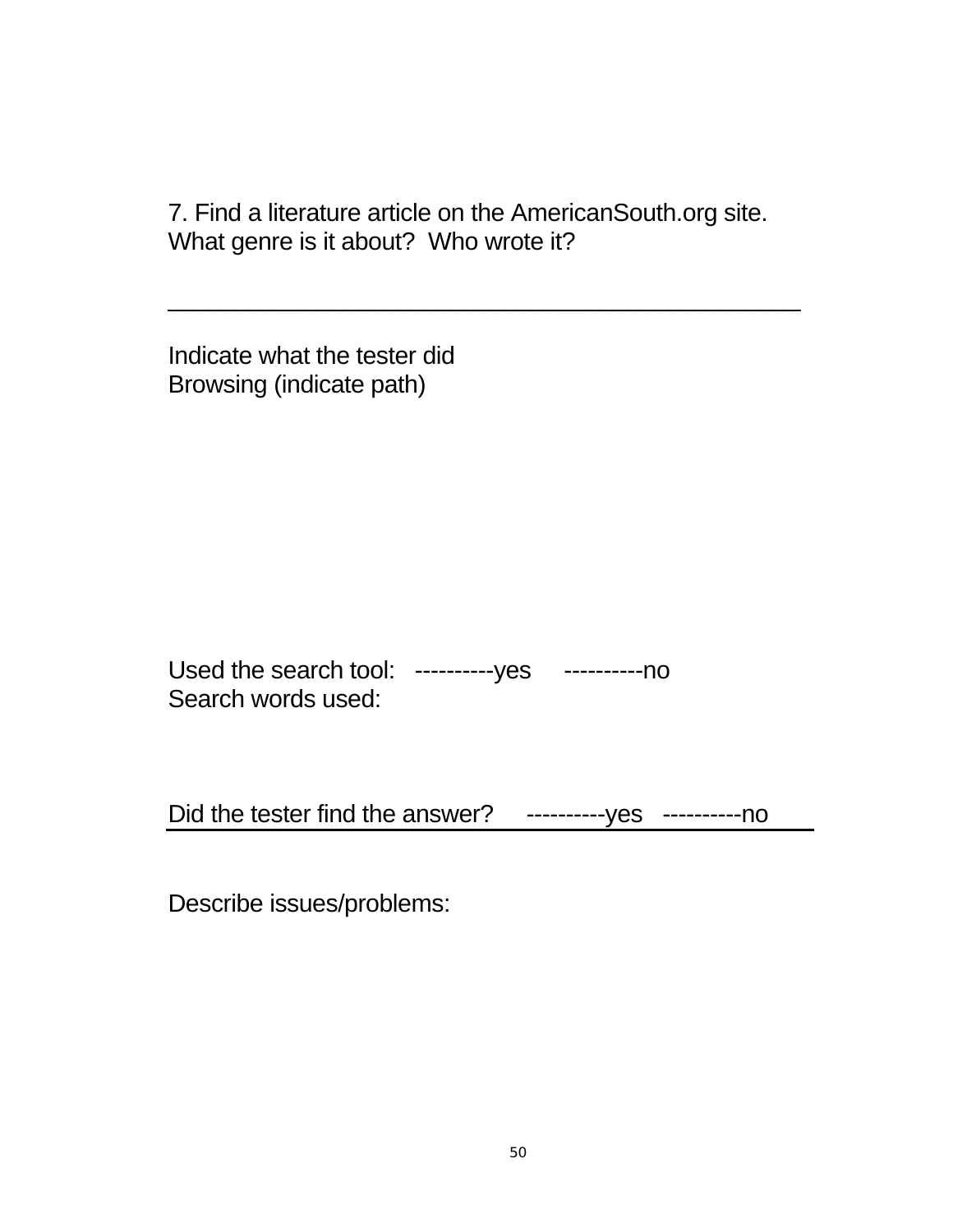7. Find a literature article on the AmericanSouth.org site. What genre is it about? Who wrote it?

\_\_\_\_\_\_\_\_\_\_\_\_\_\_\_\_\_\_\_\_\_\_\_\_\_\_\_\_\_\_\_\_\_\_\_\_\_\_\_\_\_\_\_\_\_\_\_

Indicate what the tester did Browsing (indicate path)

Used the search tool: ----------yes ----------no Search words used:

Did the tester find the answer? ----------yes ----------no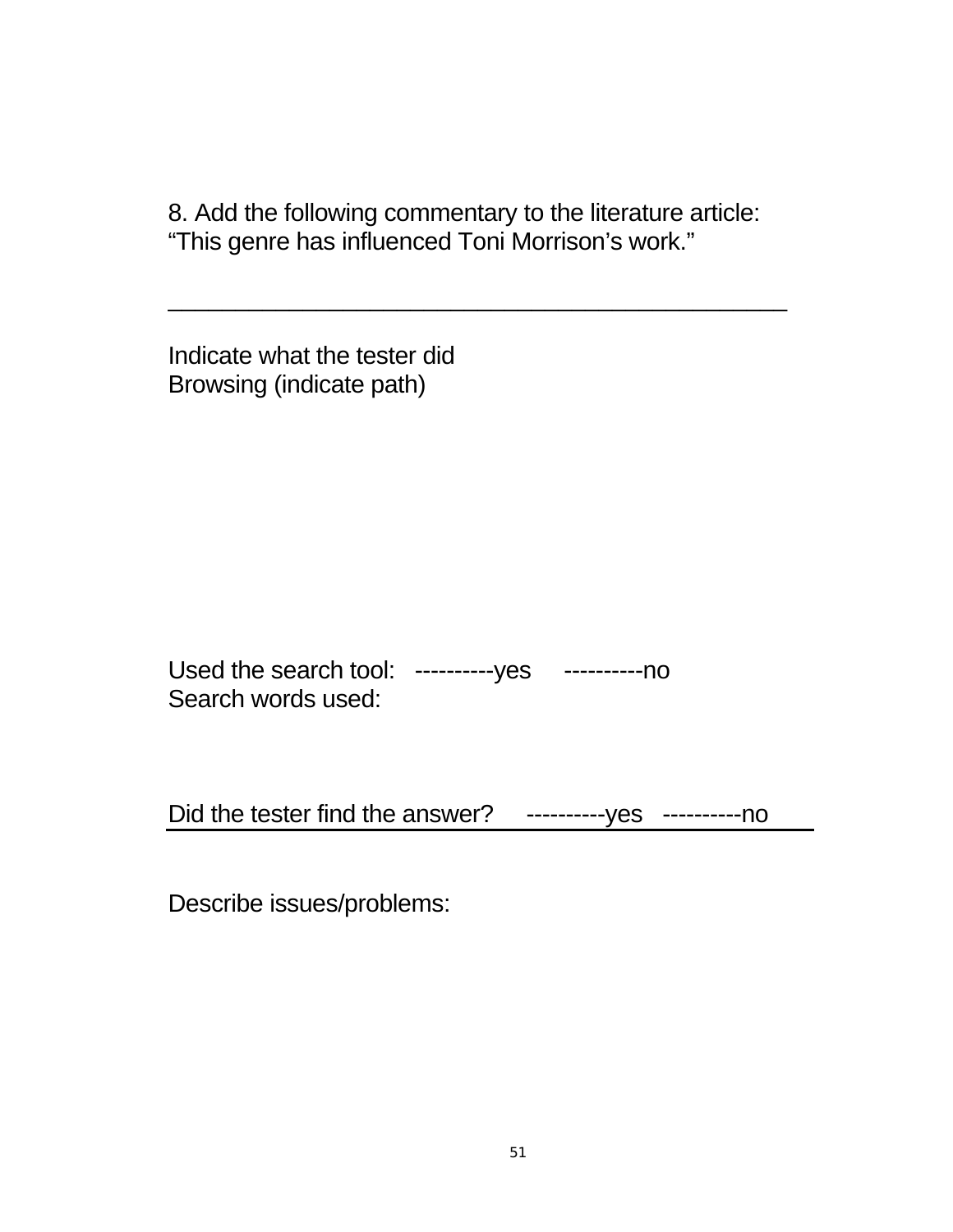8. Add the following commentary to the literature article: "This genre has influenced Toni Morrison's work."

\_\_\_\_\_\_\_\_\_\_\_\_\_\_\_\_\_\_\_\_\_\_\_\_\_\_\_\_\_\_\_\_\_\_\_\_\_\_\_\_\_\_\_\_\_\_

Indicate what the tester did Browsing (indicate path)

Used the search tool: ----------yes ----------no Search words used:

Did the tester find the answer? ----------yes ----------no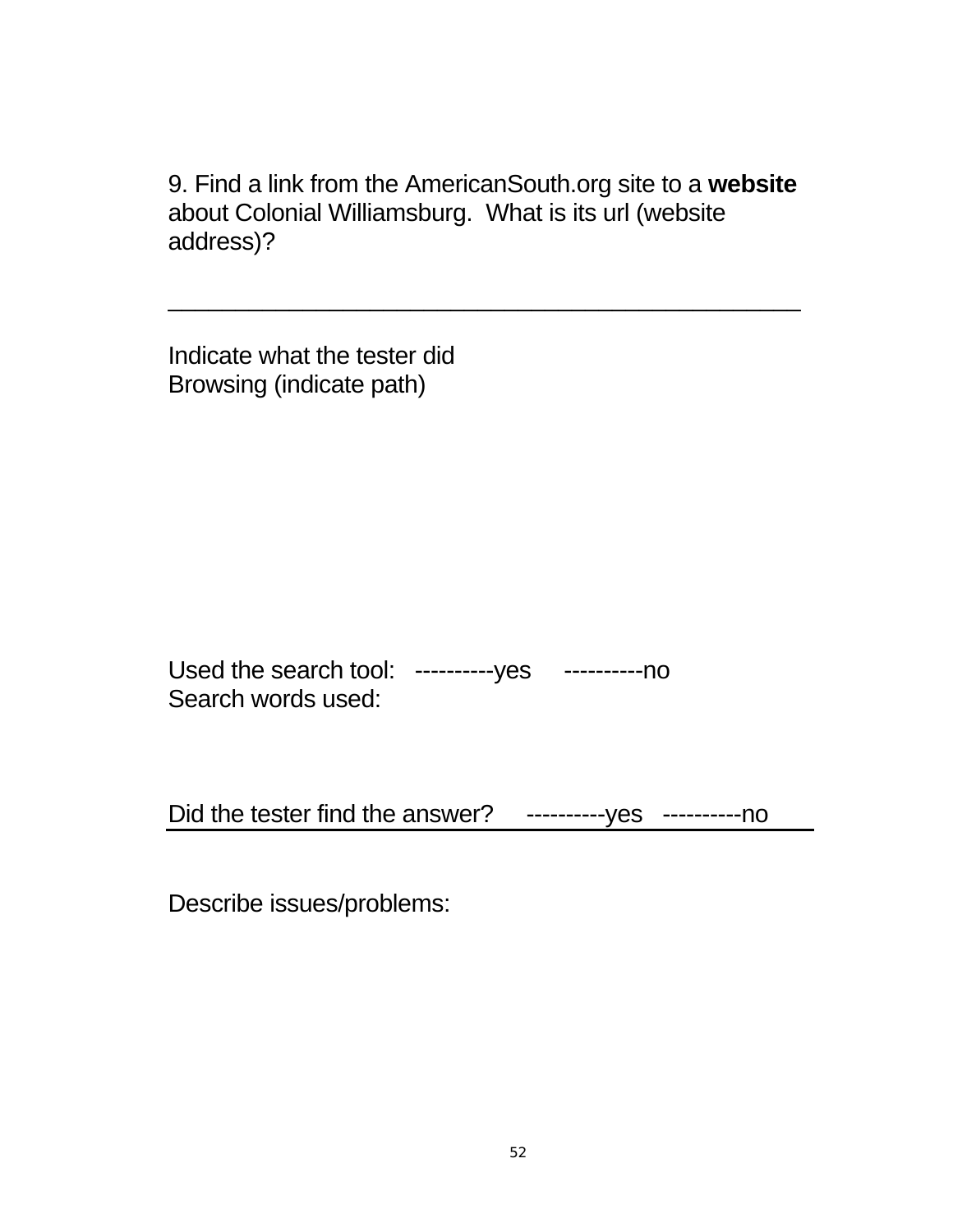9. Find a link from the AmericanSouth.org site to a **website** about Colonial Williamsburg. What is its url (website address)?

\_\_\_\_\_\_\_\_\_\_\_\_\_\_\_\_\_\_\_\_\_\_\_\_\_\_\_\_\_\_\_\_\_\_\_\_\_\_\_\_\_\_\_\_\_\_\_

Indicate what the tester did Browsing (indicate path)

Used the search tool: ----------yes ----------no Search words used:

Did the tester find the answer? ----------yes ----------no